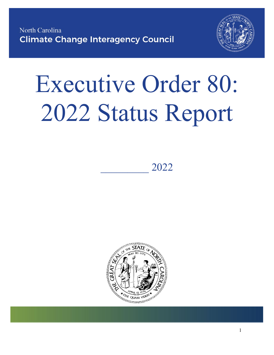

# Executive Order 80: 2022 Status Report

)HEUXDU\ 2022



1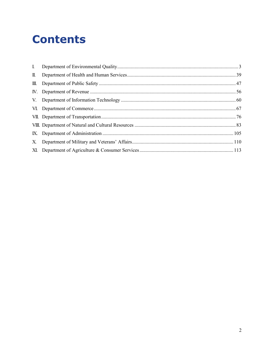# **Contents**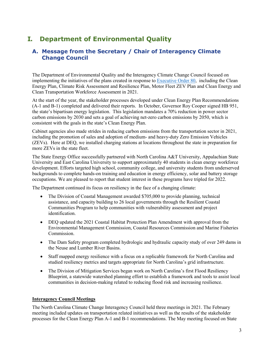# <span id="page-2-0"></span>**I. Department of Environmental Quality**

#### **A. Message from the Secretary / Chair of Interagency Climate Change Council**

The Department of Environmental Quality and the Interagency Climate Change Council focused on implementing the initiatives of the plans created in response t[o Executive Order 80,](https://deq.nc.gov/environmental-assistance-and-customer-service/climate-change/eo80-nc-s-commitment-address-climate-change-transition/download) including the Clean Energy Plan, Climate Risk Assessment and Resilience Plan, Motor Fleet ZEV Plan and Clean Energy and Clean Transportation Workforce Assessment in 2021.

At the start of the year, the stakeholder processes developed under Clean Energy Plan Recommendations (A-1 and B-1) completed and delivered their reports. In October, Governor Roy Cooper signed HB 951, the state's bipartisan energy legislation. This legislation mandates a 70% reduction in power sector carbon emissions by 2030 and sets a goal of achieving net-zero carbon emissions by 2050, which is consistent with the goals in the state's Clean Energy Plan.

Cabinet agencies also made strides in reducing carbon emissions from the transportation sector in 2021, including the promotion of sales and adoption of medium- and heavy-duty Zero Emission Vehicles (ZEVs). Here at DEQ, we installed charging stations at locations throughout the state in preparation for more ZEVs in the state fleet.

The State Energy Office successfully partnered with North Carolina A&T University, Appalachian State University and East Carolina University to support approximately 40 students in clean energy workforce development. Efforts targeted high school, community college, and university students from underserved backgrounds to complete hands-on training and education in energy efficiency, solar and battery storage occupations. We are pleased to report that student interest in these programs have tripled for 2022.

The Department continued its focus on resiliency in the face of a changing climate:

- The Division of Coastal Management awarded \$705,000 to provide planning, technical assistance, and capacity building to 26 local governments through the Resilient Coastal Communities Program to help communities with vulnerability assessment and project identification.
- DEQ updated the 2021 Coastal Habitat Protection Plan Amendment with approval from the Environmental Management Commission, Coastal Resources Commission and Marine Fisheries Commission.
- The Dam Safety program completed hydrologic and hydraulic capacity study of over 249 dams in the Neuse and Lumber River Basins.
- Staff mapped energy resilience with a focus on a replicable framework for North Carolina and studied resiliency metrics and targets appropriate for North Carolina's grid infrastructure.
- The Division of Mitigation Services began work on North Carolina's first Flood Resiliency Blueprint, a statewide watershed planning effort to establish a framework and tools to assist local communities in decision-making related to reducing flood risk and increasing resilience.

#### **Interagency Council Meetings**

The North Carolina Climate Change Interagency Council held three meetings in 2021. The February meeting included updates on transportation related initiatives as well as the results of the stakeholder processes for the Clean Energy Plan A-1 and B-1 recommendations. The May meeting focused on State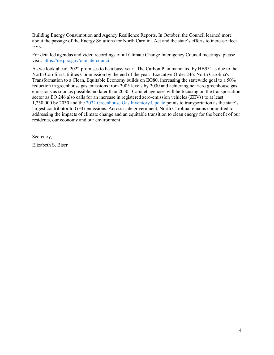Building Energy Consumption and Agency Resilience Reports. In October, the Council learned more about the passage of the Energy Solutions for North Carolina Act and the state's efforts to increase fleet EVs.

For detailed agendas and video recordings of all Climate Change Interagency Council meetings, please visit: [https://deq.nc.gov/climate-council.](https://deq.nc.gov/climate-council)

As we look ahead, 2022 promises to be a busy year. The Carbon Plan mandated by HB951 is due to the North Carolina Utilities Commission by the end of the year. Executive Order 246: North Carolina's Transformation to a Clean, Equitable Economy builds on EO80, increasing the statewide goal to a 50% reduction in greenhouse gas emissions from 2005 levels by 2030 and achieving net-zero greenhouse gas emissions as soon as possible, no later than 2050. Cabinet agencies will be focusing on the transportation sector as EO 246 also calls for an increase in registered zero-emission vehicles (ZEVs) to at least 1,250,000 by 2030 and the [2022 Greenhouse Gas Inventory Update](https://deq.nc.gov/energy-climate/climate-change/greenhouse-gas-inventory) points to transportation as the state's largest contributor to GHG emissions. Across state government, North Carolina remains committed to addressing the impacts of climate change and an equitable transition to clean energy for the benefit of our residents, our economy and our environment.

Secretary,

Elizabeth S. Biser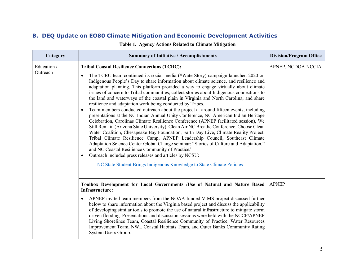### **B. DEQ Update on EO80 Climate Mitigation and Economic Development Activities**

| Category                | <b>Summary of Initiative / Accomplishments</b>                                                                                                                                                                                                                                                                                                                                                                                                                                                                                                                                                                                                                                                                                                                                                                                                                                                                                                                                                                                                                                                                                                                                                                                                                                                                                                                                                                                               | <b>Division/Program Office</b> |
|-------------------------|----------------------------------------------------------------------------------------------------------------------------------------------------------------------------------------------------------------------------------------------------------------------------------------------------------------------------------------------------------------------------------------------------------------------------------------------------------------------------------------------------------------------------------------------------------------------------------------------------------------------------------------------------------------------------------------------------------------------------------------------------------------------------------------------------------------------------------------------------------------------------------------------------------------------------------------------------------------------------------------------------------------------------------------------------------------------------------------------------------------------------------------------------------------------------------------------------------------------------------------------------------------------------------------------------------------------------------------------------------------------------------------------------------------------------------------------|--------------------------------|
| Education /<br>Outreach | <b>Tribal Coastal Resilience Connections (TCRC):</b><br>The TCRC team continued its social media (#WaterStory) campaign launched 2020 on<br>$\bullet$<br>Indigenous People's Day to share information about climate science, and resilience and<br>adaptation planning. This platform provided a way to engage virtually about climate<br>issues of concern to Tribal communities, collect stories about Indigenous connections to<br>the land and waterways of the coastal plain in Virginia and North Carolina, and share<br>resilience and adaptation work being conducted by Tribes.<br>Team members conducted outreach about the project at around fifteen events, including<br>$\bullet$<br>presentations at the NC Indian Annual Unity Conference, NC American Indian Heritage<br>Celebration, Carolinas Climate Resilience Conference (APNEP facilitated session), We<br>Still Remain (Arizona State University), Clean Air NC Breathe Conference, Choose Clean<br>Water Coalition, Chesapeake Bay Foundation, Earth Day Live, Climate Reality Project,<br>Tribal Climate Resilience Camp, APNEP Leadership Council, Southeast Climate<br>Adaptation Science Center Global Change seminar: "Stories of Culture and Adaptation,"<br>and NC Coastal Resilience Community of Practice/<br>Outreach included press releases and articles by NCSU:<br>$\bullet$<br>NC State Student Brings Indigenous Knowledge to State Climate Policies | APNEP, NCDOA NCCIA             |
|                         | Toolbox Development for Local Governments /Use of Natural and Nature Based<br>Infrastructure:<br>APNEP invited team members from the NOAA funded VIMS project discussed further<br>$\bullet$<br>below to share information about the Virginia based project and discuss the applicability<br>of developing similar tools to promote the use of natural infrastructure to mitigate storm<br>driven flooding. Presentations and discussion sessions were held with the NCCF/APNEP<br>Living Shorelines Team, Coastal Resilience Community of Practice, Water Resources<br>Improvement Team, NWL Coastal Habitats Team, and Outer Banks Community Rating<br>System Users Group.                                                                                                                                                                                                                                                                                                                                                                                                                                                                                                                                                                                                                                                                                                                                                                 | <b>APNEP</b>                   |

**Table 1. Agency Actions Related to Climate Mitigation**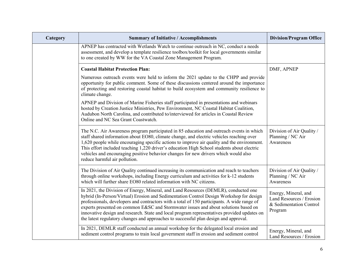| Category | <b>Summary of Initiative / Accomplishments</b>                                                                                                                                                                                                                                                                                                                                                                                                                                                                                                              | <b>Division/Program Office</b>                                                         |
|----------|-------------------------------------------------------------------------------------------------------------------------------------------------------------------------------------------------------------------------------------------------------------------------------------------------------------------------------------------------------------------------------------------------------------------------------------------------------------------------------------------------------------------------------------------------------------|----------------------------------------------------------------------------------------|
|          | APNEP has contracted with Wetlands Watch to continue outreach in NC, conduct a needs<br>assessment, and develop a template resilience toolbox/toolkit for local governments similar<br>to one created by WW for the VA Coastal Zone Management Program.                                                                                                                                                                                                                                                                                                     |                                                                                        |
|          | <b>Coastal Habitat Protection Plan:</b>                                                                                                                                                                                                                                                                                                                                                                                                                                                                                                                     | DMF, APNEP                                                                             |
|          | Numerous outreach events were held to inform the 2021 update to the CHPP and provide<br>opportunity for public comment. Some of these discussions centered around the importance<br>of protecting and restoring coastal habitat to build ecosystem and community resilience to<br>climate change.                                                                                                                                                                                                                                                           |                                                                                        |
|          | APNEP and Division of Marine Fisheries staff participated in presentations and webinars<br>hosted by Creation Justice Ministries, Pew Environment, NC Coastal Habitat Coalition,<br>Audubon North Carolina, and contributed to/interviewed for articles in Coastal Review<br>Online and NC Sea Grant Coastwatch.                                                                                                                                                                                                                                            |                                                                                        |
|          | The N.C. Air Awareness program participated in 85 education and outreach events in which<br>staff shared information about EO80, climate change, and electric vehicles reaching over<br>1,620 people while encouraging specific actions to improve air quality and the environment.<br>This effort included teaching 1,220 driver's education High School students about electric<br>vehicles and encouraging positive behavior changes for new drivers which would also<br>reduce harmful air pollution.                                                   | Division of Air Quality /<br>Planning / NC Air<br>Awareness                            |
|          | The Division of Air Quality continued increasing its communication and reach to teachers<br>through online workshops, including Energy curriculum and activities for k-12 students<br>which will further share EO80 related information with NC citizens.                                                                                                                                                                                                                                                                                                   | Division of Air Quality /<br>Planning / NC Air<br>Awareness                            |
|          | In 2021, the Division of Energy, Mineral, and Land Resources (DEMLR), conducted one<br>hybrid (In-Person/Virtual) Erosion and Sedimentation Control Design Workshop for design<br>professionals, developers and contractors with a total of 150 participants. A wide range of<br>experts presented on common E&SC and Stormwater issues and about solutions based on<br>innovative design and research. State and local program representatives provided updates on<br>the latest regulatory changes and approaches to successful plan design and approval. | Energy, Mineral, and<br>Land Resources / Erosion<br>& Sedimentation Control<br>Program |
|          | In 2021, DEMLR staff conducted an annual workshop for the delegated local erosion and<br>sediment control programs to train local government staff in erosion and sediment control                                                                                                                                                                                                                                                                                                                                                                          | Energy, Mineral, and<br>Land Resources / Erosion                                       |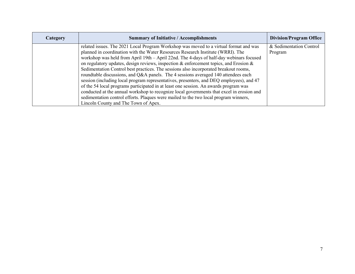| Category | <b>Summary of Initiative / Accomplishments</b>                                                                                                                                                                                                                                                                                                                                                                                                                                                                                                                                                                                                                                                                                                                                                                                 | <b>Division/Program Office</b>     |
|----------|--------------------------------------------------------------------------------------------------------------------------------------------------------------------------------------------------------------------------------------------------------------------------------------------------------------------------------------------------------------------------------------------------------------------------------------------------------------------------------------------------------------------------------------------------------------------------------------------------------------------------------------------------------------------------------------------------------------------------------------------------------------------------------------------------------------------------------|------------------------------------|
|          | related issues. The 2021 Local Program Workshop was moved to a virtual format and was<br>planned in coordination with the Water Resources Research Institute (WRRI). The<br>workshop was held from April 19th – April 22nd. The 4-days of half-day webinars focused<br>on regulatory updates, design reviews, inspection & enforcement topics, and Erosion $\&$<br>Sedimentation Control best practices. The sessions also incorporated breakout rooms,<br>roundtable discussions, and Q&A panels. The 4 sessions averaged 140 attendees each<br>session (including local program representatives, presenters, and DEQ employees), and 47<br>of the 54 local programs participated in at least one session. An awards program was<br>conducted at the annual workshop to recognize local governments that excel in erosion and | & Sedimentation Control<br>Program |
|          | sedimentation control efforts. Plaques were mailed to the two local program winners,<br>Lincoln County and The Town of Apex.                                                                                                                                                                                                                                                                                                                                                                                                                                                                                                                                                                                                                                                                                                   |                                    |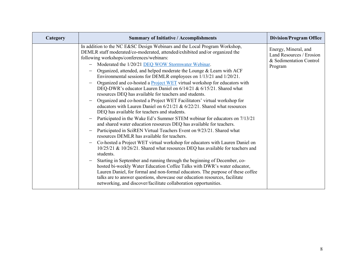| Category | <b>Summary of Initiative / Accomplishments</b>                                                                                                                                                                                                                                                                                                                                                                                                                                                                                                                                                                                                                                                                                                                                                                                                                                                                                                                                                                                                                                                                                                                                                                                                                                                                                                                                                                                                                                                                                                                                                                                                                                                                                                                             | <b>Division/Program Office</b>                                                         |
|----------|----------------------------------------------------------------------------------------------------------------------------------------------------------------------------------------------------------------------------------------------------------------------------------------------------------------------------------------------------------------------------------------------------------------------------------------------------------------------------------------------------------------------------------------------------------------------------------------------------------------------------------------------------------------------------------------------------------------------------------------------------------------------------------------------------------------------------------------------------------------------------------------------------------------------------------------------------------------------------------------------------------------------------------------------------------------------------------------------------------------------------------------------------------------------------------------------------------------------------------------------------------------------------------------------------------------------------------------------------------------------------------------------------------------------------------------------------------------------------------------------------------------------------------------------------------------------------------------------------------------------------------------------------------------------------------------------------------------------------------------------------------------------------|----------------------------------------------------------------------------------------|
|          | In addition to the NC E&SC Design Webinars and the Local Program Workshop,<br>DEMLR staff moderated/co-moderated, attended/exhibited and/or organized the<br>following workshops/conferences/webinars:<br>Moderated the 1/20/21 DEQ WOW Stormwater Webinar.<br>Organized, attended, and helped moderate the Lounge & Learn with ACF<br>Environmental sessions for DEMLR employees on 1/13/21 and 1/20/21.<br>Organized and co-hosted a Project WET virtual workshop for educators with<br>DEQ-DWR's educator Lauren Daniel on 6/14/21 & 6/15/21. Shared what<br>resources DEQ has available for teachers and students.<br>Organized and co-hosted a Project WET Facilitators' virtual workshop for<br>$\overline{\phantom{0}}$<br>educators with Lauren Daniel on $6/21/21$ & $6/22/21$ . Shared what resources<br>DEQ has available for teachers and students.<br>Participated in the Wake Ed's Summer STEM webinar for educators on 7/13/21<br>$\qquad \qquad -$<br>and shared water education resources DEQ has available for teachers.<br>Participated in SciREN Virtual Teachers Event on 9/23/21. Shared what<br>resources DEMLR has available for teachers.<br>Co-hosted a Project WET virtual workshop for educators with Lauren Daniel on<br>$\overline{\phantom{m}}$<br>10/25/21 & 10/26/21. Shared what resources DEQ has available for teachers and<br>students.<br>Starting in September and running through the beginning of December, co-<br>hosted bi-weekly Water Education Coffee Talks with DWR's water educator,<br>Lauren Daniel, for formal and non-formal educators. The purpose of these coffee<br>talks are to answer questions, showcase our education resources, facilitate<br>networking, and discover/facilitate collaboration opportunities. | Energy, Mineral, and<br>Land Resources / Erosion<br>& Sedimentation Control<br>Program |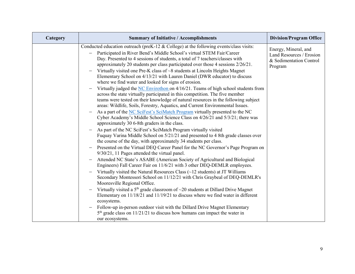| Category | <b>Summary of Initiative / Accomplishments</b>                                                                                                                                                                                                                                                                                                                                                                                                                                                                                                           | <b>Division/Program Office</b>                                                         |
|----------|----------------------------------------------------------------------------------------------------------------------------------------------------------------------------------------------------------------------------------------------------------------------------------------------------------------------------------------------------------------------------------------------------------------------------------------------------------------------------------------------------------------------------------------------------------|----------------------------------------------------------------------------------------|
|          | Conducted education outreach (preK-12 $\&$ College) at the following events/class visits:<br>Participated in River Bend's Middle School's virtual STEM Fair/Career<br>Day. Presented to 4 sessions of students, a total of 7 teachers/classes with<br>approximately 20 students per class participated over those 4 sessions 2/26/21.<br>Virtually visited one Pre-K class of ~8 students at Lincoln Heights Magnet<br>Elementary School on 4/13/21 with Lauren Daniel (DWR educator) to discuss<br>where we find water and looked for signs of erosion. | Energy, Mineral, and<br>Land Resources / Erosion<br>& Sedimentation Control<br>Program |
|          | Virtually judged the NC Envirothon on 4/16/21. Teams of high school students from<br>$\overline{\phantom{m}}$<br>across the state virtually participated in this competition. The five member<br>teams were tested on their knowledge of natural resources in the following subject<br>areas: Wildlife, Soils, Forestry, Aquatics, and Current Environmental Issues.                                                                                                                                                                                     |                                                                                        |
|          | As a part of the NC SciFest's SciMatch Program virtually presented to the NC<br>Cyber Academy's Middle School Science Class on 4/26/21 and 5/3/21; there was<br>approximately 30 6-8th graders in the class.                                                                                                                                                                                                                                                                                                                                             |                                                                                        |
|          | As part of the NC SciFest's SciMatch Program virtually visited<br>Fuquay Varina Middle School on 5/21/21 and presented to 4 8th grade classes over<br>the course of the day, with approximately 34 students per class.                                                                                                                                                                                                                                                                                                                                   |                                                                                        |
|          | Presented on the Virtual DEQ Career Panel for the NC Governor's Page Program on<br>9/30/21, 11 Pages attended the virtual panel.                                                                                                                                                                                                                                                                                                                                                                                                                         |                                                                                        |
|          | Attended NC State's ASABE (American Society of Agricultural and Biological<br>Engineers) Fall Career Fair on 11/6/21 with 3 other DEQ-DEMLR employees.                                                                                                                                                                                                                                                                                                                                                                                                   |                                                                                        |
|          | Virtually visited the Natural Resources Class $(\sim 12$ students) at JT Williams<br>Secondary Montessori School on 11/12/21 with Chris Graybeal of DEQ-DEMLR's<br>Mooresville Regional Office.                                                                                                                                                                                                                                                                                                                                                          |                                                                                        |
|          | Virtually visited a $5th$ grade classroom of $\sim$ 20 students at Dillard Drive Magnet<br>Elementary on 11/18/21 and 11/19/21 to discuss where we find water in different<br>ecosystems.                                                                                                                                                                                                                                                                                                                                                                |                                                                                        |
|          | Follow-up in-person outdoor visit with the Dillard Drive Magnet Elementary<br>$\overline{\phantom{a}}$<br>$5th$ grade class on 11/21/21 to discuss how humans can impact the water in<br>our ecosystems.                                                                                                                                                                                                                                                                                                                                                 |                                                                                        |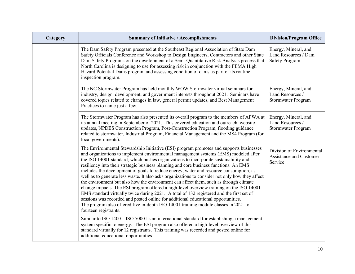| Category | <b>Summary of Initiative / Accomplishments</b>                                                                                                                                                                                                                                                                                                                                                                                                                                                                                                                                                                                                                                                                                                                                                                                                                                                                                                                                                                                                                                                                                                  | <b>Division/Program Office</b>                                         |
|----------|-------------------------------------------------------------------------------------------------------------------------------------------------------------------------------------------------------------------------------------------------------------------------------------------------------------------------------------------------------------------------------------------------------------------------------------------------------------------------------------------------------------------------------------------------------------------------------------------------------------------------------------------------------------------------------------------------------------------------------------------------------------------------------------------------------------------------------------------------------------------------------------------------------------------------------------------------------------------------------------------------------------------------------------------------------------------------------------------------------------------------------------------------|------------------------------------------------------------------------|
|          | The Dam Safety Program presented at the Southeast Regional Association of State Dam<br>Safety Officials Conference and Workshop to Design Engineers, Contractors and other State<br>Dam Safety Programs on the development of a Semi-Quantitative Risk Analysis process that<br>North Carolina is designing to use for assessing risk in conjunction with the FEMA High<br>Hazard Potential Dams program and assessing condition of dams as part of its routine<br>inspection program.                                                                                                                                                                                                                                                                                                                                                                                                                                                                                                                                                                                                                                                          | Energy, Mineral, and<br>Land Resources / Dam<br><b>Safety Program</b>  |
|          | The NC Stormwater Program has held monthly WOW Stormwater virtual seminars for<br>industry, design, development, and government interests throughout 2021. Seminars have<br>covered topics related to changes in law, general permit updates, and Best Management<br>Practices to name just a few.                                                                                                                                                                                                                                                                                                                                                                                                                                                                                                                                                                                                                                                                                                                                                                                                                                              | Energy, Mineral, and<br>Land Resources /<br><b>Stormwater Program</b>  |
|          | The Stormwater Program has also presented its overall program to the members of APWA at<br>its annual meeting in September of 2021. This covered education and outreach, website<br>updates, NPDES Construction Program, Post-Construction Program, flooding guidance<br>related to stormwater, Industrial Program, Financial Management and the MS4 Program (for<br>local governments).                                                                                                                                                                                                                                                                                                                                                                                                                                                                                                                                                                                                                                                                                                                                                        | Energy, Mineral, and<br>Land Resources /<br>Stormwater Program         |
|          | The Environmental Stewardship Initiative (ESI) program promotes and supports businesses<br>and organizations to implement environmental management systems (EMS) modeled after<br>the ISO 14001 standard, which pushes organizations to incorporate sustainability and<br>resiliency into their strategic business planning and core business functions. An EMS<br>includes the development of goals to reduce energy, water and resource consumption, as<br>well as to generate less waste. It also asks organizations to consider not only how they affect<br>the environment but also how the environment can affect them, such as through climate<br>change impacts. The ESI program offered a high-level overview training on the ISO 14001<br>EMS standard virtually twice during 2021. A total of 132 registered and the first set of<br>sessions was recorded and posted online for additional educational opportunities.<br>The program also offered five in-depth ISO 14001 training module classes in 2021 to<br>fourteen registrants.<br>Similar to ISO 14001, ISO 50001 is an international standard for establishing a management | Division of Environmental<br><b>Assistance and Customer</b><br>Service |
|          | system specific to energy. The ESI program also offered a high-level overview of this<br>standard virtually for 12 registrants. This training was recorded and posted online for<br>additional educational opportunities.                                                                                                                                                                                                                                                                                                                                                                                                                                                                                                                                                                                                                                                                                                                                                                                                                                                                                                                       |                                                                        |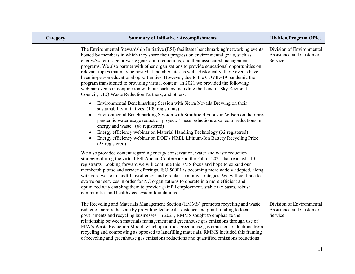| Category | <b>Summary of Initiative / Accomplishments</b>                                                                                                                                                                                                                                                                                                                                                                                                                                                                                                                                                                                                                                                                                                                                                  | <b>Division/Program Office</b>                                  |
|----------|-------------------------------------------------------------------------------------------------------------------------------------------------------------------------------------------------------------------------------------------------------------------------------------------------------------------------------------------------------------------------------------------------------------------------------------------------------------------------------------------------------------------------------------------------------------------------------------------------------------------------------------------------------------------------------------------------------------------------------------------------------------------------------------------------|-----------------------------------------------------------------|
|          | The Environmental Stewardship Initiative (ESI) facilitates benchmarking/networking events<br>hosted by members in which they share their progress on environmental goals, such as<br>energy/water usage or waste generation reductions, and their associated management<br>programs. We also partner with other organizations to provide educational opportunities on<br>relevant topics that may be hosted at member sites as well. Historically, these events have<br>been in-person educational opportunities. However, due to the COVID-19 pandemic the<br>program transitioned to providing virtual content. In 2021 we provided the following<br>webinar events in conjunction with our partners including the Land of Sky Regional<br>Council, DEQ Waste Reduction Partners, and others: | Division of Environmental<br>Assistance and Customer<br>Service |
|          | Environmental Benchmarking Session with Sierra Nevada Brewing on their<br>$\bullet$<br>sustainability initiatives. (109 registrants)<br>Environmental Benchmarking Session with Smithfield Foods in Wilson on their pre-<br>pandemic water usage reduction project. These reductions also led to reductions in<br>energy and waste. (68 registered)<br>Energy efficiency webinar on Material Handling Technology (32 registered)<br>$\bullet$<br>Energy efficiency webinar on DOE's NREL Lithium-Ion Battery Recycling Prize<br>(23 registered)                                                                                                                                                                                                                                                 |                                                                 |
|          | We also provided content regarding energy conservation, water and waste reduction<br>strategies during the virtual ESI Annual Conference in the Fall of 2021 that reached 110<br>registrants. Looking forward we will continue this EMS focus and hope to expand our<br>membership base and service offerings. ISO 50001 is becoming more widely adopted, along<br>with zero waste to landfill, resiliency, and circular economy strategies. We will continue to<br>evolve our services in order for NC organizations to operate in a more efficient and<br>optimized way enabling them to provide gainful employment, stable tax bases, robust<br>communities and healthy ecosystem foundations.                                                                                               |                                                                 |
|          | The Recycling and Materials Management Section (RMMS) promotes recycling and waste<br>reduction across the state by providing technical assistance and grant funding to local<br>governments and recycling businesses. In 2021, RMMS sought to emphasize the<br>relationship between materials management and greenhouse gas emissions through use of<br>EPA's Waste Reduction Model, which quantifies greenhouse gas emissions reductions from<br>recycling and composting as opposed to landfilling materials. RMMS included this framing<br>of recycling and greenhouse gas emissions reductions and quantified emissions reductions                                                                                                                                                         | Division of Environmental<br>Assistance and Customer<br>Service |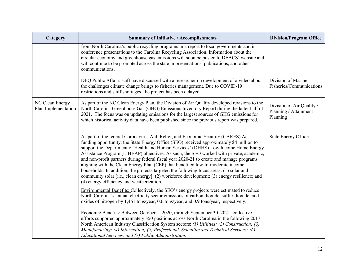| Category                               | <b>Summary of Initiative / Accomplishments</b>                                                                                                                                                                                                                                                                                                                                                                                                                                                                                                                                                                                                                                                                                                                                       | <b>Division/Program Office</b>                                 |
|----------------------------------------|--------------------------------------------------------------------------------------------------------------------------------------------------------------------------------------------------------------------------------------------------------------------------------------------------------------------------------------------------------------------------------------------------------------------------------------------------------------------------------------------------------------------------------------------------------------------------------------------------------------------------------------------------------------------------------------------------------------------------------------------------------------------------------------|----------------------------------------------------------------|
|                                        | from North Carolina's public recycling programs in a report to local governments and in<br>conference presentations to the Carolina Recycling Association. Information about the<br>circular economy and greenhouse gas emissions will soon be posted to DEACS' website and<br>will continue to be promoted across the state in presentations, publications, and other<br>communications.                                                                                                                                                                                                                                                                                                                                                                                            |                                                                |
|                                        | DEQ Public Affairs staff have discussed with a researcher on development of a video about<br>the challenges climate change brings to fisheries management. Due to COVID-19<br>restrictions and staff shortages, the project has been delayed.                                                                                                                                                                                                                                                                                                                                                                                                                                                                                                                                        | Division of Marine<br>Fisheries/Communications                 |
| NC Clean Energy<br>Plan Implementation | As part of the NC Clean Energy Plan, the Division of Air Quality developed revisions to the<br>North Carolina Greenhouse Gas (GHG) Emissions Inventory Report during the latter half of<br>2021. The focus was on updating emissions for the largest sources of GHG emissions for<br>which historical activity data have been published since the previous report was prepared.                                                                                                                                                                                                                                                                                                                                                                                                      | Division of Air Quality /<br>Planning / Attainment<br>Planning |
|                                        | As part of the federal Coronavirus Aid, Relief, and Economic Security (CARES) Act<br>funding opportunity, the State Energy Office (SEO) received approximately \$4 million to<br>support the Department of Health and Human Services' (DHHS) Low Income Home Energy<br>Assistance Program (LIHEAP) objectives. As such, the SEO worked with private, academic,<br>and non-profit partners during federal fiscal year 2020-21 to create and manage programs<br>aligning with the Clean Energy Plan (CEP) that benefited low-to-moderate income<br>households. In addition, the projects targeted the following focus areas: (1) solar and<br>community solar [i.e., clean energy]; (2) workforce development; (3) energy resilience; and<br>(4) energy efficiency and weatherization. | <b>State Energy Office</b>                                     |
|                                        | Environmental Benefits: Collectively, the SEO's energy projects were estimated to reduce<br>North Carolina's annual electricity sector emissions of carbon dioxide, sulfur dioxide, and<br>oxides of nitrogen by 1,461 tons/year, 0.6 tons/year, and 0.9 tons/year, respectively.                                                                                                                                                                                                                                                                                                                                                                                                                                                                                                    |                                                                |
|                                        | Economic Benefits: Between October 1, 2020, through September 30, 2021, collective<br>efforts supported approximately 350 positions across North Carolina in the following 2017<br>North American Industry Classification System sectors: (1) Utilities; (2) Construction; (3)<br>Manufacturing; (4) Information; (5) Professional, Scientific and Technical Services; (6)<br>Educational Services; and (7) Public Administration.                                                                                                                                                                                                                                                                                                                                                   |                                                                |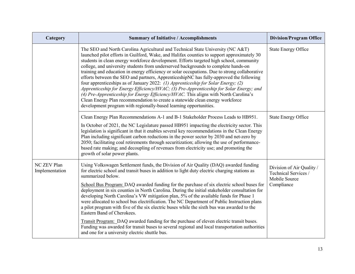| Category                             | <b>Summary of Initiative / Accomplishments</b>                                                                                                                                                                                                                                                                                                                                                                                                                                                                                                                                                                                                                                                                                                                                                                                                                                                                                                                                           | <b>Division/Program Office</b>                                                   |
|--------------------------------------|------------------------------------------------------------------------------------------------------------------------------------------------------------------------------------------------------------------------------------------------------------------------------------------------------------------------------------------------------------------------------------------------------------------------------------------------------------------------------------------------------------------------------------------------------------------------------------------------------------------------------------------------------------------------------------------------------------------------------------------------------------------------------------------------------------------------------------------------------------------------------------------------------------------------------------------------------------------------------------------|----------------------------------------------------------------------------------|
|                                      | The SEO and North Carolina Agricultural and Technical State University (NC A&T)<br>launched pilot efforts in Guilford, Wake, and Halifax counties to support approximately 30<br>students in clean energy workforce development. Efforts targeted high school, community<br>college, and university students from underserved backgrounds to complete hands-on<br>training and education in energy efficiency or solar occupations. Due to strong collaborative<br>efforts between the SEO and partners, ApprenticeshipNC has fully-approved the following<br>four apprenticeships as of January 2022: (1) Apprenticeship for Solar Energy; (2)<br>Apprenticeship for Energy Efficiency/HVAC; (3) Pre-Apprenticeship for Solar Energy; and<br>(4) Pre-Apprenticeship for Energy Efficiency/HVAC. This aligns with North Carolina's<br>Clean Energy Plan recommendation to create a statewide clean energy workforce<br>development program with regionally-based learning opportunities. | <b>State Energy Office</b>                                                       |
|                                      | Clean Energy Plan Recommendations A-1 and B-1 Stakeholder Process Leads to HB951.<br>In October of 2021, the NC Legislature passed HB951 impacting the electricity sector. This<br>legislation is significant in that it enables several key recommendations in the Clean Energy<br>Plan including significant carbon reductions in the power sector by 2030 and net-zero by<br>2050; facilitating coal retirements through securitization; allowing the use of performance-<br>based rate making; and decoupling of revenues from electricity use; and promoting the<br>growth of solar power plants.                                                                                                                                                                                                                                                                                                                                                                                   | <b>State Energy Office</b>                                                       |
| <b>NC ZEV Plan</b><br>Implementation | Using Volkswagen Settlement funds, the Division of Air Quality (DAQ) awarded funding<br>for electric school and transit buses in addition to light duty electric charging stations as<br>summarized below.<br>School Bus Program: DAQ awarded funding for the purchase of six electric school buses for<br>deployment in six counties in North Carolina. During the initial stakeholder consultation for<br>developing North Carolina's VW mitigation plan, 5% of the available funds for Phase 1<br>were allocated to school bus electrification. The NC Department of Public Instruction plans<br>a pilot program with five of the six electric buses while the sixth bus was awarded to the<br>Eastern Band of Cherokees.<br>Transit Program: DAQ awarded funding for the purchase of eleven electric transit buses.<br>Funding was awarded for transit buses to several regional and local transportation authorities<br>and one for a university electric shuttle bus.              | Division of Air Quality /<br>Technical Services /<br>Mobile Source<br>Compliance |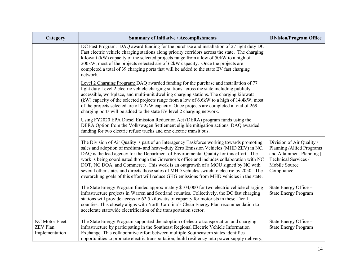| Category                                            | <b>Summary of Initiative / Accomplishments</b>                                                                                                                                                                                                                                                                                                                                                                                                                                                                                                                                                                                                              | <b>Division/Program Office</b>                                                                                                              |
|-----------------------------------------------------|-------------------------------------------------------------------------------------------------------------------------------------------------------------------------------------------------------------------------------------------------------------------------------------------------------------------------------------------------------------------------------------------------------------------------------------------------------------------------------------------------------------------------------------------------------------------------------------------------------------------------------------------------------------|---------------------------------------------------------------------------------------------------------------------------------------------|
|                                                     | DC Fast Program: DAQ award funding for the purchase and installation of 27 light duty DC<br>Fast electric vehicle charging stations along priority corridors across the state. The charging<br>kilowatt (kW) capacity of the selected projects range from a low of 50kW to a high of<br>200kW, most of the projects selected are of 62kW capacity. Once the projects are<br>completed a total of 39 charging ports that will be added to the state EV fast charging<br>network.                                                                                                                                                                             |                                                                                                                                             |
|                                                     | Level 2 Charging Program: DAQ awarded funding for the purchase and installation of 77<br>light duty Level 2 electric vehicle charging stations across the state including publicly<br>accessible, workplace, and multi-unit dwelling charging stations. The charging kilowatt<br>(kW) capacity of the selected projects range from a low of 6.6kW to a high of 14.4kW, most<br>of the projects selected are of 7.2kW capacity. Once projects are completed a total of 269<br>charging ports will be added to the state EV level 2 charging network.                                                                                                         |                                                                                                                                             |
|                                                     | Using FY2020 EPA Diesel Emission Reduction Act (DERA) program funds using the<br>DERA Option from the Volkswagen Settlement eligible mitigation actions, DAQ awarded<br>funding for two electric refuse trucks and one electric transit bus.                                                                                                                                                                                                                                                                                                                                                                                                                |                                                                                                                                             |
|                                                     | The Division of Air Quality is part of an Interagency Taskforce working towards promoting<br>sales and adoption of medium- and heavy-duty Zero Emission Vehicles (MHD ZEV) in NC.<br>DAQ is the lead agency for the Department of Environmental Quality for this effort. The<br>work is being coordinated through the Governor's office and includes collaboration with NC<br>DOT, NC DOA, and Commerce. This work is an outgrowth of a MOU signed by NC with<br>several other states and directs those sales of MHD vehicles switch to electric by 2050. The<br>overarching goals of this effort will reduce GHG emissions from MHD vehicles in the state. | Division of Air Quality /<br>Planning / Allied Programs<br>and Attainment Planning  <br>Technical Services /<br>Mobile Source<br>Compliance |
|                                                     | The State Energy Program funded approximately \$104,000 for two electric vehicle charging<br>infrastructure projects in Warren and Scotland counties. Collectively, the DC fast charging<br>stations will provide access to 62.5 kilowatts of capacity for motorists in these Tier 1<br>counties. This closely aligns with North Carolina's Clean Energy Plan recommendation to<br>accelerate statewide electrification of the transportation sector.                                                                                                                                                                                                       | State Energy Office -<br><b>State Energy Program</b>                                                                                        |
| NC Motor Fleet<br><b>ZEV Plan</b><br>Implementation | The State Energy Program supported the adoption of electric transportation and charging<br>infrastructure by participating in the Southeast Regional Electric Vehicle Information<br>Exchange. This collaborative effort between multiple Southeastern states identifies<br>opportunities to promote electric transportation, build resiliency into power supply delivery,                                                                                                                                                                                                                                                                                  | State Energy Office -<br><b>State Energy Program</b>                                                                                        |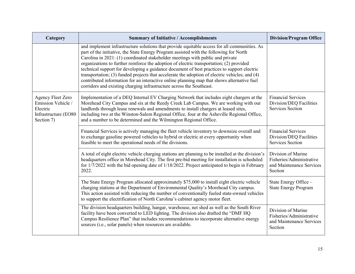| Category                                                                                  | <b>Summary of Initiative / Accomplishments</b>                                                                                                                                                                                                                                                                                                                                                                                                                                                                                                                                                                                                                                                                                             | <b>Division/Program Office</b>                                                        |
|-------------------------------------------------------------------------------------------|--------------------------------------------------------------------------------------------------------------------------------------------------------------------------------------------------------------------------------------------------------------------------------------------------------------------------------------------------------------------------------------------------------------------------------------------------------------------------------------------------------------------------------------------------------------------------------------------------------------------------------------------------------------------------------------------------------------------------------------------|---------------------------------------------------------------------------------------|
|                                                                                           | and implement infrastructure solutions that provide equitable access for all communities. As<br>part of the initiative, the State Energy Program assisted with the following for North<br>Carolina in 2021: (1) coordinated stakeholder meetings with public and private<br>organizations to further reinforce the adoption of electric transportation; (2) provided<br>technical support for developing a guidance document of best practices to support electric<br>transportation; (3) funded projects that accelerate the adoption of electric vehicles; and (4)<br>contributed information for an interactive online planning map that shows alternative fuel<br>corridors and existing charging infrastructure across the Southeast. |                                                                                       |
| Agency Fleet Zero<br>Emission Vehicle /<br>Electric<br>Infrastructure (EO80<br>Section 7) | Implementation of a DEQ Internal EV Charging Network that includes eight chargers at the<br>Morehead City Campus and six at the Reedy Creek Lab Campus. We are working with our<br>landlords through lease renewals and amendments to install chargers at leased sites,<br>including two at the Winston-Salem Regional Office, four at the Asheville Regional Office,<br>and a number to be determined and the Wilmington Regional Office.                                                                                                                                                                                                                                                                                                 | <b>Financial Services</b><br>Division/DEQ Facilities<br><b>Services Section</b>       |
|                                                                                           | Financial Services is actively managing the fleet vehicle inventory to downsize overall and<br>to exchange gasoline powered vehicles to hybrid or electric at every opportunity when<br>feasible to meet the operational needs of the divisions.                                                                                                                                                                                                                                                                                                                                                                                                                                                                                           | <b>Financial Services</b><br>Division/DEQ Facilities<br><b>Services Section</b>       |
|                                                                                           | A total of eight electric vehicle charging stations are planning to be installed at the division's<br>headquarters office in Morehead City. The first pre-bid meeting for installation is scheduled<br>for 1/7/2022 with the bid opening date of 1/18/2022. Project anticipated to begin in February<br>2022.                                                                                                                                                                                                                                                                                                                                                                                                                              | Division of Marine<br>Fisheries/Administrative<br>and Maintenance Services<br>Section |
|                                                                                           | The State Energy Program allocated approximately \$75,000 to install eight electric vehicle<br>charging stations at the Department of Environmental Quality's Morehead City campus.<br>This action assisted with reducing the number of conventionally fueled state-owned vehicles<br>to support the electrification of North Carolina's cabinet agency motor fleet.                                                                                                                                                                                                                                                                                                                                                                       | State Energy Office -<br><b>State Energy Program</b>                                  |
|                                                                                           | The division headquarters building, hangar, warehouse, net shed as well as the South River<br>facility have been converted to LED lighting. The division also drafted the "DMF HQ<br>Campus Resilience Plan" that includes recommendations to incorporate alternative energy<br>sources (i.e., solar panels) when resources are available.                                                                                                                                                                                                                                                                                                                                                                                                 | Division of Marine<br>Fisheries/Administrative<br>and Maintenance Services<br>Section |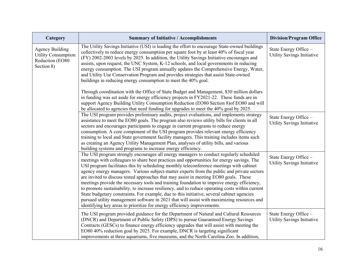| Category                                                                              | <b>Summary of Initiative / Accomplishments</b>                                                                                                                                                                                                                                                                                                                                                                                                                                                                                                                                                                                                                                                                                                                                                                                                                                                                                                 | <b>Division/Program Office</b>                      |
|---------------------------------------------------------------------------------------|------------------------------------------------------------------------------------------------------------------------------------------------------------------------------------------------------------------------------------------------------------------------------------------------------------------------------------------------------------------------------------------------------------------------------------------------------------------------------------------------------------------------------------------------------------------------------------------------------------------------------------------------------------------------------------------------------------------------------------------------------------------------------------------------------------------------------------------------------------------------------------------------------------------------------------------------|-----------------------------------------------------|
| <b>Agency Building</b><br><b>Utility Consumption</b><br>Reduction (EO80<br>Section 8) | The Utility Savings Initiative (USI) is leading the effort to encourage State-owned buildings<br>collectively to reduce energy consumption per square foot by at least 40% of fiscal year<br>(FY) 2002-2003 levels by 2025. In addition, the Utility Savings Initiative encourages and<br>assists, upon request, the UNC System, K-12 schools, and local governments in reducing<br>energy consumption. The USI program annually updates the Comprehensive Energy, Water,<br>and Utility Use Conservation Program and provides strategies that assist State-owned<br>buildings in reducing energy consumption to meet the 40% goal.                                                                                                                                                                                                                                                                                                            | State Energy Office -<br>Utility Savings Initiative |
|                                                                                       | Through coordination with the Office of State Budget and Management, \$30 million dollars<br>in funding was set aside for energy efficiency projects in FY2021-22. These funds are in<br>support Agency Building Utility Consumption Reduction (EO80 Section 8) of EO80 and will<br>be allocated to agencies that need funding for upgrades to meet the 40% goal by 2025.                                                                                                                                                                                                                                                                                                                                                                                                                                                                                                                                                                      |                                                     |
|                                                                                       | The USI program provides preliminary audits, project evaluations, and implements strategy<br>assistance to meet the EO80 goals. The program also reviews utility bills for clients in all<br>sectors and encourages participants to engage in current programs to reduce energy<br>consumption. A core component of the USI program provides relevant energy efficiency<br>training to local and State government facility managers. This training includes items such<br>as creating an Agency Utility Management Plan, analyses of utility bills, and various<br>building systems and programs to increase energy efficiency.                                                                                                                                                                                                                                                                                                                | State Energy Office -<br>Utility Savings Initiative |
|                                                                                       | The USI program strongly encourages all energy managers to conduct regularly scheduled<br>meetings with colleagues to share best practices and opportunities for energy savings. The<br>USI program facilitates this by scheduling monthly teleconference meetings with cabinet<br>agency energy managers. Various subject-matter experts from the public and private sectors<br>are invited to discuss tested approaches that may assist in meeting EO80 goals. These<br>meetings provide the necessary tools and training foundation to improve energy efficiency,<br>to promote sustainability, to increase resiliency, and to reduce operating costs within current<br>State budgetary constraints. For example, due to this initiative, several cabinet agencies<br>pursued utility management software in 2021 that will assist with maximizing resources and<br>identifying key areas to prioritize for energy efficiency improvements. | State Energy Office -<br>Utility Savings Initiative |
|                                                                                       | The USI program provided guidance for the Department of Natural and Cultural Resources<br>(DNCR) and Department of Public Safety (DPS) to pursue Guaranteed Energy Savings<br>Contracts (GESCs) to finance energy efficiency upgrades that will assist with meeting the<br>EO80 40% reduction goal by 2025. For example, DNCR is targeting significant<br>improvements at three aquariums, five museums, and the North Carolina Zoo. In addition,                                                                                                                                                                                                                                                                                                                                                                                                                                                                                              | State Energy Office -<br>Utility Savings Initiative |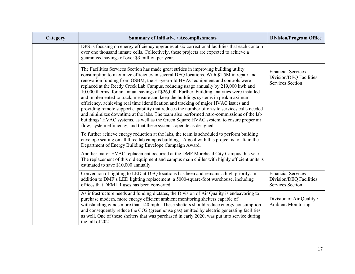| Category | <b>Summary of Initiative / Accomplishments</b>                                                                                                                                                                                                                                                                                                                                                                                                                                                                                                                                                                                                                                                                                                                                                                                                                                                                                                                                                                                                                                                                                                                                                                                                            | <b>Division/Program Office</b>                                                  |
|----------|-----------------------------------------------------------------------------------------------------------------------------------------------------------------------------------------------------------------------------------------------------------------------------------------------------------------------------------------------------------------------------------------------------------------------------------------------------------------------------------------------------------------------------------------------------------------------------------------------------------------------------------------------------------------------------------------------------------------------------------------------------------------------------------------------------------------------------------------------------------------------------------------------------------------------------------------------------------------------------------------------------------------------------------------------------------------------------------------------------------------------------------------------------------------------------------------------------------------------------------------------------------|---------------------------------------------------------------------------------|
|          | DPS is focusing on energy efficiency upgrades at six correctional facilities that each contain<br>over one thousand inmate cells. Collectively, these projects are expected to achieve a<br>guaranteed savings of over \$3 million per year.                                                                                                                                                                                                                                                                                                                                                                                                                                                                                                                                                                                                                                                                                                                                                                                                                                                                                                                                                                                                              |                                                                                 |
|          | The Facilities Services Section has made great strides in improving building utility<br>consumption to maximize efficiency in several DEQ locations. With \$1.5M in repair and<br>renovation funding from OSBM, the 31-year-old HVAC equipment and controls were<br>replaced at the Reedy Creek Lab Campus, reducing usage annually by 219,000 kwh and<br>10,000 therms, for an annual savings of \$26,000. Further, building analytics were installed<br>and implemented to track, measure and keep the buildings systems in peak maximum<br>efficiency, achieving real time identification and tracking of major HVAC issues and<br>providing remote support capability that reduces the number of on-site services calls needed<br>and minimizes downtime at the labs. The team also performed retro-commissions of the lab<br>buildings' HVAC systems, as well as the Green Square HVAC system, to ensure proper air<br>flow, system efficiency, and that these systems operate as designed.<br>To further achieve energy reduction at the labs, the team is scheduled to perform building<br>envelope sealing on all three lab campus buildings. A goal with this project is to attain the<br>Department of Energy Building Envelope Campaign Award. | <b>Financial Services</b><br>Division/DEQ Facilities<br><b>Services Section</b> |
|          | Another major HVAC replacement occurred at the DMF Morehead City Campus this year.<br>The replacement of this old equipment and campus main chiller with highly efficient units is<br>estimated to save \$10,000 annually.                                                                                                                                                                                                                                                                                                                                                                                                                                                                                                                                                                                                                                                                                                                                                                                                                                                                                                                                                                                                                                |                                                                                 |
|          | Conversion of lighting to LED at DEQ locations has been and remains a high priority. In<br>addition to DMF's LED lighting replacement, a 5000-square-foot warehouse, including<br>offices that DEMLR uses has been converted.                                                                                                                                                                                                                                                                                                                                                                                                                                                                                                                                                                                                                                                                                                                                                                                                                                                                                                                                                                                                                             | <b>Financial Services</b><br>Division/DEQ Facilities<br><b>Services Section</b> |
|          | As infrastructure needs and funding dictates, the Division of Air Quality is endeavoring to<br>purchase modern, more energy efficient ambient monitoring shelters capable of<br>withstanding winds more than 140 mph. These shelters should reduce energy consumption<br>and consequently reduce the CO2 (greenhouse gas) emitted by electric generating facilities<br>as well. One of these shelters that was purchased in early 2020, was put into service during<br>the fall of 2021.                                                                                                                                                                                                                                                                                                                                                                                                                                                                                                                                                                                                                                                                                                                                                                  | Division of Air Quality /<br><b>Ambient Monitoring</b>                          |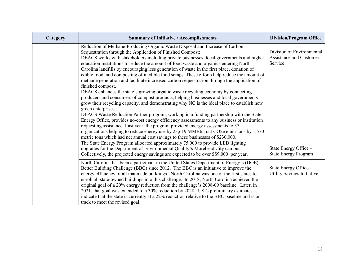| Category | <b>Summary of Initiative / Accomplishments</b>                                                                                                                                                                                                                                                                                                                                                                                                                                                                                                                                                                                                                                                                                                                                                                                                                                                                                                                                                                                                                                                                                                                                                                                                                                                                                                                                                                 | <b>Division/Program Office</b>                                  |
|----------|----------------------------------------------------------------------------------------------------------------------------------------------------------------------------------------------------------------------------------------------------------------------------------------------------------------------------------------------------------------------------------------------------------------------------------------------------------------------------------------------------------------------------------------------------------------------------------------------------------------------------------------------------------------------------------------------------------------------------------------------------------------------------------------------------------------------------------------------------------------------------------------------------------------------------------------------------------------------------------------------------------------------------------------------------------------------------------------------------------------------------------------------------------------------------------------------------------------------------------------------------------------------------------------------------------------------------------------------------------------------------------------------------------------|-----------------------------------------------------------------|
|          | Reduction of Methane-Producing Organic Waste Disposal and Increase of Carbon<br>Sequestration through the Application of Finished Compost:<br>DEACS works with stakeholders including private businesses, local governments and higher<br>education institutions to reduce the amount of food waste and organics entering North<br>Carolina landfills by encouraging less generation of waste in the first place, donation of<br>edible food, and composting of inedible food scraps. These efforts help reduce the amount of<br>methane generation and facilitate increased carbon sequestration through the application of<br>finished compost.<br>DEACS enhances the state's growing organic waste recycling economy by connecting<br>producers and consumers of compost products, helping businesses and local governments<br>grow their recycling capacity, and demonstrating why NC is the ideal place to establish new<br>green enterprises.<br>DEACS Waste Reduction Partner program, working in a funding partnership with the State<br>Energy Office, provides no-cost energy efficiency assessments to any business or institution<br>requesting assistance. Last year, the program provided energy assessments to 37<br>organizations helping to reduce energy use by 23,619 MMBtu, cut CO2e emissions by 1,570<br>metric tons which had net annual cost savings to these businesses of \$230,000. | Division of Environmental<br>Assistance and Customer<br>Service |
|          | The State Energy Program allocated approximately 75,000 to provide LED lighting<br>upgrades for the Department of Environmental Quality's Morehead City campus.<br>Collectively, the projected energy savings are expected to be over \$\$9,000 per year.                                                                                                                                                                                                                                                                                                                                                                                                                                                                                                                                                                                                                                                                                                                                                                                                                                                                                                                                                                                                                                                                                                                                                      | State Energy Office -<br><b>State Energy Program</b>            |
|          | North Carolina has been a participant in the United States Department of Energy's (DOE)<br>Better Building Challenge (BBC) since 2012. The BBC is an initiative to improve the<br>energy efficiency of all manmade buildings. North Carolina was one of the first states to<br>enroll all state-owned buildings into this challenge. In 2018, North Carolina achieved the<br>original goal of a 20% energy reduction from the challenge's 2008-09 baseline. Later, in<br>2021, that goal was extended to a 30% reduction by 2028. USI's preliminary estimates<br>indicate that the state is currently at a 22% reduction relative to the BBC baseline and is on<br>track to meet the revised goal.                                                                                                                                                                                                                                                                                                                                                                                                                                                                                                                                                                                                                                                                                                             | State Energy Office -<br>Utility Savings Initiative             |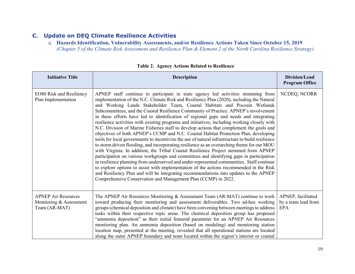#### **C. Update on DEQ Climate Resilience Activities**

a. **Hazards Identification, Vulnerability Assessments, and/or Resilience Actions Taken Since October 15, 2019** *(Chapter 5 of the Climate Risk Assessment and Resilience Plan & Element 2 of the North Carolina Resilience Strategy)*

| <b>Initiative Title</b>                                                | <b>Description</b>                                                                                                                                                                                                                                                                                                                                                                                                                                                                                                                                                                                                                                                                                                                                                                                                                                                                                                                                                                                                                                                                                                                                                                                                                                                                                                                                                                                                                                                        | Division/Lead<br><b>Program Office</b>                  |
|------------------------------------------------------------------------|---------------------------------------------------------------------------------------------------------------------------------------------------------------------------------------------------------------------------------------------------------------------------------------------------------------------------------------------------------------------------------------------------------------------------------------------------------------------------------------------------------------------------------------------------------------------------------------------------------------------------------------------------------------------------------------------------------------------------------------------------------------------------------------------------------------------------------------------------------------------------------------------------------------------------------------------------------------------------------------------------------------------------------------------------------------------------------------------------------------------------------------------------------------------------------------------------------------------------------------------------------------------------------------------------------------------------------------------------------------------------------------------------------------------------------------------------------------------------|---------------------------------------------------------|
| EO80 Risk and Resiliency<br>Plan Implementation                        | APNEP staff continue to participate in state agency led activities stemming from<br>implementation of the N.C. Climate Risk and Resiliency Plan (2020), including the Natural<br>and Working Lands Stakeholder Team, Coastal Habitats and Pocosin Wetlands<br>Subcommittees, and the Coastal Resilience Community of Practice. APNEP's involvement<br>in these efforts have led to identification of regional gaps and needs and integrating<br>resilience activities with existing programs and initiatives, including working closely with<br>N.C. Division of Marine Fisheries staff to develop actions that complement the goals and<br>objectives of both APNEP's CCMP and N.C. Coastal Habitat Protection Plan, developing<br>tools for local governments to incentivize the use of natural infrastructure to build resilience<br>to storm driven flooding, and incorporating resilience as an overarching theme for our MOU<br>with Virginia. In addition, the Tribal Coastal Resilience Project stemmed from APNEP<br>participation on various workgroups and committees and identifying gaps in participation<br>in resilience planning from underserved and under-represented communities. Staff continue<br>to explore options to assist with implementation of the actions recommended in the Risk<br>and Resiliency Plan and will be integrating recommendations into updates to the APNEP<br>Comprehensive Conservation and Management Plan (CCMP) in 2022. | NCDEQ, NCORR                                            |
| <b>APNEP Air Resources</b><br>Monitoring & Assessment<br>Team (AR-MAT) | The APNEP Air Resources Monitoring & Assessment Team (AR-MAT) continue to work<br>toward producing their monitoring and assessment deliverables. Two ad-hoc working<br>groups (chemical deposition and climate) have been convening between meetings to address<br>tasks within their respective topic areas. The chemical deposition group has proposed<br>"ammonia deposition" as their initial featured parameter for an APNEP Air Resources<br>monitoring plan. An ammonia deposition (based on modeling) and monitoring station<br>location map, presented at the meeting, revealed that all operational stations are located<br>along the outer APNEP boundary and none located within the region's interior or coastal                                                                                                                                                                                                                                                                                                                                                                                                                                                                                                                                                                                                                                                                                                                                             | APNEP, facilitated<br>by a team lead from<br><b>EPA</b> |

|  |  |  |  |  | <b>Table 2. Agency Actions Related to Resilience</b> |
|--|--|--|--|--|------------------------------------------------------|
|--|--|--|--|--|------------------------------------------------------|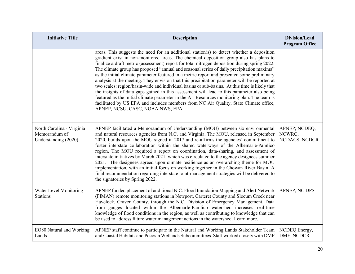| <b>Initiative Title</b>                                            | <b>Description</b>                                                                                                                                                                                                                                                                                                                                                                                                                                                                                                                                                                                                                                                                                                                                                                                                                                                                                                                                                                                            | <b>Division/Lead</b><br><b>Program Office</b> |
|--------------------------------------------------------------------|---------------------------------------------------------------------------------------------------------------------------------------------------------------------------------------------------------------------------------------------------------------------------------------------------------------------------------------------------------------------------------------------------------------------------------------------------------------------------------------------------------------------------------------------------------------------------------------------------------------------------------------------------------------------------------------------------------------------------------------------------------------------------------------------------------------------------------------------------------------------------------------------------------------------------------------------------------------------------------------------------------------|-----------------------------------------------|
|                                                                    | areas. This suggests the need for an additional station(s) to detect whether a deposition<br>gradient exist in non-monitored areas. The chemical deposition group also has plans to<br>finalize a draft metric (assessment) report for total nitrogen deposition during spring 2022.<br>The climate group has proposed "annual and seasonal series of daily precipitation maxima"<br>as the initial climate parameter featured in a metric report and presented some preliminary<br>analysis at the meeting. They envision that this precipitation parameter will be reported at<br>two scales: region/basin-wide and individual basins or sub-basins. At this time is likely that<br>the insights of data gaps gained in this assessment will lead to this parameter also being<br>featured as the initial climate parameter in the Air Resources monitoring plan. The team is<br>facilitated by US EPA and includes members from NC Air Quality, State Climate office,<br>APNEP, NCSU, CASC, NOAA NWS, EPA. |                                               |
| North Carolina - Virginia<br>Memorandum of<br>Understanding (2020) | APNEP facilitated a Memorandum of Understanding (MOU) between six environmental<br>and natural resources agencies from N.C. and Virginia. The MOU, released in September<br>2020, builds upon the MOU signed in 2017 and re-affirms the agencies' commitment to<br>foster interstate collaboration within the shared waterways of the Albemarle-Pamlico<br>region. The MOU required a report on coordination, data-sharing, and assessment of<br>interstate initiatives by March 2021, which was circulated to the agency designees summer<br>2021. The designees agreed upon climate resilience as an overarching theme for MOU<br>implementation, with an initial focus on working together in the Chowan River Basin. A<br>final recommendation regarding interstate joint-management strategies will be delivered to<br>the signatories by Spring 2022.                                                                                                                                                   | APNEP; NCDEQ,<br>NCWRC,<br>NCDACS, NCDCR      |
| Water Level Monitoring<br><b>Stations</b>                          | APNEP funded placement of additional N.C. Flood Inundation Mapping and Alert Network<br>(FIMAN) remote monitoring stations in Newport, Carteret County and Slocum Creek near<br>Havelock, Craven County, through the N.C. Division of Emergency Management. Data<br>from gauges located within the Albemarle-Pamlico watershed increases real-time<br>knowledge of flood conditions in the region, as well as contributing to knowledge that can<br>be used to address future water management actions in the watershed. Learn more.                                                                                                                                                                                                                                                                                                                                                                                                                                                                          | APNEP, NC DPS                                 |
| EO80 Natural and Working<br>Lands                                  | APNEP staff continue to participate in the Natural and Working Lands Stakeholder Team<br>and Coastal Habitats and Pocosin Wetlands Subcommittees. Staff worked closely with DMF                                                                                                                                                                                                                                                                                                                                                                                                                                                                                                                                                                                                                                                                                                                                                                                                                               | NCDEQ Energy,<br>DMF, NCDCR                   |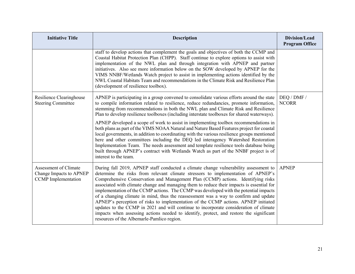| <b>Initiative Title</b>                                                        | <b>Description</b>                                                                                                                                                                                                                                                                                                                                                                                                                                                                                                                                                                                                                                                                                                                                                                                                                                                 | Division/Lead<br><b>Program Office</b> |
|--------------------------------------------------------------------------------|--------------------------------------------------------------------------------------------------------------------------------------------------------------------------------------------------------------------------------------------------------------------------------------------------------------------------------------------------------------------------------------------------------------------------------------------------------------------------------------------------------------------------------------------------------------------------------------------------------------------------------------------------------------------------------------------------------------------------------------------------------------------------------------------------------------------------------------------------------------------|----------------------------------------|
|                                                                                | staff to develop actions that complement the goals and objectives of both the CCMP and<br>Coastal Habitat Protection Plan (CHPP). Staff continue to explore options to assist with<br>implementation of the NWL plan and through integration with APNEP and partner<br>initiatives. Also see more information below on the SOW developed by APNEP for the<br>VIMS NNBF/Wetlands Watch project to assist in implementing actions identified by the<br>NWL Coastal Habitats Team and recommendations in the Climate Risk and Resilience Plan<br>(development of resilience toolbox).                                                                                                                                                                                                                                                                                 |                                        |
| Resilience Clearinghouse<br><b>Steering Committee</b>                          | APNEP is participating in a group convened to consolidate various efforts around the state<br>to compile information related to resilience, reduce redundancies, promote information,<br>stemming from recommendations in both the NWL plan and Climate Risk and Resilience<br>Plan to develop resilience toolboxes (including interstate toolboxes for shared waterways).                                                                                                                                                                                                                                                                                                                                                                                                                                                                                         | DEQ / DMF /<br><b>NCORR</b>            |
|                                                                                | APNEP developed a scope of work to assist in implementing toolbox recommendations in<br>both plans as part of the VIMS NOAA Natural and Nature Based Features project for coastal<br>local governments, in addition to coordinating with the various resilience groups mentioned<br>here and other committees including the DEQ led interagency Watershed Restoration<br>Implementation Team. The needs assessment and template resilience tools database being<br>built through APNEP's contract with Wetlands Watch as part of the NNBF project is of<br>interest to the team.                                                                                                                                                                                                                                                                                   |                                        |
| Assessment of Climate<br>Change Impacts to APNEP<br><b>CCMP</b> Implementation | During fall 2019, APNEP staff conducted a climate change vulnerability assessment to<br>determine the risks from relevant climate stressors to implementation of APNEP's<br>Comprehensive Conservation and Management Plan (CCMP) actions. Identifying risks<br>associated with climate change and managing them to reduce their impacts is essential for<br>implementation of the CCMP actions. The CCMP was developed with the potential impacts<br>of a changing climate in mind, thus the reassessment was a way to confirm and update<br>APNEP's perception of risks to implementation of the CCMP actions. APNEP initiated<br>updates to the CCMP in 2021 and will continue to incorporate consideration of climate<br>impacts when assessing actions needed to identify, protect, and restore the significant<br>resources of the Albemarle-Pamlico region. | <b>APNEP</b>                           |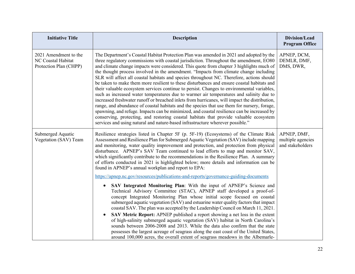| <b>Initiative Title</b>                                               | <b>Description</b>                                                                                                                                                                                                                                                                                                                                                                                                                                                                                                                                                                                                                                                                                                                                                                                                                                                                                                                                                                                                                                                                                                                                                                                                                                                                                                                                                                                                                                                                                                                                                | Division/Lead<br><b>Program Office</b>               |
|-----------------------------------------------------------------------|-------------------------------------------------------------------------------------------------------------------------------------------------------------------------------------------------------------------------------------------------------------------------------------------------------------------------------------------------------------------------------------------------------------------------------------------------------------------------------------------------------------------------------------------------------------------------------------------------------------------------------------------------------------------------------------------------------------------------------------------------------------------------------------------------------------------------------------------------------------------------------------------------------------------------------------------------------------------------------------------------------------------------------------------------------------------------------------------------------------------------------------------------------------------------------------------------------------------------------------------------------------------------------------------------------------------------------------------------------------------------------------------------------------------------------------------------------------------------------------------------------------------------------------------------------------------|------------------------------------------------------|
| 2021 Amendment to the<br>NC Coastal Habitat<br>Protection Plan (CHPP) | The Department's Coastal Habitat Protection Plan was amended in 2021 and adopted by the<br>three regulatory commissions with coastal jurisdiction. Throughout the amendment, EO80<br>and climate change impacts were considered. This quote from chapter 3 highlights much of<br>the thought process involved in the amendment. "Impacts from climate change including<br>SLR will affect all coastal habitats and species throughout NC. Therefore, actions should<br>be taken to make them more resilient to these disturbances and ensure coastal habitats and<br>their valuable ecosystem services continue to persist. Changes to environmental variables,<br>such as increased water temperatures due to warmer air temperatures and salinity due to<br>increased freshwater runoff or breached inlets from hurricanes, will impact the distribution,<br>range, and abundance of coastal habitats and the species that use them for nursery, forage,<br>spawning, and refuge. Impacts can be minimized, and coastal resilience can be increased by<br>conserving, protecting, and restoring coastal habitats that provide valuable ecosystem<br>services and using natural and nature-based infrastructure wherever possible."                                                                                                                                                                                                                                                                                                                              | APNEP, DCM,<br>DEMLR, DMF,<br>DMS, DWR,              |
| Submerged Aquatic<br>Vegetation (SAV) Team                            | Resilience strategies listed in Chapter 5F (p. 5F-19) (Ecosystems) of the Climate Risk<br>Assessment and Resilience Plan for Submerged Aquatic Vegetation (SAV) include mapping<br>and monitoring, water quality improvement and protection, and protection from physical<br>disturbance. APNEP's SAV Team continued to lead efforts to map and monitor SAV,<br>which significantly contribute to the recommendations in the Resilience Plan. A summary<br>of efforts conducted in 2021 is highlighted below; more details and information can be<br>found in APNEP's annual workplan and report to EPA:<br>https://apnep.nc.gov/resources/publications-and-reports/governance-guiding-documents<br>SAV Integrated Monitoring Plan: With the input of APNEP's Science and<br>$\bullet$<br>Technical Advisory Committee (STAC), APNEP staff developed a proof-of-<br>concept Integrated Monitoring Plan whose initial scope focused on coastal<br>submerged aquatic vegetation (SAV) and estuarine water quality factors that impact<br>coastal SAV. The plan was accepted by the Leadership Council on March 11, 2021.<br>SAV Metric Report: APNEP published a report showing a net loss in the extent<br>$\bullet$<br>of high-salinity submerged aquatic vegetation (SAV) habitat in North Carolina's<br>sounds between 2006-2008 and 2013. While the data also confirm that the state<br>possesses the largest acreage of seagrass along the east coast of the United States,<br>around 100,000 acres, the overall extent of seagrass meadows in the Albemarle- | APNEP, DMF,<br>multiple agencies<br>and stakeholders |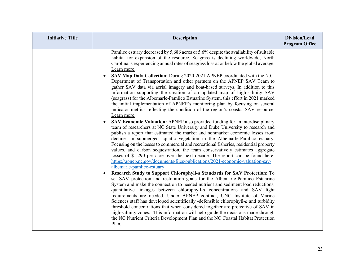| <b>Initiative Title</b> | <b>Description</b>                                                                                                                                                                                                                                                                                                                                                                                                                                                                                                                                                                                                                                                                                                                                                                                                                                                                                                                                                                                                                                                                                                                                                                                                                                                                                                                                                                                                                                                                                                                                                                                                                                                                                                                                                                                                                                                                                                                                                                                                                                                                                                                                                                                                                                                                                                                                          | Division/Lead<br><b>Program Office</b> |
|-------------------------|-------------------------------------------------------------------------------------------------------------------------------------------------------------------------------------------------------------------------------------------------------------------------------------------------------------------------------------------------------------------------------------------------------------------------------------------------------------------------------------------------------------------------------------------------------------------------------------------------------------------------------------------------------------------------------------------------------------------------------------------------------------------------------------------------------------------------------------------------------------------------------------------------------------------------------------------------------------------------------------------------------------------------------------------------------------------------------------------------------------------------------------------------------------------------------------------------------------------------------------------------------------------------------------------------------------------------------------------------------------------------------------------------------------------------------------------------------------------------------------------------------------------------------------------------------------------------------------------------------------------------------------------------------------------------------------------------------------------------------------------------------------------------------------------------------------------------------------------------------------------------------------------------------------------------------------------------------------------------------------------------------------------------------------------------------------------------------------------------------------------------------------------------------------------------------------------------------------------------------------------------------------------------------------------------------------------------------------------------------------|----------------------------------------|
|                         | Pamlico estuary decreased by 5,686 acres or 5.6% despite the availability of suitable<br>habitat for expansion of the resource. Seagrass is declining worldwide; North<br>Carolina is experiencing annual rates of seagrass loss at or below the global average.<br>Learn more.<br>SAV Map Data Collection: During 2020-2021 APNEP coordinated with the N.C.<br>Department of Transportation and other partners on the APNEP SAV Team to<br>gather SAV data via aerial imagery and boat-based surveys. In addition to this<br>information supporting the creation of an updated map of high-salinity SAV<br>(seagrass) for the Albemarle-Pamlico Estuarine System, this effort in 2021 marked<br>the initial implementation of APNEP's monitoring plan by focusing on several<br>indicator metrics reflecting the condition of the region's coastal SAV resource.<br>Learn more.<br>SAV Economic Valuation: APNEP also provided funding for an interdisciplinary<br>team of researchers at NC State University and Duke University to research and<br>publish a report that estimated the market and nonmarket economic losses from<br>declines in submerged aquatic vegetation in the Albemarle-Pamlico estuary.<br>Focusing on the losses to commercial and recreational fisheries, residential property<br>values, and carbon sequestration, the team conservatively estimates aggregate<br>losses of \$1,290 per acre over the next decade. The report can be found here:<br>https://apnep.nc.gov/documents/files/publications/2021-economic-valuation-sav-<br>albemarle-pamlico-estuary<br>Research Study to Support Chlorophyll-a Standards for SAV Protection: To<br>set SAV protection and restoration goals for the Albemarle-Pamlico Estuarine<br>System and make the connection to needed nutrient and sediment load reductions,<br>quantitative linkages between chlorophyll-a concentrations and SAV light<br>requirements are needed. Under APNEP contract, UNC Institute of Marine<br>Sciences staff has developed scientifically -defensible chlorophyll-a and turbidity<br>threshold concentrations that when considered together are protective of SAV in<br>high-salinity zones. This information will help guide the decisions made through<br>the NC Nutrient Criteria Development Plan and the NC Coastal Habitat Protection<br>Plan. |                                        |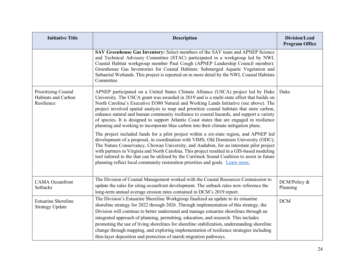| <b>Initiative Title</b>                                   | <b>Description</b>                                                                                                                                                                                                                                                                                                                                                                                                                                                                                                                                                                                                                                       | Division/Lead<br><b>Program Office</b> |
|-----------------------------------------------------------|----------------------------------------------------------------------------------------------------------------------------------------------------------------------------------------------------------------------------------------------------------------------------------------------------------------------------------------------------------------------------------------------------------------------------------------------------------------------------------------------------------------------------------------------------------------------------------------------------------------------------------------------------------|----------------------------------------|
|                                                           | SAV Greenhouse Gas Inventory: Select members of the SAV team and APNEP Science<br>and Technical Advisory Committee (STAC) participated in a workgroup led by NWL<br>Coastal Habitat workgroup member Paul Cough (APNEP Leadership Council member):<br>Greenhouse Gas Inventories for Coastal Habitats: Submerged Aquatic Vegetation and<br>Subaerial Wetlands. This project is reported on in more detail by the NWL Coastal Habitats<br>Committee.                                                                                                                                                                                                      |                                        |
| Prioritizing Coastal<br>Habitats and Carbon<br>Resilience | APNEP participated on a United States Climate Alliance (USCA) project led by Duke<br>University. The USCA grant was awarded in 2019 and is a multi-state effort that builds on<br>North Carolina's Executive EO80 Natural and Working Lands Initiative (see above). The<br>project involved spatial analysis to map and prioritize coastal habitats that store carbon,<br>enhance natural and human community resilience to coastal hazards, and support a variety<br>of species. It is designed to support Atlantic Coast states that are engaged in resilience<br>planning and working to incorporate blue carbon into their climate mitigation plans. | Duke                                   |
|                                                           | The project included funds for a pilot project within a six-state region, and APNEP led<br>development of a proposal, in coordination with VIMS, Old Dominion University (ODU),<br>The Nature Conservancy, Chowan University, and Audubon, for an interstate pilot project<br>with partners in Virginia and North Carolina. This project resulted in a GIS-based modeling<br>tool tailored to the that can be utilized by the Currituck Sound Coalition to assist in future<br>planning reflect local community restoration priorities and goals. Learn more.                                                                                            |                                        |
| <b>CAMA</b> Oceanfront<br><b>Setbacks</b>                 | The Division of Coastal Management worked with the Coastal Resources Commission to<br>update the rules for siting oceanfront development. The setback rules now reference the<br>long-term annual average erosion rates contained in DCM's 2019 report.                                                                                                                                                                                                                                                                                                                                                                                                  | DCM/Policy &<br>Planning               |
| <b>Estuarine Shoreline</b><br><b>Strategy Update</b>      | The Division's Estuarine Shoreline Workgroup finalized an update to its estuarine<br>shoreline strategy for 2022 through 2026. Through implementation of this strategy, the<br>Division will continue to better understand and manage estuarine shorelines through an<br>integrated approach of planning, permitting, education, and research. This includes<br>promoting the use of living shorelines for shoreline stabilization, understanding shoreline<br>change through mapping, and exploring implementation of resilience strategies including<br>thin-layer deposition and protection of marsh migration pathways.                              | <b>DCM</b>                             |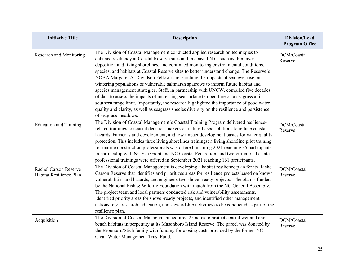| <b>Initiative Title</b>                          | <b>Description</b>                                                                                                                                                                                                                                                                                                                                                                                                                                                                                                                                                                                                                                                                                                                                                                                                                                                                                                                            | Division/Lead<br><b>Program Office</b> |
|--------------------------------------------------|-----------------------------------------------------------------------------------------------------------------------------------------------------------------------------------------------------------------------------------------------------------------------------------------------------------------------------------------------------------------------------------------------------------------------------------------------------------------------------------------------------------------------------------------------------------------------------------------------------------------------------------------------------------------------------------------------------------------------------------------------------------------------------------------------------------------------------------------------------------------------------------------------------------------------------------------------|----------------------------------------|
| Research and Monitoring                          | The Division of Coastal Management conducted applied research on techniques to<br>enhance resiliency at Coastal Reserve sites and in coastal N.C. such as thin layer<br>deposition and living shorelines, and continued monitoring environmental conditions,<br>species, and habitats at Coastal Reserve sites to better understand change. The Reserve's<br>NOAA Margaret A. Davidson Fellow is researching the impacts of sea level rise on<br>wintering populations of vulnerable saltmarsh sparrows to inform future habitat and<br>species management strategies. Staff, in partnership with UNCW, compiled five decades<br>of data to assess the impacts of increasing sea surface temperature on a seagrass at its<br>southern range limit. Importantly, the research highlighted the importance of good water<br>quality and clarity, as well as seagrass species diversity on the resilience and persistence<br>of seagrass meadows. | DCM/Coastal<br>Reserve                 |
| <b>Education and Training</b>                    | The Division of Coastal Management's Coastal Training Program delivered resilience-<br>related trainings to coastal decision-makers on nature-based solutions to reduce coastal<br>hazards, barrier island development, and low impact development basics for water quality<br>protection. This includes three living shorelines trainings: a living shoreline pilot training<br>for marine construction professionals was offered in spring 2021 reaching 35 participants<br>in partnership with NC Sea Grant and NC Coastal Federation, and two virtual real estate<br>professional trainings were offered in September 2021 reaching 161 participants.                                                                                                                                                                                                                                                                                     | DCM/Coastal<br>Reserve                 |
| Rachel Carson Reserve<br>Habitat Resilience Plan | The Division of Coastal Management is developing a habitat resilience plan for its Rachel<br>Carson Reserve that identifies and prioritizes areas for resilience projects based on known<br>vulnerabilities and hazards, and engineers two shovel-ready projects. The plan is funded<br>by the National Fish & Wildlife Foundation with match from the NC General Assembly.<br>The project team and local partners conducted risk and vulnerability assessments,<br>identified priority areas for shovel-ready projects, and identified other management<br>actions (e.g., research, education, and stewardship activities) to be conducted as part of the<br>resilience plan.                                                                                                                                                                                                                                                                | DCM/Coastal<br>Reserve                 |
| Acquisition                                      | The Division of Coastal Management acquired 25 acres to protect coastal wetland and<br>beach habitats in perpetuity at its Masonboro Island Reserve. The parcel was donated by<br>the Broussard/Stich family with funding for closing costs provided by the former NC<br>Clean Water Management Trust Fund.                                                                                                                                                                                                                                                                                                                                                                                                                                                                                                                                                                                                                                   | DCM/Coastal<br>Reserve                 |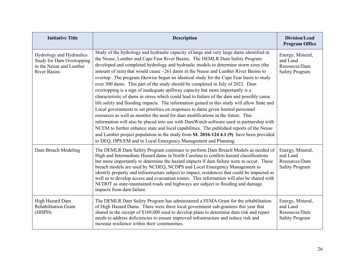| <b>Initiative Title</b>                                                                                        | <b>Description</b>                                                                                                                                                                                                                                                                                                                                                                                                                                                                                                                                                                                                                                                                                                                                                                                                                                                                                                                                                                                                                                                                                                                                                                                                                                                                                                                                 | Division/Lead<br><b>Program Office</b>                                 |
|----------------------------------------------------------------------------------------------------------------|----------------------------------------------------------------------------------------------------------------------------------------------------------------------------------------------------------------------------------------------------------------------------------------------------------------------------------------------------------------------------------------------------------------------------------------------------------------------------------------------------------------------------------------------------------------------------------------------------------------------------------------------------------------------------------------------------------------------------------------------------------------------------------------------------------------------------------------------------------------------------------------------------------------------------------------------------------------------------------------------------------------------------------------------------------------------------------------------------------------------------------------------------------------------------------------------------------------------------------------------------------------------------------------------------------------------------------------------------|------------------------------------------------------------------------|
| Hydrology and Hydraulics<br><b>Study for Dam Overtopping</b><br>in the Neuse and Lumber<br><b>River Basins</b> | Study of the hydrology and hydraulic capacity of large and very large dams identified in<br>the Neuse, Lumber and Cape Fear River Basins. The DEMLR Dam Safety Program<br>developed and completed hydrology and hydraulic models to determine storm sizes (the<br>amount of rain) that would cause $\sim 261$ dams in the Neuse and Lumber River Basins to<br>overtop. The program likewise began an identical study for the Cape Fear basin to study<br>over 300 dams. This part of the study should be completed in July of 2022. Dam<br>overtopping is a sign of inadequate spillway capacity but more importantly is a<br>characteristic of dams in stress which could lead to failure of the dam and possibly cause<br>life safety and flooding impacts. The information gained in this study will allow State and<br>Local governments to set priorities on responses to dams given limited personnel<br>resources as well as monitor the need for dam modifications in the future. This<br>information will also be placed into use with DamWatch software used in partnership with<br>NCEM to further enhance state and local capabilities. The published reports of the Neuse<br>and Lumber project population in the study from SL 2016-124 4.1 (9) have been provided<br>to DEQ, DPS/EM and to Local Emergency Management and Planning. | Energy, Mineral,<br>and Land<br>Resources/Dam<br><b>Safety Program</b> |
| Dam Breach Modeling                                                                                            | The DEMLR Dam Safety Program continues to perform Dam Breach Models as needed of<br>High and Intermediate Hazard dams in North Carolina to confirm hazard classifications<br>but more importantly to determine the hazard impacts if dam failure were to occur. These<br>breach models are used by NCDEQ, NCDPS and Local Emergency Management to<br>identify property and infrastructure subject to impact, residences that could be impacted as<br>well as to develop access and evacuation routes. This information will also be shared with<br>NCDOT as state-maintained roads and highways are subject to flooding and damage<br>impacts from dam failure.                                                                                                                                                                                                                                                                                                                                                                                                                                                                                                                                                                                                                                                                                    | Energy, Mineral,<br>and Land<br>Resources/Dam<br><b>Safety Program</b> |
| High Hazard Dam<br><b>Rehabilitation Grant</b><br>(HHPD)                                                       | The DEMLR Dam Safety Program has administered a FEMA Grant for the rehabilitation<br>of High Hazard Dams. There were three local government sub-grantees this year that<br>shared in the receipt of \$169,000 used to develop plans to determine dam risk and repair<br>needs to address deficiencies to ensure improved infrastructure and reduce risk and<br>increase resilience within their communities.                                                                                                                                                                                                                                                                                                                                                                                                                                                                                                                                                                                                                                                                                                                                                                                                                                                                                                                                       | Energy, Mineral,<br>and Land<br>Resources/Dam<br><b>Safety Program</b> |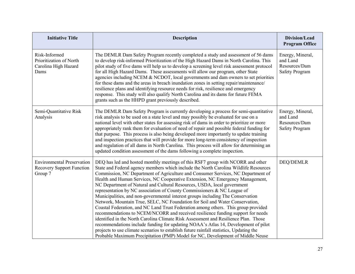| <b>Initiative Title</b>                                                          | <b>Description</b>                                                                                                                                                                                                                                                                                                                                                                                                                                                                                                                                                                                                                                                                                                                                                                                                                                                                                                                                                                                                                                                                                                                                                                                       | Division/Lead<br><b>Program Office</b>                                 |
|----------------------------------------------------------------------------------|----------------------------------------------------------------------------------------------------------------------------------------------------------------------------------------------------------------------------------------------------------------------------------------------------------------------------------------------------------------------------------------------------------------------------------------------------------------------------------------------------------------------------------------------------------------------------------------------------------------------------------------------------------------------------------------------------------------------------------------------------------------------------------------------------------------------------------------------------------------------------------------------------------------------------------------------------------------------------------------------------------------------------------------------------------------------------------------------------------------------------------------------------------------------------------------------------------|------------------------------------------------------------------------|
| Risk-Informed<br>Prioritization of North<br>Carolina High Hazard<br>Dams         | The DEMLR Dam Safety Program recently completed a study and assessment of 56 dams<br>to develop risk-informed Prioritization of the High Hazard Dams in North Carolina. This<br>pilot study of five dams will help us to develop a screening level risk assessment protocol<br>for all High Hazard Dams. These assessments will allow our program, other State<br>agencies including NCEM & NCDOT, local governments and dam owners to set priorities<br>for these dams and the areas in breach inundation zones in setting repair/maintenance/<br>resilience plans and identifying resource needs for risk, resilience and emergency<br>response. This study will also qualify North Carolina and its dams for future FEMA<br>grants such as the HHPD grant previously described.                                                                                                                                                                                                                                                                                                                                                                                                                       | Energy, Mineral,<br>and Land<br>Resources/Dam<br><b>Safety Program</b> |
| Semi-Quantitative Risk<br>Analysis                                               | The DEMLR Dam Safety Program is currently developing a process for semi-quantitative<br>risk analysis to be used on a state level and may possibly be evaluated for use on a<br>national level with other states for assessing risk of dams in order to prioritize or more<br>appropriately rank them for evaluation of need of repair and possible federal funding for<br>that purpose. This process is also being developed more importantly to update training<br>and inspection practices that will provide for more long-term consistency of inspection<br>and regulation of all dams in North Carolina. This process will allow for determining an<br>updated condition assessment of the dams following a complete inspection.                                                                                                                                                                                                                                                                                                                                                                                                                                                                    | Energy, Mineral,<br>and Land<br>Resources/Dam<br><b>Safety Program</b> |
| <b>Environmental Preservation</b><br><b>Recovery Support Function</b><br>Group 7 | DEQ has led and hosted monthly meetings of this RSF7 group with NCORR and other<br>State and Federal agency members which include the North Carolina Wildlife Resources<br>Commission, NC Department of Agriculture and Consumer Services, NC Department of<br>Health and Human Services, NC Cooperative Extension, NC Emergency Management,<br>NC Department of Natural and Cultural Resources, USDA, local government<br>representation by NC association of County Commissioners & NC League of<br>Municipalities, and non-governmental interest groups including The Conservation<br>Network, Mountain True, SELC, NC Foundation for Soil and Water Conservation,<br>Coastal Federation, and NC Land Trust Federation among others. This group provided<br>recommendations to NCEM/NCORR and received resilience funding support for needs<br>identified in the North Carolina Climate Risk Assessment and Resilience Plan. Those<br>recommendations include funding for updating NOAA's Atlas 14, Development of pilot<br>projects to use climate scenarios to establish future rainfall statistics, Updating the<br>Probable Maximum Precipitation (PMP) Model for NC, Development of Middle Neuse | <b>DEQ/DEMLR</b>                                                       |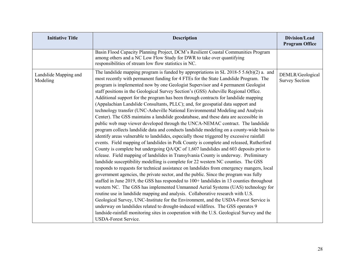| <b>Initiative Title</b>           | <b>Description</b>                                                                                                                                                                                                                                                                                                                                                                                                                                                                                                                                                                                                                                                                                                                                                                                                                                                                                                                                                                                                                                                                                                                                                                                                                                                                                                                                                                                                                                                                                                                                                                                                                                                                                                                                                                                                                                                                                                                                                                                                                                                                                                           | Division/Lead<br><b>Program Office</b>    |
|-----------------------------------|------------------------------------------------------------------------------------------------------------------------------------------------------------------------------------------------------------------------------------------------------------------------------------------------------------------------------------------------------------------------------------------------------------------------------------------------------------------------------------------------------------------------------------------------------------------------------------------------------------------------------------------------------------------------------------------------------------------------------------------------------------------------------------------------------------------------------------------------------------------------------------------------------------------------------------------------------------------------------------------------------------------------------------------------------------------------------------------------------------------------------------------------------------------------------------------------------------------------------------------------------------------------------------------------------------------------------------------------------------------------------------------------------------------------------------------------------------------------------------------------------------------------------------------------------------------------------------------------------------------------------------------------------------------------------------------------------------------------------------------------------------------------------------------------------------------------------------------------------------------------------------------------------------------------------------------------------------------------------------------------------------------------------------------------------------------------------------------------------------------------------|-------------------------------------------|
|                                   | Basin Flood Capacity Planning Project, DCM's Resilient Coastal Communities Program<br>among others and a NC Low Flow Study for DWR to take over quantifying<br>responsibilities of stream low flow statistics in NC.                                                                                                                                                                                                                                                                                                                                                                                                                                                                                                                                                                                                                                                                                                                                                                                                                                                                                                                                                                                                                                                                                                                                                                                                                                                                                                                                                                                                                                                                                                                                                                                                                                                                                                                                                                                                                                                                                                         |                                           |
| Landslide Mapping and<br>Modeling | The landslide mapping program is funded by appropriations in SL 2018-5 5.6(b)(2) a. and<br>most recently with permanent funding for 4 FTEs for the State Landslide Program. The<br>program is implemented now by one Geologist Supervisor and 4 permanent Geologist<br>staff positions in the Geological Survey Section's (GSS) Asheville Regional Office.<br>Additional support for the program has been through contracts for landslide mapping<br>(Appalachian Landslide Consultants, PLLC); and, for geospatial data support and<br>technology transfer (UNC-Asheville National Environmental Modeling and Analysis<br>Center). The GSS maintains a landslide geodatabase, and these data are accessible in<br>public web map viewer developed through the UNCA-NEMAC contract. The landslide<br>program collects landslide data and conducts landslide modeling on a county-wide basis to<br>identify areas vulnerable to landslides, especially those triggered by excessive rainfall<br>events. Field mapping of landslides in Polk County is complete and released, Rutherford<br>County is complete but undergoing QA/QC of 1,607 landslides and 603 deposits prior to<br>release. Field mapping of landslides in Transylvania County is underway. Preliminary<br>landslide susceptibility modelling is complete for 22 western NC counties. The GSS<br>responds to requests for technical assistance on landslides from emergency mangers, local<br>government agencies, the private sector, and the public. Since the program was fully<br>staffed in June 2019, the GSS has responded to 100+ landslides in 13 counties throughout<br>western NC. The GSS has implemented Unmanned Aerial Systems (UAS) technology for<br>routine use in landslide mapping and analysis. Collaborative research with U.S.<br>Geological Survey, UNC-Institute for the Environment, and the USDA-Forest Service is<br>underway on landslides related to drought-induced wildfires. The GSS operates 9<br>landside-rainfall monitoring sites in cooperation with the U.S. Geological Survey and the<br><b>USDA-Forest Service.</b> | DEMLR/Geological<br><b>Survey Section</b> |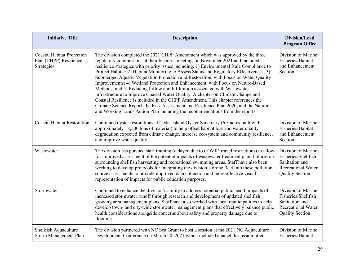| <b>Initiative Title</b>                                                   | <b>Description</b>                                                                                                                                                                                                                                                                                                                                                                                                                                                                                                                                                                                                                                                                                                                                                                                                                                                                                                                                                      | Division/Lead<br><b>Program Office</b>                                                                             |
|---------------------------------------------------------------------------|-------------------------------------------------------------------------------------------------------------------------------------------------------------------------------------------------------------------------------------------------------------------------------------------------------------------------------------------------------------------------------------------------------------------------------------------------------------------------------------------------------------------------------------------------------------------------------------------------------------------------------------------------------------------------------------------------------------------------------------------------------------------------------------------------------------------------------------------------------------------------------------------------------------------------------------------------------------------------|--------------------------------------------------------------------------------------------------------------------|
| <b>Coastal Habitat Protection</b><br>Plan (CHPP) Resilience<br>Strategies | The division completed the 2021 CHPP Amendment which was approved by the three<br>regulatory commissions at their business meetings in November 2021 and included<br>resilience strategies with priority issues including: 1) Environmental Rule Compliance to<br>Protect Habitat; 2) Habitat Monitoring to Assess Status and Regulatory Effectiveness; 3)<br>Submerged Aquatic Vegetation Protection and Restoration, with Focus on Water Quality<br>Improvements; 4) Wetland Protection and Enhancement, with Focus on Nature-Based<br>Methods; and 5) Reducing Inflow and Infiltration associated with Wastewater<br>Infrastructure to Improve Coastal Water Quality. A chapter on Climate Change and<br>Coastal Resilience is included in the CHPP Amendment. This chapter references the<br>Climate Science Report, the Risk Assessment and Resilience Plan 2020, and the Natural<br>and Working Lands Action Plan including the recommendations from the reports. | Division of Marine<br>Fisheries/Habitat<br>and Enhancement<br>Section                                              |
| <b>Coastal Habitat Restoration</b>                                        | Continued oyster restorations at Cedar Island Oyster Sanctuary (6.3 acres built with<br>approximately 18,500 tons of material) to help offset habitat loss and water quality<br>degradation expected from climate change, increase ecosystem and community resilience,<br>and improve water quality.                                                                                                                                                                                                                                                                                                                                                                                                                                                                                                                                                                                                                                                                    | Division of Marine<br>Fisheries/Habitat<br>and Enhancement<br>Section                                              |
| Wastewater                                                                | The division has pursued staff training (delayed due to COVID travel restrictions) to allow<br>for improved assessment of the potential impacts of wastewater treatment plant failures on<br>surrounding shellfish harvesting and recreational swimming areas. Staff have also been<br>working to develop protocols for integrating the division's drone fleet into these pollution<br>source assessments to provide improved data collection and more effective visual<br>representation of impacts for public education purposes.                                                                                                                                                                                                                                                                                                                                                                                                                                     | Division of Marine<br>Fisheries/Shellfish<br>Sanitation and<br><b>Recreational Water</b><br><b>Quality Section</b> |
| Stormwater                                                                | Continued to enhance the division's ability to address potential public health impacts of<br>increased stormwater runoff through research and development of updated shellfish<br>growing area management plans. Staff have also worked with local municipalities to help<br>develop town- and city-wide stormwater management plans that effectively balance public<br>health considerations alongside concerns about safety and property damage due to<br>flooding.                                                                                                                                                                                                                                                                                                                                                                                                                                                                                                   | Division of Marine<br>Fisheries/Shellfish<br>Sanitation and<br><b>Recreational Water</b><br><b>Quality Section</b> |
| Shellfish Aquaculture<br>Storm Management Plan                            | The division partnered with NC Sea Grant to host a session at the 2021 NC Aquaculture<br>Development Conference on March 20, 2021 which included a panel discussion titled                                                                                                                                                                                                                                                                                                                                                                                                                                                                                                                                                                                                                                                                                                                                                                                              | Division of Marine<br>Fisheries/Habitat                                                                            |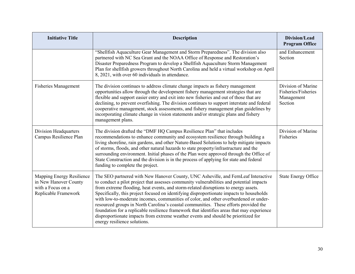| <b>Initiative Title</b>                                                                         | <b>Description</b>                                                                                                                                                                                                                                                                                                                                                                                                                                                                                                                                                                                                                                                                                                                                                    | Division/Lead<br><b>Program Office</b>                             |
|-------------------------------------------------------------------------------------------------|-----------------------------------------------------------------------------------------------------------------------------------------------------------------------------------------------------------------------------------------------------------------------------------------------------------------------------------------------------------------------------------------------------------------------------------------------------------------------------------------------------------------------------------------------------------------------------------------------------------------------------------------------------------------------------------------------------------------------------------------------------------------------|--------------------------------------------------------------------|
|                                                                                                 | "Shellfish Aquaculture Gear Management and Storm Preparedness". The division also<br>partnered with NC Sea Grant and the NOAA Office of Response and Restoration's<br>Disaster Preparedness Program to develop a Shellfish Aquaculture Storm Management<br>Plan for shellfish growers throughout North Carolina and held a virtual workshop on April<br>8, 2021, with over 60 individuals in attendance.                                                                                                                                                                                                                                                                                                                                                              | and Enhancement<br>Section                                         |
| <b>Fisheries Management</b>                                                                     | The division continues to address climate change impacts as fishery management<br>opportunities allow through the development fishery management strategies that are<br>flexible and support easier entry and exit into new fisheries and out of those that are<br>declining, to prevent overfishing. The division continues to support interstate and federal<br>cooperative management, stock assessments, and fishery management plan guidelines by<br>incorporating climate change in vision statements and/or strategic plans and fishery<br>management plans.                                                                                                                                                                                                   | Division of Marine<br>Fisheries/Fisheries<br>Management<br>Section |
| Division Headquarters<br>Campus Resilience Plan                                                 | The division drafted the "DMF HQ Campus Resilience Plan" that includes<br>recommendations to enhance community and ecosystem resilience through building a<br>living shoreline, rain gardens, and other Nature-Based Solutions to help mitigate impacts<br>of storms, floods, and other natural hazards to state property/infrastructure and the<br>surrounding environment. Initial phases of the Plan were approved through the Office of<br>State Construction and the division is in the process of applying for state and federal<br>funding to complete the project.                                                                                                                                                                                            | Division of Marine<br>Fisheries                                    |
| Mapping Energy Resilience<br>in New Hanover County<br>with a Focus on a<br>Replicable Framework | The SEO partnered with New Hanover County, UNC Asheville, and FernLeaf Interactive<br>to conduct a pilot project that assesses community vulnerabilities and potential impacts<br>from extreme flooding, heat events, and storm-related disruptions to energy assets.<br>Specifically, this project focused on identifying disproportionate impacts to households<br>with low-to-moderate incomes, communities of color, and other overburdened or under-<br>resourced groups in North Carolina's coastal communities. These efforts provided the<br>foundation for a replicable resilience framework that identifies areas that may experience<br>disproportionate impacts from extreme weather events and should be prioritized for<br>energy resilience solutions. | <b>State Energy Office</b>                                         |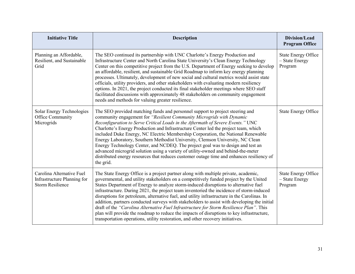| <b>Initiative Title</b>                                                             | <b>Description</b>                                                                                                                                                                                                                                                                                                                                                                                                                                                                                                                                                                                                                                                                                                                                                                                                                           | Division/Lead<br><b>Program Office</b>                  |
|-------------------------------------------------------------------------------------|----------------------------------------------------------------------------------------------------------------------------------------------------------------------------------------------------------------------------------------------------------------------------------------------------------------------------------------------------------------------------------------------------------------------------------------------------------------------------------------------------------------------------------------------------------------------------------------------------------------------------------------------------------------------------------------------------------------------------------------------------------------------------------------------------------------------------------------------|---------------------------------------------------------|
| Planning an Affordable,<br>Resilient, and Sustainable<br>Grid                       | The SEO continued its partnership with UNC Charlotte's Energy Production and<br>Infrastructure Center and North Carolina State University's Clean Energy Technology<br>Center on this competitive project from the U.S. Department of Energy seeking to develop<br>an affordable, resilient, and sustainable Grid Roadmap to inform key energy planning<br>processes. Ultimately, development of new social and cultural metrics would assist state<br>officials, utility providers, and other stakeholders with evaluating modern resiliency<br>options. In 2021, the project conducted its final stakeholder meetings where SEO staff<br>facilitated discussions with approximately 48 stakeholders on community engagement<br>needs and methods for valuing greater resilience.                                                           | <b>State Energy Office</b><br>- State Energy<br>Program |
| Solar Energy Technologies<br>Office Community<br>Microgrids                         | The SEO provided matching funds and personnel support to project steering and<br>community engagement for "Resilient Community Microgrids with Dynamic<br>Reconfiguration to Serve Critical Loads in the Aftermath of Severe Events." UNC<br>Charlotte's Energy Production and Infrastructure Center led the project team, which<br>included Duke Energy, NC Electric Membership Corporation, the National Renewable<br>Energy Laboratory, Southern Methodist University, Clemson University, NC Clean<br>Energy Technology Center, and NCDEQ. The project goal was to design and test an<br>advanced microgrid solution using a variety of utility-owned and behind-the-meter<br>distributed energy resources that reduces customer outage time and enhances resiliency of<br>the grid.                                                     | <b>State Energy Office</b>                              |
| Carolina Alternative Fuel<br>Infrastructure Planning for<br><b>Storm Resilience</b> | The State Energy Office is a project partner along with multiple private, academic,<br>governmental, and utility stakeholders on a competitively funded project by the United<br>States Department of Energy to analyze storm-induced disruptions to alternative fuel<br>infrastructure. During 2021, the project team inventoried the incidence of storm-induced<br>disruptions for petroleum, alternative fuel, and utility infrastructure in the Carolinas. In<br>addition, partners conducted surveys with stakeholders to assist with developing the initial<br>draft of the "Carolina Alternative Fuel Infrastructure for Storm Resilience Plan". This<br>plan will provide the roadmap to reduce the impacts of disruptions to key infrastructure,<br>transportation operations, utility restoration, and other recovery initiatives. | <b>State Energy Office</b><br>- State Energy<br>Program |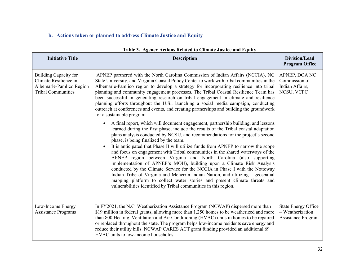## **b. Actions taken or planned to address Climate Justice and Equity**

| <b>Initiative Title</b>                                                                                        | <b>Description</b>                                                                                                                                                                                                                                                                                                                                                                                                                                                                                                                                                                                                                                                                                                                                                                                                                                                                                                                                                                                                                                                                                                                                                                                                                                                                                                                                                                                                                                                                                                                                                                                                                         | Division/Lead<br><b>Program Office</b>                                      |
|----------------------------------------------------------------------------------------------------------------|--------------------------------------------------------------------------------------------------------------------------------------------------------------------------------------------------------------------------------------------------------------------------------------------------------------------------------------------------------------------------------------------------------------------------------------------------------------------------------------------------------------------------------------------------------------------------------------------------------------------------------------------------------------------------------------------------------------------------------------------------------------------------------------------------------------------------------------------------------------------------------------------------------------------------------------------------------------------------------------------------------------------------------------------------------------------------------------------------------------------------------------------------------------------------------------------------------------------------------------------------------------------------------------------------------------------------------------------------------------------------------------------------------------------------------------------------------------------------------------------------------------------------------------------------------------------------------------------------------------------------------------------|-----------------------------------------------------------------------------|
| <b>Building Capacity for</b><br>Climate Resilience in<br>Albemarle-Pamlico Region<br><b>Tribal Communities</b> | APNEP partnered with the North Carolina Commission of Indian Affairs (NCCIA), NC<br>State University, and Virginia Coastal Policy Center to work with tribal communities in the<br>Albemarle-Pamlico region to develop a strategy for incorporating resilience into tribal<br>planning and community engagement processes. The Tribal Coastal Resilience Team has<br>been successful in generating research on tribal engagement in climate and resilience<br>planning efforts throughout the U.S., launching a social media campaign, conducting<br>outreach at conferences and events, and creating partnerships and building the groundwork<br>for a sustainable program.<br>A final report, which will document engagement, partnership building, and lessons<br>$\bullet$<br>learned during the first phase, include the results of the Tribal coastal adaptation<br>plans analysis conducted by NCSU, and recommendations for the project's second<br>phase, is being finalized by the team.<br>It is anticipated that Phase II will utilize funds from APNEP to narrow the scope<br>and focus on engagement with Tribal communities in the shared waterways of the<br>APNEP region between Virginia and North Carolina (also supporting<br>implementation of APNEP's MOU), building upon a Climate Risk Analysis<br>conducted by the Climate Service for the NCCIA in Phase I with the Nottoway<br>Indian Tribe of Virginia and Meherrin Indian Nation, and utilizing a geospatial<br>mapping platform to collect water stories and present climate threats and<br>vulnerabilities identified by Tribal communities in this region. | APNEP, DOA NC<br>Commission of<br>Indian Affairs,<br>NCSU, VCPC             |
| Low-Income Energy<br><b>Assistance Programs</b>                                                                | In FY2021, the N.C. Weatherization Assistance Program (NCWAP) dispersed more than<br>\$19 million in federal grants, allowing more than 1,250 homes to be weatherized and more<br>than 800 Heating, Ventilation and Air Conditioning (HVAC) units in homes to be repaired<br>or replaced throughout the state. The program helps low-income residents save energy and<br>reduce their utility bills. NCWAP CARES ACT grant funding provided an additional 69<br>HVAC units to low-income households.                                                                                                                                                                                                                                                                                                                                                                                                                                                                                                                                                                                                                                                                                                                                                                                                                                                                                                                                                                                                                                                                                                                                       | <b>State Energy Office</b><br>- Weatherization<br><b>Assistance Program</b> |

#### **Table 3. Agency Actions Related to Climate Justice and Equity**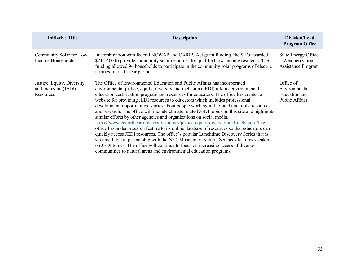| <b>Initiative Title</b>                                         | <b>Description</b>                                                                                                                                                                                                                                                                                                                                                                                                                                                                                                                                                                                                                                                                                                                                                                                                                                                                                                                                                                                                                                                                                                                                        | Division/Lead<br><b>Program Office</b>                                      |
|-----------------------------------------------------------------|-----------------------------------------------------------------------------------------------------------------------------------------------------------------------------------------------------------------------------------------------------------------------------------------------------------------------------------------------------------------------------------------------------------------------------------------------------------------------------------------------------------------------------------------------------------------------------------------------------------------------------------------------------------------------------------------------------------------------------------------------------------------------------------------------------------------------------------------------------------------------------------------------------------------------------------------------------------------------------------------------------------------------------------------------------------------------------------------------------------------------------------------------------------|-----------------------------------------------------------------------------|
| Community Solar for Low<br>Income Households                    | In combination with federal NCWAP and CARES Act grant funding, the SEO awarded<br>\$211,400 to provide community solar resources for qualified low-income residents. The<br>funding allowed 94 households to participate in the community solar programs of electric<br>utilities for a 10-year period.                                                                                                                                                                                                                                                                                                                                                                                                                                                                                                                                                                                                                                                                                                                                                                                                                                                   | <b>State Energy Office</b><br>- Weatherization<br><b>Assistance Program</b> |
| Justice, Equity, Diversity<br>and Inclusion (JEDI)<br>Resources | The Office of Environmental Education and Public Affairs has incorporated<br>environmental justice, equity, diversity and inclusion (JEDI) into its environmental<br>education certification program and resources for educators. The office has created a<br>website for providing JEDI resources to educators which includes professional<br>development opportunities, stories about people working in the field and tools, resources<br>and research. The office will include climate related JEDI topics on this site and highlights<br>similar efforts by other agencies and organizations on social media.<br>https://www.eenorthcarolina.org/resources/justice-equity-diversity-and-inclusion. The<br>office has added a search feature to its online database of resources so that educators can<br>quickly access JEDI resources. The office's popular Lunchtime Discovery Series that is<br>streamed live in partnership with the N.C. Museum of Natural Sciences features speakers<br>on JEDI topics. The office will continue to focus on increasing access of diverse<br>communities to natural areas and environmental education programs. | Office of<br>Environmental<br><b>Education</b> and<br>Public Affairs        |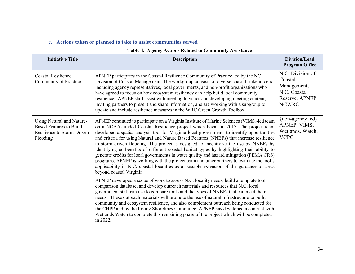#### **c. Actions taken or planned to take to assist communities served**

| тарк - песнеу пеноня кенией го соннишнеу газывансе                                                    |                                                                                                                                                                                                                                                                                                                                                                                                                                                                                                                                                                                                                                                                                                                                                                                                                                                                                     |                                                                                               |
|-------------------------------------------------------------------------------------------------------|-------------------------------------------------------------------------------------------------------------------------------------------------------------------------------------------------------------------------------------------------------------------------------------------------------------------------------------------------------------------------------------------------------------------------------------------------------------------------------------------------------------------------------------------------------------------------------------------------------------------------------------------------------------------------------------------------------------------------------------------------------------------------------------------------------------------------------------------------------------------------------------|-----------------------------------------------------------------------------------------------|
| <b>Initiative Title</b>                                                                               | <b>Description</b>                                                                                                                                                                                                                                                                                                                                                                                                                                                                                                                                                                                                                                                                                                                                                                                                                                                                  | Division/Lead<br><b>Program Office</b>                                                        |
| <b>Coastal Resilience</b><br>Community of Practice                                                    | APNEP participates in the Coastal Resilience Community of Practice led by the NC<br>Division of Coastal Management. The workgroup consists of diverse coastal stakeholders,<br>including agency representatives, local governments, and non-profit organizations who<br>have agreed to focus on how ecosystem resiliency can help build local community<br>resilience. APNEP staff assist with meeting logistics and developing meeting content,<br>inviting partners to present and share information, and are working with a subgroup to<br>update and include resilience measures in the WRC Green Growth Toolbox.                                                                                                                                                                                                                                                               | N.C. Division of<br>Coastal<br>Management,<br>N.C. Coastal<br>Reserve, APNEP,<br><b>NCWRC</b> |
| Using Natural and Nature-<br><b>Based Features to Build</b><br>Resilience to Storm-Driven<br>Flooding | APNEP continued to participate on a Virginia Institute of Marine Sciences (VIMS)-led team<br>on a NOAA-funded Coastal Resilience project which began in 2017. The project team<br>developed a spatial analysis tool for Virginia local governments to identify opportunities<br>and criteria for using Natural and Nature Based Features (NNBFs) that increase resilience<br>to storm driven flooding. The project is designed to incentivize the use by NNBFs by<br>identifying co-benefits of different coastal habitat types by highlighting their ability to<br>generate credits for local governments in water quality and hazard mitigation (FEMA CRS)<br>programs. APNEP is working with the project team and other partners to evaluate the tool's<br>applicability in N.C. coastal localities as a possible extension of the guidance to areas<br>beyond coastal Virginia. | {non-agency led}<br>APNEP, VIMS,<br>Wetlands, Watch,<br><b>VCPC</b>                           |
|                                                                                                       | APNEP developed a scope of work to assess N.C. locality needs, build a template tool<br>comparison database, and develop outreach materials and resources that N.C. local<br>government staff can use to compare tools and the types of NNBFs that can meet their<br>needs. These outreach materials will promote the use of natural infrastructure to build<br>community and ecosystem resilience, and also complement outreach being conducted for<br>the CHPP and by the Living Shorelines Committee. APNEP has developed a contract with<br>Wetlands Watch to complete this remaining phase of the project which will be completed<br>in 2022.                                                                                                                                                                                                                                  |                                                                                               |

#### **Table 4. Agency Actions Related to Community Assistance**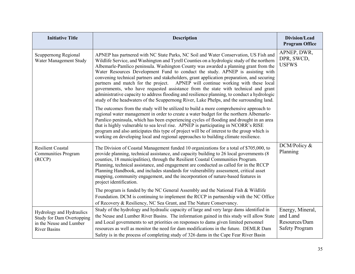| <b>Initiative Title</b>                                                                                        | <b>Description</b>                                                                                                                                                                                                                                                                                                                                                                                                                                                                                                                                                                                                                                                                                                                                                                                                               | Division/Lead<br><b>Program Office</b>                                 |
|----------------------------------------------------------------------------------------------------------------|----------------------------------------------------------------------------------------------------------------------------------------------------------------------------------------------------------------------------------------------------------------------------------------------------------------------------------------------------------------------------------------------------------------------------------------------------------------------------------------------------------------------------------------------------------------------------------------------------------------------------------------------------------------------------------------------------------------------------------------------------------------------------------------------------------------------------------|------------------------------------------------------------------------|
| Scuppernong Regional<br>Water Management Study                                                                 | APNEP has partnered with NC State Parks, NC Soil and Water Conservation, US Fish and<br>Wildlife Service, and Washington and Tyrell Counties on a hydrologic study of the northern<br>Albemarle-Pamlico peninsula. Washington County was awarded a planning grant from the<br>Water Resources Development Fund to conduct the study. APNEP is assisting with<br>convening technical partners and stakeholders, grant application preparation, and securing<br>partners and match for the project. APNEP will continue working with these local<br>governments, who have requested assistance from the state with technical and grant<br>administrative capacity to address flooding and resilience planning, to conduct a hydrologic<br>study of the headwaters of the Scuppernong River, Lake Phelps, and the surrounding land. | APNEP, DWR,<br>DPR, SWCD,<br><b>USFWS</b>                              |
|                                                                                                                | The outcomes from the study will be utilized to build a more comprehensive approach to<br>regional water management in order to create a water budget for the northern Albemarle-<br>Pamlico peninsula, which has been experiencing cycles of flooding and drought in an area<br>that is highly vulnerable to sea level rise. APNEP is participating in NCORR's RISE<br>program and also anticipates this type of project will be of interest to the group which is<br>working on developing local and regional approaches to building climate resilience.                                                                                                                                                                                                                                                                       |                                                                        |
| <b>Resilient Coastal</b><br><b>Communities Program</b><br>(RCCP)                                               | The Division of Coastal Management funded 10 organizations for a total of \$705,000, to<br>provide planning, technical assistance, and capacity building to 26 local governments (8)<br>counties, 18 municipalities), through the Resilient Coastal Communities Program.<br>Planning, technical assistance, and engagement are conducted as called for in the RCCP<br>Planning Handbook, and includes standards for vulnerability assessment, critical asset<br>mapping, community engagement, and the incorporation of nature-based features in<br>project identification.                                                                                                                                                                                                                                                      | DCM/Policy &<br>Planning                                               |
|                                                                                                                | The program is funded by the NC General Assembly and the National Fish & Wildlife<br>Foundation. DCM is continuing to implement the RCCP in partnership with the NC Office<br>of Recovery & Resiliency, NC Sea Grant, and The Nature Conservancy.                                                                                                                                                                                                                                                                                                                                                                                                                                                                                                                                                                                |                                                                        |
| Hydrology and Hydraulics<br><b>Study for Dam Overtopping</b><br>in the Neuse and Lumber<br><b>River Basins</b> | Study of the hydrology and hydraulic capacity of large and very large dams identified in<br>the Neuse and Lumber River Basins. The information gained in this study will allow State<br>and Local governments to set priorities on responses to dams given limited personnel<br>resources as well as monitor the need for dam modifications in the future. DEMLR Dam<br>Safety is in the process of completing study of 326 dams in the Cape Fear River Basin                                                                                                                                                                                                                                                                                                                                                                    | Energy, Mineral,<br>and Land<br>Resources/Dam<br><b>Safety Program</b> |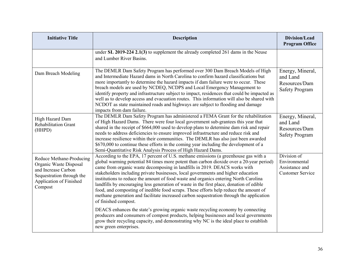| <b>Initiative Title</b>                                                                                                                      | <b>Description</b>                                                                                                                                                                                                                                                                                                                                                                                                                                                                                                                                                                                                                                                                                                                                  | Division/Lead<br><b>Program Office</b>                                    |
|----------------------------------------------------------------------------------------------------------------------------------------------|-----------------------------------------------------------------------------------------------------------------------------------------------------------------------------------------------------------------------------------------------------------------------------------------------------------------------------------------------------------------------------------------------------------------------------------------------------------------------------------------------------------------------------------------------------------------------------------------------------------------------------------------------------------------------------------------------------------------------------------------------------|---------------------------------------------------------------------------|
|                                                                                                                                              | under SL $2019-224$ 2.1(3) to supplement the already completed 261 dams in the Neuse<br>and Lumber River Basins.                                                                                                                                                                                                                                                                                                                                                                                                                                                                                                                                                                                                                                    |                                                                           |
| Dam Breach Modeling                                                                                                                          | The DEMLR Dam Safety Program has performed over 300 Dam Breach Models of High<br>and Intermediate Hazard dams in North Carolina to confirm hazard classifications but<br>more importantly to determine the hazard impacts if dam failure were to occur. These<br>breach models are used by NCDEQ, NCDPS and Local Emergency Management to<br>identify property and infrastructure subject to impact, residences that could be impacted as<br>well as to develop access and evacuation routes. This information will also be shared with<br>NCDOT as state maintained roads and highways are subject to flooding and damage<br>impacts from dam failure.                                                                                             | Energy, Mineral,<br>and Land<br>Resources/Dam<br><b>Safety Program</b>    |
| High Hazard Dam<br><b>Rehabilitation Grant</b><br>(HHPD)                                                                                     | The DEMLR Dam Safety Program has administered a FEMA Grant for the rehabilitation<br>of High Hazard Dams. There were four local government sub-grantees this year that<br>shared in the receipt of \$664,000 used to develop plans to determine dam risk and repair<br>needs to address deficiencies to ensure improved infrastructure and reduce risk and<br>increase resilience within their communities. The DEMLR has also just been awarded<br>\$670,000 to continue these efforts in the coming year including the development of a<br>Semi-Quantitative Risk Analysis Process of High Hazard Dams.                                                                                                                                           | Energy, Mineral,<br>and Land<br>Resources/Dam<br><b>Safety Program</b>    |
| Reduce Methane-Producing<br>Organic Waste Disposal<br>and Increase Carbon<br>Sequestration through the<br>Application of Finished<br>Compost | According to the EPA, 17 percent of U.S. methane emissions (a greenhouse gas with a<br>global warming potential 84 times more potent than carbon dioxide over a 20-year period)<br>came from organic waste decomposing in landfills in 2019. DEACS works with<br>stakeholders including private businesses, local governments and higher education<br>institutions to reduce the amount of food waste and organics entering North Carolina<br>landfills by encouraging less generation of waste in the first place, donation of edible<br>food, and composting of inedible food scraps. These efforts help reduce the amount of<br>methane generation and facilitate increased carbon sequestration through the application<br>of finished compost. | Division of<br>Environmental<br>Assistance and<br><b>Customer Service</b> |
|                                                                                                                                              | DEACS enhances the state's growing organic waste recycling economy by connecting<br>producers and consumers of compost products, helping businesses and local governments<br>grow their recycling capacity, and demonstrating why NC is the ideal place to establish<br>new green enterprises.                                                                                                                                                                                                                                                                                                                                                                                                                                                      |                                                                           |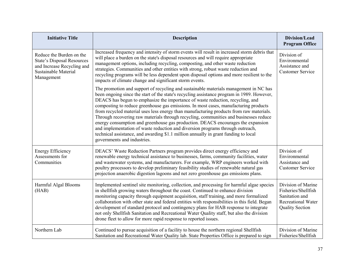| <b>Initiative Title</b>                                                                                                           | <b>Description</b>                                                                                                                                                                                                                                                                                                                                                                                                                                                                                                                                                                                                                                                                                                                                                                                                                            | Division/Lead<br><b>Program Office</b>                                                                             |
|-----------------------------------------------------------------------------------------------------------------------------------|-----------------------------------------------------------------------------------------------------------------------------------------------------------------------------------------------------------------------------------------------------------------------------------------------------------------------------------------------------------------------------------------------------------------------------------------------------------------------------------------------------------------------------------------------------------------------------------------------------------------------------------------------------------------------------------------------------------------------------------------------------------------------------------------------------------------------------------------------|--------------------------------------------------------------------------------------------------------------------|
| Reduce the Burden on the<br><b>State's Disposal Resources</b><br>and Increase Recycling and<br>Sustainable Material<br>Management | Increased frequency and intensity of storm events will result in increased storm debris that<br>will place a burden on the state's disposal resources and will require appropriate<br>management options, including recycling, composting, and other waste reduction<br>strategies. Communities and other entities with strong, robust waste reduction and<br>recycling programs will be less dependent upon disposal options and more resilient to the<br>impacts of climate change and significant storm events.                                                                                                                                                                                                                                                                                                                            | Division of<br>Environmental<br>Assistance and<br><b>Customer Service</b>                                          |
|                                                                                                                                   | The promotion and support of recycling and sustainable materials management in NC has<br>been ongoing since the start of the state's recycling assistance program in 1989. However,<br>DEACS has begun to emphasize the importance of waste reduction, recycling, and<br>composting to reduce greenhouse gas emissions. In most cases, manufacturing products<br>from recycled material uses less energy than manufacturing products from raw materials.<br>Through recovering raw materials through recycling, communities and businesses reduce<br>energy consumption and greenhouse gas production. DEACS encourages the expansion<br>and implementation of waste reduction and diversion programs through outreach,<br>technical assistance, and awarding \$1.1 million annually in grant funding to local<br>governments and industries. |                                                                                                                    |
| <b>Energy Efficiency</b><br>Assessments for<br>Communities                                                                        | DEACS' Waste Reduction Partners program provides direct energy efficiency and<br>renewable energy technical assistance to businesses, farms, community facilities, water<br>and wastewater systems, and manufacturers. For example, WRP engineers worked with<br>poultry processors to develop preliminary feasibility studies of renewable natural gas<br>projection anaerobic digestion lagoons and net zero greenhouse gas emissions plans.                                                                                                                                                                                                                                                                                                                                                                                                | Division of<br>Environmental<br>Assistance and<br><b>Customer Service</b>                                          |
| Harmful Algal Blooms<br>(HAB)                                                                                                     | Implemented sentinel site monitoring, collection, and processing for harmful algae species<br>in shellfish growing waters throughout the coast. Continued to enhance division<br>monitoring capacity through equipment acquisition, staff training, and more formalized<br>collaboration with other state and federal entities with responsibilities in this field. Began<br>development of standard protocol and contingency plans for HAB response to integrate<br>not only Shellfish Sanitation and Recreational Water Quality staff, but also the division<br>drone fleet to allow for more rapid response to reported issues.                                                                                                                                                                                                            | Division of Marine<br>Fisheries/Shellfish<br>Sanitation and<br><b>Recreational Water</b><br><b>Quality Section</b> |
| Northern Lab                                                                                                                      | Continued to pursue acquisition of a facility to house the northern regional Shellfish<br>Sanitation and Recreational Water Quality lab. State Properties Office is prepared to sign                                                                                                                                                                                                                                                                                                                                                                                                                                                                                                                                                                                                                                                          | Division of Marine<br>Fisheries/Shellfish                                                                          |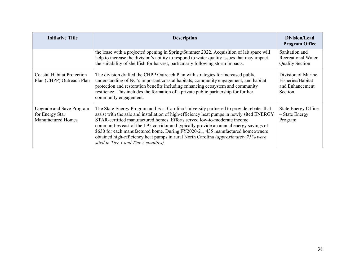| <b>Initiative Title</b>                                                         | <b>Description</b>                                                                                                                                                                                                                                                                                                                                                                                                                                                                                                                                                                    | Division/Lead<br><b>Program Office</b>                                |
|---------------------------------------------------------------------------------|---------------------------------------------------------------------------------------------------------------------------------------------------------------------------------------------------------------------------------------------------------------------------------------------------------------------------------------------------------------------------------------------------------------------------------------------------------------------------------------------------------------------------------------------------------------------------------------|-----------------------------------------------------------------------|
|                                                                                 | the lease with a projected opening in Spring/Summer 2022. Acquisition of lab space will<br>help to increase the division's ability to respond to water quality issues that may impact<br>the suitability of shellfish for harvest, particularly following storm impacts.                                                                                                                                                                                                                                                                                                              | Sanitation and<br>Recreational Water<br><b>Quality Section</b>        |
| <b>Coastal Habitat Protection</b><br>Plan (CHPP) Outreach Plan                  | The division drafted the CHPP Outreach Plan with strategies for increased public<br>understanding of NC's important coastal habitats, community engagement, and habitat<br>protection and restoration benefits including enhancing ecosystem and community<br>resilience. This includes the formation of a private public partnership for further<br>community engagement.                                                                                                                                                                                                            | Division of Marine<br>Fisheries/Habitat<br>and Enhancement<br>Section |
| <b>Upgrade and Save Program</b><br>for Energy Star<br><b>Manufactured Homes</b> | The State Energy Program and East Carolina University partnered to provide rebates that<br>assist with the sale and installation of high-efficiency heat pumps in newly sited ENERGY<br>STAR-certified manufactured homes. Efforts served low-to-moderate income<br>communities east of the I-95 corridor and typically provide an annual energy savings of<br>\$630 for each manufactured home. During FY2020-21, 435 manufactured homeowners<br>obtained high-efficiency heat pumps in rural North Carolina <i>(approximately 75% were</i><br>sited in Tier 1 and Tier 2 counties). | <b>State Energy Office</b><br>- State Energy<br>Program               |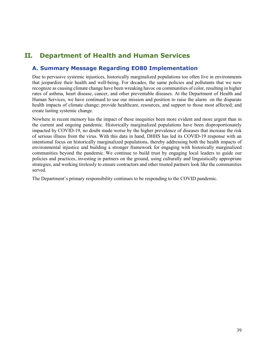# **II. Department of Health and Human Services**

## **A. Summary Message Regarding EO80 Implementation**

Due to pervasive systemic injustices, historically marginalized populations too often live in environments that jeopardize their health and well-being. For decades, the same policies and pollutants that we now recognize as causing climate change have been wreaking havoc on communities of color, resulting in higher rates of asthma, heart disease, cancer, and other preventable diseases. At the Department of Health and Human Services, we have continued to use our mission and position to raise the alarm on the disparate health impacts of climate change; provide healthcare, resources, and support to those most affected; and create lasting systemic change.

Nowhere in recent memory has the impact of these inequities been more evident and more urgent than in the current and ongoing pandemic. Historically marginalized populations have been disproportionately impacted by COVID-19, no doubt made worse by the higher prevalence of diseases that increase the risk of serious illness from the virus. With this data in hand, DHHS has led its COVID-19 response with an intentional focus on historically marginalized populations, thereby addressing both the health impacts of environmental injustice and building a stronger framework for engaging with historically marginalized communities beyond the pandemic. We continue to build trust by engaging local leaders to guide our policies and practices, investing in partners on the ground, using culturally and linguistically appropriate strategies, and working tirelessly to ensure contractors and other trusted partners look like the communities served.

The Department's primary responsibility continues to be responding to the COVID pandemic.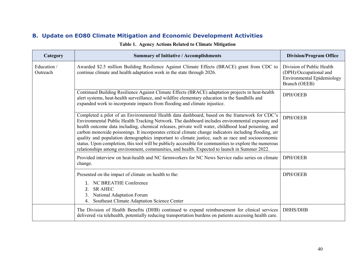| Category                | <b>Summary of Initiative / Accomplishments</b>                                                                                                                                                                                                                                                                                                                                                                                                                                                                                                                                                                                                                                                                                  | <b>Division/Program Office</b>                                                                            |
|-------------------------|---------------------------------------------------------------------------------------------------------------------------------------------------------------------------------------------------------------------------------------------------------------------------------------------------------------------------------------------------------------------------------------------------------------------------------------------------------------------------------------------------------------------------------------------------------------------------------------------------------------------------------------------------------------------------------------------------------------------------------|-----------------------------------------------------------------------------------------------------------|
| Education /<br>Outreach | Awarded \$2.5 million Building Resilience Against Climate Effects (BRACE) grant from CDC to<br>continue climate and health adaptation work in the state through 2026.                                                                                                                                                                                                                                                                                                                                                                                                                                                                                                                                                           | Division of Public Health<br>(DPH)/Occupational and<br><b>Environmental Epidemiology</b><br>Branch (OEEB) |
|                         | Continued Building Resilience Against Climate Effects (BRACE) adaptation projects in heat-health<br>alert systems, heat-health surveillance, and wildfire elementary education in the Sandhills and<br>expanded work to incorporate impacts from flooding and climate injustice.                                                                                                                                                                                                                                                                                                                                                                                                                                                | <b>DPH/OEEB</b>                                                                                           |
|                         | Completed a pilot of an Environmental Health data dashboard, based on the framework for CDC's<br>Environmental Public Health Tracking Network. The dashboard includes environmental exposure and<br>health outcome data including, chemical releases, private well water, childhood lead poisoning, and<br>carbon monoxide poisonings. It incorporates critical climate change indicators including flooding, air<br>quality and population demographics important to climate justice, such as race and socioeconomic<br>status. Upon completion, this tool will be publicly accessible for communities to explore the numerous<br>relationships among environment, communities, and health. Expected to launch in Summer 2022. | <b>DPH/OEEB</b>                                                                                           |
|                         | Provided interview on heat-health and NC farmworkers for NC News Service radio series on climate<br>change.                                                                                                                                                                                                                                                                                                                                                                                                                                                                                                                                                                                                                     | <b>DPH/OEEB</b>                                                                                           |
|                         | Presented on the impact of climate on health to the:<br>1. NC BREATHE Conference<br><b>SR AHEC</b><br>2.<br>National Adaptation Forum<br>3.<br>Southeast Climate Adaptation Science Center<br>4.                                                                                                                                                                                                                                                                                                                                                                                                                                                                                                                                | <b>DPH/OEEB</b>                                                                                           |
|                         | The Division of Health Benefits (DHB) continued to expand reimbursement for clinical services<br>delivered via telehealth, potentially reducing transportation burdens on patients accessing health care.                                                                                                                                                                                                                                                                                                                                                                                                                                                                                                                       | <b>DHHS/DHB</b>                                                                                           |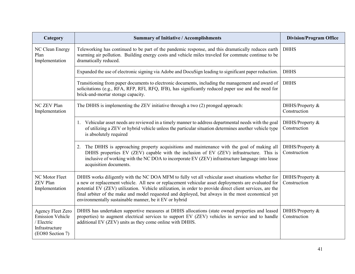| Category                                                                                                | <b>Summary of Initiative / Accomplishments</b>                                                                                                                                                                                                                                                                                                                                                                                                                                     | <b>Division/Program Office</b>  |
|---------------------------------------------------------------------------------------------------------|------------------------------------------------------------------------------------------------------------------------------------------------------------------------------------------------------------------------------------------------------------------------------------------------------------------------------------------------------------------------------------------------------------------------------------------------------------------------------------|---------------------------------|
| NC Clean Energy<br>Plan<br>Implementation                                                               | Teleworking has continued to be part of the pandemic response, and this dramatically reduces earth<br>warming air pollution. Building energy costs and vehicle miles traveled for commute continue to be<br>dramatically reduced.                                                                                                                                                                                                                                                  | <b>DHHS</b>                     |
|                                                                                                         | Expanded the use of electronic signing via Adobe and DocuSign leading to significant paper reduction.                                                                                                                                                                                                                                                                                                                                                                              | <b>DHHS</b>                     |
|                                                                                                         | Transitioning from paper documents to electronic documents, including the management and award of<br>solicitations (e.g., RFA, RFP, RFI, RFQ, IFB), has significantly reduced paper use and the need for<br>brick-and-mortar storage capacity.                                                                                                                                                                                                                                     | <b>DHHS</b>                     |
| NC ZEV Plan<br>Implementation                                                                           | The DHHS is implementing the ZEV initiative through a two (2) pronged approach:                                                                                                                                                                                                                                                                                                                                                                                                    | DHHS/Property &<br>Construction |
|                                                                                                         | 1. Vehicular asset needs are reviewed in a timely manner to address departmental needs with the goal<br>of utilizing a ZEV or hybrid vehicle unless the particular situation determines another vehicle type<br>is absolutely required                                                                                                                                                                                                                                             | DHHS/Property &<br>Construction |
|                                                                                                         | The DHHS is approaching property acquisitions and maintenance with the goal of making all<br>2.<br>DHHS properties EV (ZEV) capable with the inclusion of EV (ZEV) infrastructure. This is<br>inclusive of working with the NC DOA to incorporate EV (ZEV) infrastructure language into lease<br>acquisition documents.                                                                                                                                                            | DHHS/Property &<br>Construction |
| NC Motor Fleet<br><b>ZEV Plan</b><br>Implementation                                                     | DHHS works diligently with the NC DOA MFM to fully vet all vehicular asset situations whether for<br>a new or replacement vehicle. All new or replacement vehicular asset deployments are evaluated for<br>potential EV (ZEV) utilization. Vehicle utilization, in order to provide direct client services, are the<br>final arbiter of the make and model requested and deployed, but always in the most economical yet<br>environmentally sustainable manner, be it EV or hybrid | DHHS/Property &<br>Construction |
| <b>Agency Fleet Zero</b><br><b>Emission Vehicle</b><br>/ Electric<br>Infrastructure<br>(EO80 Section 7) | DHHS has undertaken supportive measures at DHHS allocations (state owned properties and leased<br>properties) to augment electrical services to support EV (ZEV) vehicles in service and to handle<br>additional EV (ZEV) units as they come online with DHHS.                                                                                                                                                                                                                     | DHHS/Property &<br>Construction |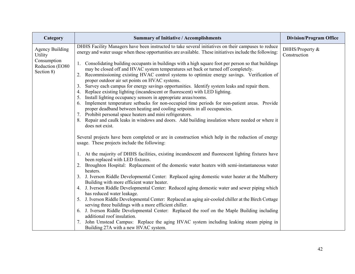| Category                                     | <b>Summary of Initiative / Accomplishments</b>                                                                                                                                                                                                                                                                                                                                                                                                                                                                                           | <b>Division/Program Office</b>  |
|----------------------------------------------|------------------------------------------------------------------------------------------------------------------------------------------------------------------------------------------------------------------------------------------------------------------------------------------------------------------------------------------------------------------------------------------------------------------------------------------------------------------------------------------------------------------------------------------|---------------------------------|
| <b>Agency Building</b><br>Utility            | DHHS Facility Managers have been instructed to take several initiatives on their campuses to reduce<br>energy and water usage when these opportunities are available. These initiatives include the following:                                                                                                                                                                                                                                                                                                                           | DHHS/Property &<br>Construction |
| Consumption<br>Reduction (EO80<br>Section 8) | 1. Consolidating building occupants in buildings with a high square foot per person so that buildings<br>may be closed off and HVAC system temperatures set back or turned off completely.<br>Recommissioning existing HVAC control systems to optimize energy savings. Verification of<br>2.<br>proper outdoor air set points on HVAC systems.<br>Survey each campus for energy savings opportunities. Identify system leaks and repair them.<br>3.<br>Replace existing lighting (incandescent or fluorescent) with LED lighting.<br>4. |                                 |
|                                              | Install lighting occupancy sensors in appropriate areas/rooms.<br>5.<br>Implement temperature setbacks for non-occupied time periods for non-patient areas. Provide<br>6.<br>proper deadband between heating and cooling setpoints in all occupancies.<br>7. Prohibit personal space heaters and mini refrigerators.                                                                                                                                                                                                                     |                                 |
|                                              | Repair and caulk leaks in windows and doors. Add building insulation where needed or where it<br>does not exist.                                                                                                                                                                                                                                                                                                                                                                                                                         |                                 |
|                                              | Several projects have been completed or are in construction which help in the reduction of energy<br>usage. These projects include the following:                                                                                                                                                                                                                                                                                                                                                                                        |                                 |
|                                              | 1. At the majority of DHHS facilities, existing incandescent and fluorescent lighting fixtures have<br>been replaced with LED fixtures.                                                                                                                                                                                                                                                                                                                                                                                                  |                                 |
|                                              | 2. Broughton Hospital: Replacement of the domestic water heaters with semi-instantaneous water<br>heaters.                                                                                                                                                                                                                                                                                                                                                                                                                               |                                 |
|                                              | 3. J. Iverson Riddle Developmental Center: Replaced aging domestic water heater at the Mulberry<br>Building with more efficient water heater.                                                                                                                                                                                                                                                                                                                                                                                            |                                 |
|                                              | J. Iverson Riddle Developmental Center: Reduced aging domestic water and sewer piping which<br>4.<br>has reduced water leakage.                                                                                                                                                                                                                                                                                                                                                                                                          |                                 |
|                                              | 5. J. Iverson Riddle Developmental Center: Replaced an aging air-cooled chiller at the Birch Cottage<br>serving three buildings with a more efficient chiller.                                                                                                                                                                                                                                                                                                                                                                           |                                 |
|                                              | 6. J. Iverson Riddle Developmental Center: Replaced the roof on the Maple Building including<br>additional roof insulation.                                                                                                                                                                                                                                                                                                                                                                                                              |                                 |
|                                              | John Umstead Campus: Replace the aging HVAC system including leaking steam piping in<br>7.<br>Building 27A with a new HVAC system.                                                                                                                                                                                                                                                                                                                                                                                                       |                                 |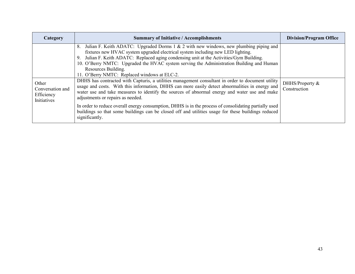| Category                                               | <b>Summary of Initiative / Accomplishments</b>                                                                                                                                                                                                                                                                                                                                                                                                                                                                                                                                                                                                                                                                                                                                                                                                                                                                                                                                                                                  | <b>Division/Program Office</b>  |
|--------------------------------------------------------|---------------------------------------------------------------------------------------------------------------------------------------------------------------------------------------------------------------------------------------------------------------------------------------------------------------------------------------------------------------------------------------------------------------------------------------------------------------------------------------------------------------------------------------------------------------------------------------------------------------------------------------------------------------------------------------------------------------------------------------------------------------------------------------------------------------------------------------------------------------------------------------------------------------------------------------------------------------------------------------------------------------------------------|---------------------------------|
| Other<br>Conversation and<br>Efficiency<br>Initiatives | Julian F. Keith ADATC: Upgraded Dorms 1 & 2 with new windows, new plumbing piping and<br>8.<br>fixtures new HVAC system upgraded electrical system including new LED lighting.<br>Julian F. Keith ADATC: Replaced aging condensing unit at the Activities/Gym Building.<br>9.<br>10. O'Berry NMTC: Upgraded the HVAC system serving the Administration Building and Human<br>Resources Building.<br>11. O'Berry NMTC: Replaced windows at ELC-2.<br>DHHS has contracted with Capturis, a utilities management consultant in order to document utility<br>usage and costs. With this information, DHHS can more easily detect abnormalities in energy and<br>water use and take measures to identify the sources of abnormal energy and water use and make<br>adjustments or repairs as needed.<br>In order to reduce overall energy consumption, DHHS is in the process of consolidating partially used<br>buildings so that some buildings can be closed off and utilities usage for these buildings reduced<br>significantly. | DHHS/Property &<br>Construction |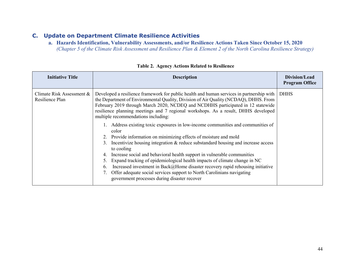**a. Hazards Identification, Vulnerability Assessments, and/or Resilience Actions Taken Since October 15, 2020**  *(Chapter 5 of the Climate Risk Assessment and Resilience Plan & Element 2 of the North Carolina Resilience Strategy)*

| <b>Initiative Title</b>                      | <b>Description</b>                                                                                                                                                                                                                                                                                                                                                                                                                                                                                                                                                                                                                                                                                                                                                                                                                                                                                                                                                                                                                                          | Division/Lead<br><b>Program Office</b> |
|----------------------------------------------|-------------------------------------------------------------------------------------------------------------------------------------------------------------------------------------------------------------------------------------------------------------------------------------------------------------------------------------------------------------------------------------------------------------------------------------------------------------------------------------------------------------------------------------------------------------------------------------------------------------------------------------------------------------------------------------------------------------------------------------------------------------------------------------------------------------------------------------------------------------------------------------------------------------------------------------------------------------------------------------------------------------------------------------------------------------|----------------------------------------|
| Climate Risk Assessment &<br>Resilience Plan | Developed a resilience framework for public health and human services in partnership with<br>the Department of Environmental Quality, Division of Air Quality (NCDAQ), DHHS. From<br>February 2019 through March 2020, NCDEQ and NCDHHS participated in 12 statewide<br>resilience planning meetings and 7 regional workshops. As a result, DHHS developed<br>multiple recommendations including:<br>1. Address existing toxic exposures in low-income communities and communities of<br>color<br>2. Provide information on minimizing effects of moisture and mold<br>Incentivize housing integration & reduce substandard housing and increase access<br>to cooling<br>Increase social and behavioral health support in vulnerable communities<br>4.<br>Expand tracking of epidemiological health impacts of climate change in NC<br>5.<br>Increased investment in Back@Home disaster recovery rapid rehousing initiative<br>6.<br>Offer adequate social services support to North Carolinians navigating<br>government processes during disaster recover | <b>DHHS</b>                            |
|                                              |                                                                                                                                                                                                                                                                                                                                                                                                                                                                                                                                                                                                                                                                                                                                                                                                                                                                                                                                                                                                                                                             |                                        |

**Table 2. Agency Actions Related to Resilience**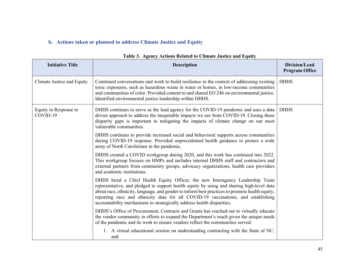# **b. Actions taken or planned to address Climate Justice and Equity**

| <b>Initiative Title</b>           | <b>Description</b>                                                                                                                                                                                                                                                                                                                                                                                                                          | <b>Division/Lead</b><br><b>Program Office</b> |
|-----------------------------------|---------------------------------------------------------------------------------------------------------------------------------------------------------------------------------------------------------------------------------------------------------------------------------------------------------------------------------------------------------------------------------------------------------------------------------------------|-----------------------------------------------|
| Climate Justice and Equity        | Continued conversations and work to build resilience in the context of addressing existing<br>toxic exposures, such as hazardous waste in water or homes, in low-income communities<br>and communities of color. Provided content to and shared EO 246 on environmental justice.<br>Identified environmental justice leadership within DHHS.                                                                                                | <b>DHHS</b>                                   |
| Equity in Response to<br>COVID-19 | DHHS continues to serve as the lead agency for the COVID-19 pandemic and uses a data<br>driven approach to address the inequitable impacts we see from COVID-19. Closing these<br>disparity gaps is important to mitigating the impacts of climate change on our most<br>vulnerable communities.                                                                                                                                            | <b>DHHS</b>                                   |
|                                   | DHHS continues to provide increased social and behavioral supports across communities<br>during COVID-19 response. Provided unprecedented health guidance to protect a wide<br>array of North Carolinians in the pandemic,                                                                                                                                                                                                                  |                                               |
|                                   | DHHS created a COVID workgroup during 2020, and this work has continued into 2022.<br>This workgroup focuses on HMPs and includes internal DHHS staff and contractors and<br>external partners from community groups, advocacy organizations, health care providers<br>and academic institutions.                                                                                                                                           |                                               |
|                                   | DHHS hired a Chief Health Equity Officer, the new Interagency Leadership Team<br>representative, and pledged to support health equity by using and sharing high-level data<br>about race, ethnicity, language, and gender to inform best practices to promote health equity,<br>reporting race and ethnicity data for all COVID-19 vaccinations, and establishing<br>accountability mechanisms to strategically address health disparities. |                                               |
|                                   | DHHS's Office of Procurement, Contracts and Grants has reached out to virtually educate<br>the vendor community in efforts to expand the Department's reach given the unique needs<br>of the pandemic and its work to ensure vendors reflect the communities served:                                                                                                                                                                        |                                               |
|                                   | 1. A virtual educational session on understanding contracting with the State of NC;<br>and                                                                                                                                                                                                                                                                                                                                                  |                                               |

#### **Table 3. Agency Actions Related to Climate Justice and Equity**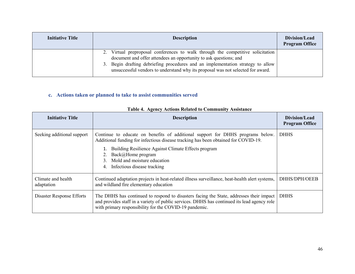| <b>Initiative Title</b> | <b>Description</b>                                                                                                                                                                                                                                                                                                      | Division/Lead<br><b>Program Office</b> |
|-------------------------|-------------------------------------------------------------------------------------------------------------------------------------------------------------------------------------------------------------------------------------------------------------------------------------------------------------------------|----------------------------------------|
|                         | Virtual preproposal conferences to walk through the competitive solicitation<br>document and offer attendees an opportunity to ask questions; and<br>3. Begin drafting debriefing procedures and an implementation strategy to allow<br>unsuccessful vendors to understand why its proposal was not selected for award. |                                        |

### **c. Actions taken or planned to take to assist communities served**

| <b>Initiative Title</b>          | <b>Description</b>                                                                                                                                                                                                                                                                                                      | Division/Lead<br><b>Program Office</b> |
|----------------------------------|-------------------------------------------------------------------------------------------------------------------------------------------------------------------------------------------------------------------------------------------------------------------------------------------------------------------------|----------------------------------------|
| Seeking additional support       | Continue to educate on benefits of additional support for DHHS programs below.<br>Additional funding for infectious disease tracking has been obtained for COVID-19.<br>Building Resilience Against Climate Effects program<br>Back@Home program<br>3. Mold and moisture education<br>Infectious disease tracking<br>4. | <b>DHHS</b>                            |
| Climate and health<br>adaptation | Continued adaptation projects in heat-related illness surveillance, heat-health alert systems,<br>and wildland fire elementary education                                                                                                                                                                                | DHHS/DPH/OEEB                          |
| Disaster Response Efforts        | The DHHS has continued to respond to disasters facing the State, addresses their impact<br>and provides staff in a variety of public services. DHHS has continued its lead agency role<br>with primary responsibility for the COVID-19 pandemic.                                                                        | <b>DHHS</b>                            |

### **Table 4. Agency Actions Related to Community Assistance**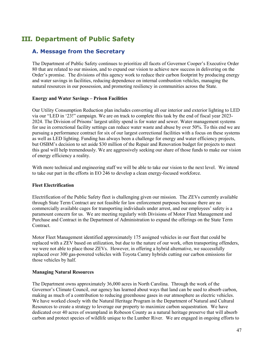# **III. Department of Public Safety**

## **A. Message from the Secretary**

The Department of Public Safety continues to prioritize all facets of Governor Cooper's Executive Order 80 that are related to our mission, and to expand our vision to achieve new success in delivering on the Order's promise. The divisions of this agency work to reduce their carbon footprint by producing energy and water savings in facilities, reducing dependence on internal combustion vehicles, managing the natural resources in our possession, and promoting resiliency in communities across the State.

#### **Energy and Water Savings – Prison Facilities**

Our Utility Consumption Reduction plan includes converting all our interior and exterior lighting to LED via our "LED in '23!" campaign. We are on track to complete this task by the end of fiscal year 2023- 2024. The Division of Prisons' largest utility spend is for water and sewer. Water management systems for use in correctional facility settings can reduce water waste and abuse by over 50%. To this end we are pursuing a performance contract for six of our largest correctional facilities with a focus on these systems as well as LED lighting. Funding has always been a challenge for energy and water efficiency projects, but OSBM's decision to set aside \$30 million of the Repair and Renovation budget for projects to meet this goal will help tremendously. We are aggressively seeking our share of those funds to make our vision of energy efficiency a reality.

With more technical and engineering staff we will be able to take our vision to the next level. We intend to take our part in the efforts in EO 246 to develop a clean energy-focused workforce.

#### **Fleet Electrification**

Electrification of the Public Safety fleet is challenging given our mission. The ZEVs currently available through State Term Contract are not feasible for law enforcement purposes because there are no commercially available cages for transporting individuals under arrest, and our employees' safety is a paramount concern for us. We are meeting regularly with Divisions of Motor Fleet Management and Purchase and Contract in the Department of Administration to expand the offerings on the State Term Contract.

Motor Fleet Management identified approximately 175 assigned vehicles in our fleet that could be replaced with a ZEV based on utilization, but due to the nature of our work, often transporting offenders, we were not able to place those ZEVs. However, in offering a hybrid alternative, we successfully replaced over 300 gas-powered vehicles with Toyota Camry hybrids cutting our carbon emissions for those vehicles by half.

#### **Managing Natural Resources**

The Department owns approximately 36,000 acres in North Carolina. Through the work of the Governor's Climate Council, our agency has learned about ways that land can be used to absorb carbon, making as much of a contribution to reducing greenhouse gases in our atmosphere as electric vehicles. We have worked closely with the Natural Heritage Program in the Department of Natural and Cultural Resources to create a strategy to leverage our property to maximize carbon sequestration. We have dedicated over 40 acres of swampland in Robeson County as a natural heritage preserve that will absorb carbon and protect species of wildlife unique to the Lumber River. We are engaged in ongoing efforts to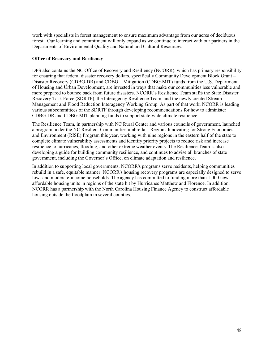work with specialists in forest management to ensure maximum advantage from our acres of deciduous forest. Our learning and commitment will only expand as we continue to interact with our partners in the Departments of Environmental Quality and Natural and Cultural Resources.

#### **Office of Recovery and Resiliency**

DPS also contains the NC Office of Recovery and Resiliency (NCORR), which has primary responsibility for ensuring that federal disaster recovery dollars, specifically Community Development Block Grant – Disaster Recovery (CDBG-DR) and CDBG – Mitigation (CDBG-MIT) funds from the U.S. Department of Housing and Urban Development, are invested in ways that make our communities less vulnerable and more prepared to bounce back from future disasters. NCORR's Resilience Team staffs the State Disaster Recovery Task Force (SDRTF), the Interagency Resilience Team, and the newly created Stream Management and Flood Reduction Interagency Working Group. As part of that work, NCORR is leading various subcommittees of the SDRTF through developing recommendations for how to administer CDBG-DR and CDBG-MIT planning funds to support state-wide climate resilience,

The Resilience Team, in partnership with NC Rural Center and various councils of government, launched a program under the NC Resilient Communities umbrella—Regions Innovating for Strong Economies and Environment (RISE) Program this year, working with nine regions in the eastern half of the state to complete climate vulnerability assessments and identify priority projects to reduce risk and increase resilience to hurricanes, flooding, and other extreme weather events. The Resilience Team is also developing a guide for building community resilience, and continues to advise all branches of state government, including the Governor's Office, on climate adaptation and resilience.

In addition to supporting local governments, NCORR's programs serve residents, helping communities rebuild in a safe, equitable manner. NCORR's housing recovery programs are especially designed to serve low- and moderate-income households. The agency has committed to funding more than 1,000 new affordable housing units in regions of the state hit by Hurricanes Matthew and Florence. In addition, NCORR has a partnership with the North Carolina Housing Finance Agency to construct affordable housing outside the floodplain in several counties.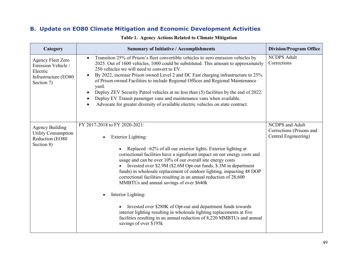| Category                                                                                  | <b>Summary of Initiative / Accomplishments</b>                                                                                                                                                                                                                                                                                                                                                                                                                                                                                                                                                                                                                                                                                                                                                            | <b>Division/Program Office</b>                                             |
|-------------------------------------------------------------------------------------------|-----------------------------------------------------------------------------------------------------------------------------------------------------------------------------------------------------------------------------------------------------------------------------------------------------------------------------------------------------------------------------------------------------------------------------------------------------------------------------------------------------------------------------------------------------------------------------------------------------------------------------------------------------------------------------------------------------------------------------------------------------------------------------------------------------------|----------------------------------------------------------------------------|
| Agency Fleet Zero<br>Emission Vehicle /<br>Electric<br>Infrastructure (EO80<br>Section 7) | Transition 25% of Prison's fleet convertible vehicles to zero emission vehicles by<br>$\bullet$<br>2025. Out of 1600 vehicles, 1000 could be substituted. This amount to approximately<br>250 vehicles we will need to convert to EV.<br>By 2022, increase Prison owned Level 2 and DC Fast charging infrastructure to 25%<br>$\bullet$<br>of Prison owned Facilities to include Regional Offices and Regional Maintenance<br>yard.<br>Deploy ZEV Security Patrol vehicles at no less than (5) facilities by the end of 2022.<br>$\bullet$<br>Deploy EV Transit passenger vans and maintenance vans when available.<br>Advocate for greater diversity of available electric vehicles on state contract.                                                                                                   | <b>NCDPS Adult</b><br>Corrections                                          |
| <b>Agency Building</b><br><b>Utility Consumption</b><br>Reduction (EO80<br>Section 8)     | FY 2017-2018 to FY 2020-2021:<br><b>Exterior Lighting:</b><br>Replaced ~62% of all our exterior lights. Exterior lighting at<br>correctional facilities have a significant impact on our energy costs and<br>usage and can be over 10% of our overall site energy costs<br>Invested over \$2.9M (\$2.6M Opt-out funds, \$.3M in department<br>funds) in wholesale replacement of outdoor lighting, impacting 48 DOP<br>correctional facilities resulting in an annual reduction of 28,600<br>MMBTUs and annual savings of over \$640k<br>Interior Lighting:<br>Invested over \$280K of Opt-out and department funds towards<br>interior lighting resulting in wholesale lighting replacements at five<br>facilities resulting in an annual reduction of 8,220 MMBTUs and annual<br>savings of over \$195k | <b>NCDPS</b> and Adult<br>Corrections (Prisons and<br>Central Engineering) |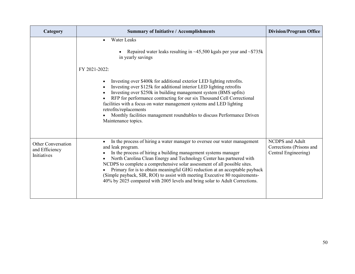| Category                                                   | <b>Summary of Initiative / Accomplishments</b>                                                                                                                                                                                                                                                                                                                                                                                                                                                                                                                    | <b>Division/Program Office</b>                                             |
|------------------------------------------------------------|-------------------------------------------------------------------------------------------------------------------------------------------------------------------------------------------------------------------------------------------------------------------------------------------------------------------------------------------------------------------------------------------------------------------------------------------------------------------------------------------------------------------------------------------------------------------|----------------------------------------------------------------------------|
|                                                            | <b>Water Leaks</b><br>Repaired water leaks resulting in $\sim$ 45,500 kgals per year and $\sim$ \$735k<br>in yearly savings                                                                                                                                                                                                                                                                                                                                                                                                                                       |                                                                            |
|                                                            | FY 2021-2022:<br>Investing over \$400k for additional exterior LED lighting retrofits.<br>Investing over \$125k for additional interior LED lighting retrofits<br>Investing over \$250k in building management system (BMS upfits)<br>RFP for performance contracting for our six Thousand Cell Correctional<br>facilities with a focus on water management systems and LED lighting<br>retrofits/replacements<br>Monthly facilities management roundtables to discuss Performance Driven<br>Maintenance topics.                                                  |                                                                            |
| <b>Other Conversation</b><br>and Efficiency<br>Initiatives | In the process of hiring a water manager to oversee our water management<br>and leak program.<br>In the process of hiring a building management systems manager<br>North Carolina Clean Energy and Technology Center has partnered with<br>NCDPS to complete a comprehensive solar assessment of all possible sites.<br>Primary for is to obtain meaningful GHG reduction at an acceptable payback<br>(Simple payback, SIR, ROI) to assist with meeting Executive 80 requirements-<br>40% by 2025 compared with 2005 levels and bring solar to Adult Corrections. | <b>NCDPS</b> and Adult<br>Corrections (Prisons and<br>Central Engineering) |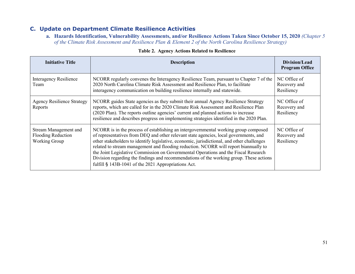**a. Hazards Identification, Vulnerability Assessments, and/or Resilience Actions Taken Since October 15, 2020** *(Chapter 5 of the Climate Risk Assessment and Resilience Plan & Element 2 of the North Carolina Resilience Strategy)*

| <b>Initiative Title</b>                                                    | <b>Description</b>                                                                                                                                                                                                                                                                                                                                                                                                                                                                                                                                                                                          | Division/Lead<br><b>Program Office</b>     |
|----------------------------------------------------------------------------|-------------------------------------------------------------------------------------------------------------------------------------------------------------------------------------------------------------------------------------------------------------------------------------------------------------------------------------------------------------------------------------------------------------------------------------------------------------------------------------------------------------------------------------------------------------------------------------------------------------|--------------------------------------------|
| Interagency Resilience<br>Team                                             | NCORR regularly convenes the Interagency Resilience Team, pursuant to Chapter 7 of the<br>2020 North Carolina Climate Risk Assessment and Resilience Plan, to facilitate<br>interagency communication on building resilience internally and statewide.                                                                                                                                                                                                                                                                                                                                                      | NC Office of<br>Recovery and<br>Resiliency |
| <b>Agency Resilience Strategy</b><br>Reports                               | NCORR guides State agencies as they submit their annual Agency Resilience Strategy<br>reports, which are called for in the 2020 Climate Risk Assessment and Resilience Plan<br>(2020 Plan). The reports outline agencies' current and planned actions to increase<br>resilience and describes progress on implementing strategies identified in the 2020 Plan.                                                                                                                                                                                                                                              | NC Office of<br>Recovery and<br>Resiliency |
| Stream Management and<br><b>Flooding Reduction</b><br><b>Working Group</b> | NCORR is in the process of establishing an intergovernmental working group composed<br>of representatives from DEQ and other relevant state agencies, local governments, and<br>other stakeholders to identify legislative, economic, jurisdictional, and other challenges<br>related to stream management and flooding reduction. NCORR will report biannually to<br>the Joint Legislative Commission on Governmental Operations and the Fiscal Research<br>Division regarding the findings and recommendations of the working group. These actions<br>fulfill § 143B-1041 of the 2021 Appropriations Act. | NC Office of<br>Recovery and<br>Resiliency |

#### **Table 2. Agency Actions Related to Resilience**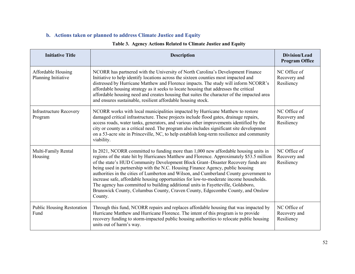## **b. Actions taken or planned to address Climate Justice and Equity**

### **Table 3. Agency Actions Related to Climate Justice and Equity**

| <b>Initiative Title</b>                   | <b>Description</b>                                                                                                                                                                                                                                                                                                                                                                                                                                                                                                                                                                                                                                                                                                           | Division/Lead<br><b>Program Office</b>     |
|-------------------------------------------|------------------------------------------------------------------------------------------------------------------------------------------------------------------------------------------------------------------------------------------------------------------------------------------------------------------------------------------------------------------------------------------------------------------------------------------------------------------------------------------------------------------------------------------------------------------------------------------------------------------------------------------------------------------------------------------------------------------------------|--------------------------------------------|
| Affordable Housing<br>Planning Initiative | NCORR has partnered with the University of North Carolina's Development Finance<br>Initiative to help identify locations across the sixteen counties most impacted and<br>distressed by Hurricane Matthew and Florence impacts. The study will inform NCORR's<br>affordable housing strategy as it seeks to locate housing that addresses the critical<br>affordable housing need and creates housing that suites the character of the impacted area<br>and ensures sustainable, resilient affordable housing stock.                                                                                                                                                                                                         | NC Office of<br>Recovery and<br>Resiliency |
| <b>Infrastructure Recovery</b><br>Program | NCORR works with local municipalities impacted by Hurricane Matthew to restore<br>damaged critical infrastructure. These projects include flood gates, drainage repairs,<br>access roads, water tanks, generators, and various other improvements identified by the<br>city or county as a critical need. The program also includes significant site development<br>on a 53-acre site in Princeville, NC, to help establish long-term resilience and community<br>viability.                                                                                                                                                                                                                                                 | NC Office of<br>Recovery and<br>Resiliency |
| Multi-Family Rental<br>Housing            | In 2021, NCORR committed to funding more than 1,000 new affordable housing units in<br>regions of the state hit by Hurricanes Matthew and Florence. Approximately \$53.5 million<br>of the state's HUD Community Development Block Grant-Disaster Recovery funds are<br>being used in partnership with the N.C. Housing Finance Agency, public housing<br>authorities in the cities of Lumberton and Wilson, and Cumberland County government to<br>increase safe, affordable housing opportunities for low-to-moderate income households.<br>The agency has committed to building additional units in Fayetteville, Goldsboro,<br>Brunswick County, Columbus County, Craven County, Edgecombe County, and Onslow<br>County. | NC Office of<br>Recovery and<br>Resiliency |
| <b>Public Housing Restoration</b><br>Fund | Through this fund, NCORR repairs and replaces affordable housing that was impacted by<br>Hurricane Matthew and Hurricane Florence. The intent of this program is to provide<br>recovery funding to storm-impacted public housing authorities to relocate public housing<br>units out of harm's way.                                                                                                                                                                                                                                                                                                                                                                                                                          | NC Office of<br>Recovery and<br>Resiliency |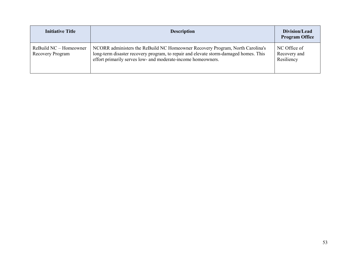| <b>Initiative Title</b>                    | <b>Description</b>                                                                                                                                                                                                                    | Division/Lead<br><b>Program Office</b>     |
|--------------------------------------------|---------------------------------------------------------------------------------------------------------------------------------------------------------------------------------------------------------------------------------------|--------------------------------------------|
| ReBuild NC – Homeowner<br>Recovery Program | NCORR administers the ReBuild NC Homeowner Recovery Program, North Carolina's<br>long-term disaster recovery program, to repair and elevate storm-damaged homes. This<br>effort primarily serves low- and moderate-income homeowners. | NC Office of<br>Recovery and<br>Resiliency |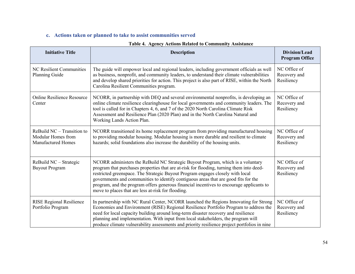## **c. Actions taken or planned to take to assist communities served**

| <b>Initiative Title</b>                                                         | <b>Description</b>                                                                                                                                                                                                                                                                                                                                                                                                                                                                                     | Division/Lead<br><b>Program Office</b>     |
|---------------------------------------------------------------------------------|--------------------------------------------------------------------------------------------------------------------------------------------------------------------------------------------------------------------------------------------------------------------------------------------------------------------------------------------------------------------------------------------------------------------------------------------------------------------------------------------------------|--------------------------------------------|
| NC Resilient Communities<br>Planning Guide                                      | The guide will empower local and regional leaders, including government officials as well<br>as business, nonprofit, and community leaders, to understand their climate vulnerabilities<br>and develop shared priorities for action. This project is also part of RISE, within the North<br>Carolina Resilient Communities program.                                                                                                                                                                    | NC Office of<br>Recovery and<br>Resiliency |
| <b>Online Resilience Resource</b><br>Center                                     | NCORR, in partnership with DEQ and several environmental nonprofits, is developing an<br>online climate resilience clearinghouse for local governments and community leaders. The<br>tool is called for in Chapters 4, 6, and 7 of the 2020 North Carolina Climate Risk<br>Assessment and Resilience Plan (2020 Plan) and in the North Carolina Natural and<br>Working Lands Action Plan.                                                                                                              | NC Office of<br>Recovery and<br>Resiliency |
| ReBuild $NC -$ Transition to<br>Modular Homes from<br><b>Manufactured Homes</b> | NCORR transitioned its home replacement program from providing manufactured housing<br>to providing modular housing. Modular housing is more durable and resilient to climate<br>hazards; solid foundations also increase the durability of the housing units.                                                                                                                                                                                                                                         | NC Office of<br>Recovery and<br>Resiliency |
| ReBuild NC - Strategic<br><b>Buyout Program</b>                                 | NCORR administers the ReBuild NC Strategic Buyout Program, which is a voluntary<br>program that purchases properties that are at-risk for flooding, turning them into deed-<br>restricted greenspace. The Strategic Buyout Program engages closely with local<br>governments and communities to identify contiguous areas that are good fits for the<br>program, and the program offers generous financial incentives to encourage applicants to<br>move to places that are less at-risk for flooding. | NC Office of<br>Recovery and<br>Resiliency |
| <b>RISE Regional Resilience</b><br>Portfolio Program                            | In partnership with NC Rural Center, NCORR launched the Regions Innovating for Strong<br>Economies and Environment (RISE) Regional Resilience Portfolio Program to address the<br>need for local capacity building around long-term disaster recovery and resilience<br>planning and implementation. With input from local stakeholders, the program will<br>produce climate vulnerability assessments and priority resilience project portfolios in nine                                              | NC Office of<br>Recovery and<br>Resiliency |

### **Table 4. Agency Actions Related to Community Assistance**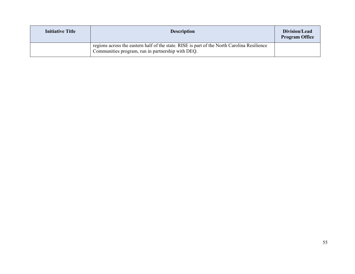| <b>Initiative Title</b> | <b>Description</b>                                                                                                                               | Division/Lead<br><b>Program Office</b> |
|-------------------------|--------------------------------------------------------------------------------------------------------------------------------------------------|----------------------------------------|
|                         | regions across the eastern half of the state. RISE is part of the North Carolina Resilience<br>Communities program, run in partnership with DEQ. |                                        |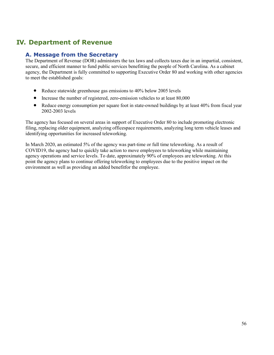# **IV. Department of Revenue**

## **A. Message from the Secretary**

The Department of Revenue (DOR) administers the tax laws and collects taxes due in an impartial, consistent, secure, and efficient manner to fund public services benefitting the people of North Carolina. As a cabinet agency, the Department is fully committed to supporting Executive Order 80 and working with other agencies to meet the established goals:

- Reduce statewide greenhouse gas emissions to 40% below 2005 levels
- Increase the number of registered, zero-emission vehicles to at least 80,000
- Reduce energy consumption per square foot in state-owned buildings by at least 40% from fiscal year 2002-2003 levels

The agency has focused on several areas in support of Executive Order 80 to include promoting electronic filing, replacing older equipment, analyzing officespace requirements, analyzing long term vehicle leases and identifying opportunities for increased teleworking.

In March 2020, an estimated 5% of the agency was part-time or full time teleworking. As a result of COVID19, the agency had to quickly take action to move employees to teleworking while maintaining agency operations and service levels. To date, approximately 90% of employees are teleworking. At this point the agency plans to continue offering teleworking to employees due to the positive impact on the environment as well as providing an added benefitfor the employee.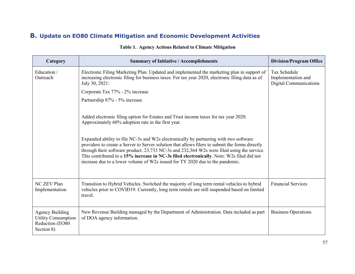| Category                                                                              | <b>Summary of Initiative / Accomplishments</b>                                                                                                                                                                                                                                                                                                                                                                                                                                                                                                                                                                     | <b>Division/Program Office</b>                                      |
|---------------------------------------------------------------------------------------|--------------------------------------------------------------------------------------------------------------------------------------------------------------------------------------------------------------------------------------------------------------------------------------------------------------------------------------------------------------------------------------------------------------------------------------------------------------------------------------------------------------------------------------------------------------------------------------------------------------------|---------------------------------------------------------------------|
| Education /<br>Outreach                                                               | Electronic Filing Marketing Plan. Updated and implemented the marketing plan in support of<br>increasing electronic filing for business taxes. For tax year 2020, electronic filing data as of<br>July 30, 2021:                                                                                                                                                                                                                                                                                                                                                                                                   | Tax Schedule<br>Implementation and<br><b>Digital Communications</b> |
|                                                                                       | Corporate Tax 77% - 2% increase                                                                                                                                                                                                                                                                                                                                                                                                                                                                                                                                                                                    |                                                                     |
|                                                                                       | Partnership 87% - 5% increase                                                                                                                                                                                                                                                                                                                                                                                                                                                                                                                                                                                      |                                                                     |
|                                                                                       | Added electronic filing option for Estates and Trust income taxes for tax year 2020.<br>Approximately 60% adoption rate in the first year.<br>Expanded ability to file NC-3s and W2s electronically by partnering with two software<br>providers to create a Server to Server solution that allows filers to submit the forms directly<br>through their software product. 23,733 NC-3s and 232,364 W2s were filed using the service.<br>This contributed to a 15% increase in NC-3s filed electronically. Note: W2s filed did not<br>increase due to a lower volume of W2s issued for TY 2020 due to the pandemic. |                                                                     |
| NC ZEV Plan<br>Implementation                                                         | Transition to Hybrid Vehicles. Switched the majority of long term rental vehicles to hybrid<br>vehicles prior to COVID19. Currently, long term rentals are still suspended based on limited<br>travel.                                                                                                                                                                                                                                                                                                                                                                                                             | <b>Financial Services</b>                                           |
| <b>Agency Building</b><br><b>Utility Consumption</b><br>Reduction (EO80<br>Section 8) | New Revenue Building managed by the Department of Administration. Data included as part<br>of DOA agency information.                                                                                                                                                                                                                                                                                                                                                                                                                                                                                              | <b>Business Operations</b>                                          |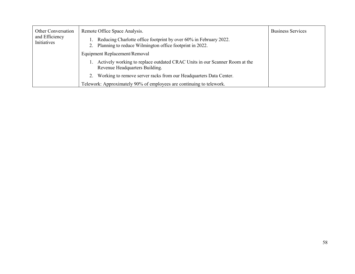| <b>Other Conversation</b>     | Remote Office Space Analysis.                                                                                                | <b>Business Services</b> |
|-------------------------------|------------------------------------------------------------------------------------------------------------------------------|--------------------------|
| and Efficiency<br>Initiatives | Reducing Charlotte office footprint by over 60% in February 2022.<br>Planning to reduce Wilmington office footprint in 2022. |                          |
|                               | Equipment Replacement/Removal                                                                                                |                          |
|                               | Actively working to replace outdated CRAC Units in our Scanner Room at the<br>Revenue Headquarters Building.                 |                          |
|                               | Working to remove server racks from our Headquarters Data Center.                                                            |                          |
|                               | Telework: Approximately 90% of employees are continuing to telework.                                                         |                          |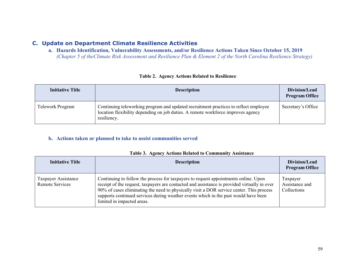**a. Hazards Identification, Vulnerability Assessments, and/or Resilience Actions Taken Since October 15, 2019**  *(Chapter 5 of theClimate Risk Assessment and Resilience Plan & Element 2 of the North Carolina Resilience Strategy)*

| <b>Initiative Title</b> | <b>Description</b>                                                                                                                                                                      | Division/Lead<br><b>Program Office</b> |
|-------------------------|-----------------------------------------------------------------------------------------------------------------------------------------------------------------------------------------|----------------------------------------|
| Telework Program        | Continuing teleworking program and updated recruitment practices to reflect employee<br>location flexibility depending on job duties. A remote workforce improves agency<br>resiliency. | Secretary's Office                     |

#### **Table 2. Agency Actions Related to Resilience**

#### **b. Actions taken or planned to take to assist communities served**

| <b>Initiative Title</b>                | <b>Description</b>                                                                                                                                                                                                                                                                                                                                                                                   | Division/Lead<br><b>Program Office</b>    |
|----------------------------------------|------------------------------------------------------------------------------------------------------------------------------------------------------------------------------------------------------------------------------------------------------------------------------------------------------------------------------------------------------------------------------------------------------|-------------------------------------------|
| Taxpayer Assistance<br>Remote Services | Continuing to follow the process for taxpayers to request appointments online. Upon<br>receipt of the request, taxpayers are contacted and assistance is provided virtually in over<br>90% of cases eliminating the need to physically visit a DOR service center. This process<br>supports continued services during weather events which in the past would have been<br>limited in impacted areas. | Taxpayer<br>Assistance and<br>Collections |

|  |  | Table 3. Agency Actions Related to Community Assistance |  |
|--|--|---------------------------------------------------------|--|
|  |  |                                                         |  |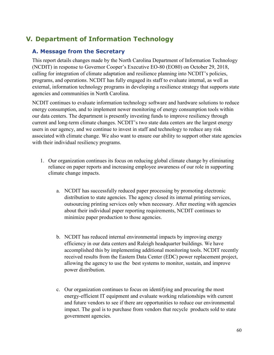# **V. Department of Information Technology**

## **A. Message from the Secretary**

This report details changes made by the North Carolina Department of Information Technology (NCDIT) in response to Governor Cooper's Executive EO-80 (EO80) on October 29, 2018, calling for integration of climate adaptation and resilience planning into NCDIT's policies, programs, and operations. NCDIT has fully engaged its staff to evaluate internal, as well as external, information technology programs in developing a resilience strategy that supports state agencies and communities in North Carolina.

NCDIT continues to evaluate information technology software and hardware solutions to reduce energy consumption, and to implement newer monitoring of energy consumption tools within our data centers. The department is presently investing funds to improve resiliency through current and long-term climate changes. NCDIT's two state data centers are the largest energy users in our agency, and we continue to invest in staff and technology to reduce any risk associated with climate change. We also want to ensure our ability to support other state agencies with their individual resiliency programs.

- 1. Our organization continues its focus on reducing global climate change by eliminating reliance on paper reports and increasing employee awareness of our role in supporting climate change impacts.
	- a. NCDIT has successfully reduced paper processing by promoting electronic distribution to state agencies. The agency closed its internal printing services, outsourcing printing services only when necessary. After meeting with agencies about their individual paper reporting requirements, NCDIT continues to minimize paper production to those agencies.
	- b. NCDIT has reduced internal environmental impacts by improving energy efficiency in our data centers and Raleigh headquarter buildings. We have accomplished this by implementing additional monitoring tools. NCDIT recently received results from the Eastern Data Center (EDC) power replacement project, allowing the agency to use the best systems to monitor, sustain, and improve power distribution.
	- c. Our organization continues to focus on identifying and procuring the most energy-efficient IT equipment and evaluate working relationships with current and future vendors to see if there are opportunities to reduce our environmental impact. The goal is to purchase from vendors that recycle products sold to state government agencies.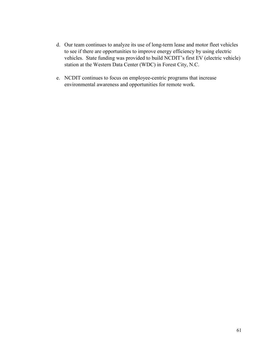- d. Our team continues to analyze its use of long-term lease and motor fleet vehicles to see if there are opportunities to improve energy efficiency by using electric vehicles. State funding was provided to build NCDIT's first EV (electric vehicle) station at the Western Data Center (WDC) in Forest City, N.C.
- e. NCDIT continues to focus on employee-centric programs that increase environmental awareness and opportunities for remote work.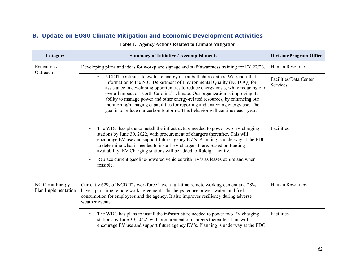| Category                               | <b>Summary of Initiative / Accomplishments</b>                                                                                                                                                                                                                                                                                                                                                                                                                                                                                                                                              | <b>Division/Program Office</b>     |
|----------------------------------------|---------------------------------------------------------------------------------------------------------------------------------------------------------------------------------------------------------------------------------------------------------------------------------------------------------------------------------------------------------------------------------------------------------------------------------------------------------------------------------------------------------------------------------------------------------------------------------------------|------------------------------------|
| Education /<br>Outreach                | Developing plans and ideas for workplace signage and staff awareness training for FY 22/23.                                                                                                                                                                                                                                                                                                                                                                                                                                                                                                 | <b>Human Resources</b>             |
|                                        | NCDIT continues to evaluate energy use at both data centers. We report that<br>$\bullet$<br>information to the N.C. Department of Environmental Quality (NCDEQ) for<br>assistance in developing opportunities to reduce energy costs, while reducing our<br>overall impact on North Carolina's climate. Our organization is improving its<br>ability to manage power and other energy-related resources, by enhancing our<br>monitoring/managing capabilities for reporting and analyzing energy use. The<br>goal is to reduce our carbon footprint. This behavior will continue each year. | Facilities/Data Center<br>Services |
|                                        | The WDC has plans to install the infrastructure needed to power two EV charging<br>$\bullet$<br>stations by June 30, 2022, with procurement of chargers thereafter. This will<br>encourage EV use and support future agency EV's. Planning is underway at the EDC<br>to determine what is needed to install EV chargers there. Based on funding<br>availability, EV Charging stations will be added to Raleigh facility.<br>Replace current gasoline-powered vehicles with EV's as leases expire and when<br>$\bullet$                                                                      | Facilities                         |
|                                        | feasible.                                                                                                                                                                                                                                                                                                                                                                                                                                                                                                                                                                                   |                                    |
| NC Clean Energy<br>Plan Implementation | Currently 62% of NCDIT's workforce have a full-time remote work agreement and 28%<br>have a part-time remote work agreement. This helps reduce power, water, and fuel<br>consumption for employees and the agency. It also improves resiliency during adverse<br>weather events.                                                                                                                                                                                                                                                                                                            | <b>Human Resources</b>             |
|                                        | The WDC has plans to install the infrastructure needed to power two EV charging<br>$\bullet$<br>stations by June 30, 2022, with procurement of chargers thereafter. This will<br>encourage EV use and support future agency EV's. Planning is underway at the EDC                                                                                                                                                                                                                                                                                                                           | Facilities                         |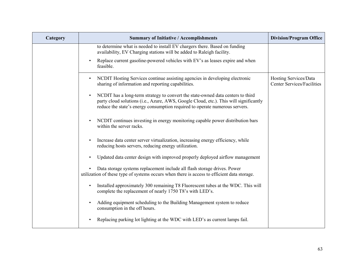| Category | <b>Summary of Initiative / Accomplishments</b>                                                                                                                                                                                                          | <b>Division/Program Office</b>                             |
|----------|---------------------------------------------------------------------------------------------------------------------------------------------------------------------------------------------------------------------------------------------------------|------------------------------------------------------------|
|          | to determine what is needed to install EV chargers there. Based on funding<br>availability, EV Charging stations will be added to Raleigh facility.                                                                                                     |                                                            |
|          | Replace current gasoline-powered vehicles with EV's as leases expire and when<br>feasible.                                                                                                                                                              |                                                            |
|          | NCDIT Hosting Services continue assisting agencies in developing electronic<br>$\bullet$<br>sharing of information and reporting capabilities.                                                                                                          | Hosting Services/Data<br><b>Center Services/Facilities</b> |
|          | NCDIT has a long-term strategy to convert the state-owned data centers to third<br>party cloud solutions (i.e., Azure, AWS, Google Cloud, etc.). This will significantly<br>reduce the state's energy consumption required to operate numerous servers. |                                                            |
|          | NCDIT continues investing in energy monitoring capable power distribution bars<br>within the server racks.                                                                                                                                              |                                                            |
|          | Increase data center server virtualization, increasing energy efficiency, while<br>reducing hosts servers, reducing energy utilization.                                                                                                                 |                                                            |
|          | Updated data center design with improved properly deployed airflow management                                                                                                                                                                           |                                                            |
|          | Data storage systems replacement include all flash storage drives. Power<br>utilization of these type of systems occurs when there is access to efficient data storage.                                                                                 |                                                            |
|          | Installed approximately 300 remaining T8 Fluorescent tubes at the WDC. This will<br>complete the replacement of nearly 1750 T8's with LED's.                                                                                                            |                                                            |
|          | Adding equipment scheduling to the Building Management system to reduce<br>consumption in the off hours.                                                                                                                                                |                                                            |
|          | Replacing parking lot lighting at the WDC with LED's as current lamps fail.                                                                                                                                                                             |                                                            |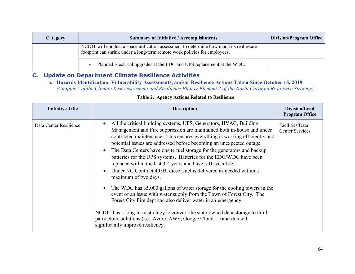| Category | <b>Summary of Initiative / Accomplishments</b>                                                                                                                        | <b>Division/Program Office</b> |
|----------|-----------------------------------------------------------------------------------------------------------------------------------------------------------------------|--------------------------------|
|          | NCDIT will conduct a space utilization assessment to determine how much its real estate<br>footprint can shrink under a long-term remote work policies for employees. |                                |
|          | Planned Electrical upgrades at the EDC and UPS replacement at the WDC.                                                                                                |                                |

### **a. Hazards Identification, Vulnerability Assessments, and/or Resilience Actions Taken Since October 15, 2019**  *(Chapter 5 of the Climate Risk Assessment and Resilience Plan & Element 2 of the North Carolina Resilience Strategy)*

### **Table 2. Agency Actions Related to Resilience**

| <b>Initiative Title</b> | <b>Description</b>                                                                                                                                                                                                                                                                                                                                                                                                                                                                                                                                                                                                                                                                                                                                                                                                                                                                                                                                                                                                                                                                            | Division/Lead<br><b>Program Office</b>    |
|-------------------------|-----------------------------------------------------------------------------------------------------------------------------------------------------------------------------------------------------------------------------------------------------------------------------------------------------------------------------------------------------------------------------------------------------------------------------------------------------------------------------------------------------------------------------------------------------------------------------------------------------------------------------------------------------------------------------------------------------------------------------------------------------------------------------------------------------------------------------------------------------------------------------------------------------------------------------------------------------------------------------------------------------------------------------------------------------------------------------------------------|-------------------------------------------|
| Data Center Resilience  | All the critical building systems, UPS, Generators, HVAC, Building<br>$\bullet$<br>Management and Fire suppression are maintained both in-house and under<br>contracted maintenance. This ensures everything is working efficiently and<br>potential issues are addressed before becoming an unexpected outage.<br>The Data Centers have onsite fuel storage for the generators and backup<br>$\bullet$<br>batteries for the UPS systems. Batteries for the EDC/WDC have been<br>replaced within the last 3-4 years and have a 10-year life.<br>Under NC Contract 405B, diesel fuel is delivered as needed within a<br>$\bullet$<br>maximum of two days.<br>The WDC has 35,000 gallons of water storage for the cooling towers in the<br>$\bullet$<br>event of an issue with water supply from the Town of Forest City. The<br>Forest City Fire dept can also deliver water in an emergency.<br>NCDIT has a long-term strategy to convert the state-owned data storage to third-<br>party cloud solutions (i.e., Azure, AWS, Google Cloud) and this will<br>significantly improve resiliency. | Facilities/Data<br><b>Center Services</b> |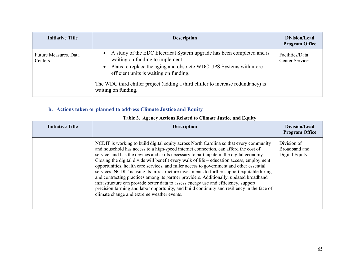| <b>Initiative Title</b>          | <b>Description</b>                                                                                                                                                                                                                                                                                                                                  | Division/Lead<br><b>Program Office</b>    |
|----------------------------------|-----------------------------------------------------------------------------------------------------------------------------------------------------------------------------------------------------------------------------------------------------------------------------------------------------------------------------------------------------|-------------------------------------------|
| Future Measures, Data<br>Centers | • A study of the EDC Electrical System upgrade has been completed and is<br>waiting on funding to implement.<br>Plans to replace the aging and obsolete WDC UPS Systems with more<br>$\bullet$<br>efficient units is waiting on funding.<br>The WDC third chiller project (adding a third chiller to increase redundancy) is<br>waiting on funding. | Facilities/Data<br><b>Center Services</b> |

## **b. Actions taken or planned to address Climate Justice and Equity**

| <b>Initiative Title</b> | <b>Description</b>                                                                                                                                                                                                                                                                                                                                                                                                                                                                                                                                                                                                                                                                                                                                                                                                                                                                               | Division/Lead<br><b>Program Office</b>         |
|-------------------------|--------------------------------------------------------------------------------------------------------------------------------------------------------------------------------------------------------------------------------------------------------------------------------------------------------------------------------------------------------------------------------------------------------------------------------------------------------------------------------------------------------------------------------------------------------------------------------------------------------------------------------------------------------------------------------------------------------------------------------------------------------------------------------------------------------------------------------------------------------------------------------------------------|------------------------------------------------|
|                         | NCDIT is working to build digital equity across North Carolina so that every community<br>and household has access to a high-speed internet connection, can afford the cost of<br>service, and has the devices and skills necessary to participate in the digital economy.<br>Closing the digital divide will benefit every walk of life – education access, employment<br>opportunities, health care services, and fuller access to government and other essential<br>services. NCDIT is using its infrastructure investments to further support equitable hiring<br>and contracting practices among its partner providers. Additionally, updated broadband<br>infrastructure can provide better data to assess energy use and efficiency, support<br>precision farming and labor opportunity, and build continuity and resiliency in the face of<br>climate change and extreme weather events. | Division of<br>Broadband and<br>Digital Equity |

### **Table 3. Agency Actions Related to Climate Justice and Equity**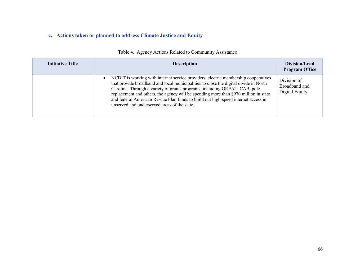# **c. Actions taken or planned to address Climate Justice and Equity**

| <b>Initiative Title</b> | <b>Description</b>                                                                                                                                                                                                                                                                                                                                                                                                                                                                                 | Division/Lead<br><b>Program Office</b>         |
|-------------------------|----------------------------------------------------------------------------------------------------------------------------------------------------------------------------------------------------------------------------------------------------------------------------------------------------------------------------------------------------------------------------------------------------------------------------------------------------------------------------------------------------|------------------------------------------------|
|                         | NCDIT is working with internet service providers, electric membership cooperatives<br>$\bullet$<br>that provide broadband and local municipalities to close the digital divide in North<br>Carolina. Through a variety of grants programs, including GREAT, CAB, pole<br>replacement and others, the agency will be spending more than \$970 million in state<br>and federal American Rescue Plan funds to build out high-speed internet access in<br>unserved and underserved areas of the state. | Division of<br>Broadband and<br>Digital Equity |

### Table 4. Agency Actions Related to Community Assistance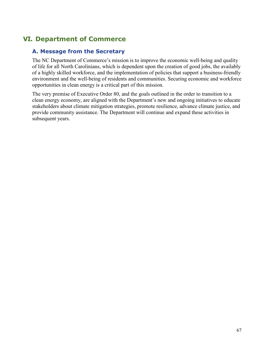# **VI. Department of Commerce**

## **A. Message from the Secretary**

The NC Department of Commerce's mission is to improve the economic well-being and quality of life for all North Carolinians, which is dependent upon the creation of good jobs, the availably of a highly skilled workforce, and the implementation of policies that support a business-friendly environment and the well-being of residents and communities. Securing economic and workforce opportunities in clean energy is a critical part of this mission.

The very premise of Executive Order 80, and the goals outlined in the order to transition to a clean energy economy, are aligned with the Department's new and ongoing initiatives to educate stakeholders about climate mitigation strategies, promote resilience, advance climate justice, and provide community assistance. The Department will continue and expand these activities in subsequent years.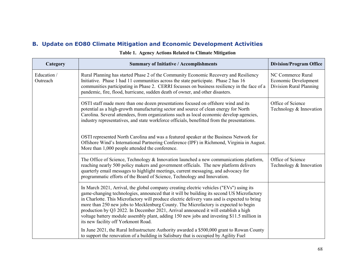| Category                | <b>Summary of Initiative / Accomplishments</b>                                                                                                                                                                                                                                                                                                                                                                                                                                                                                                                                                          | <b>Division/Program Office</b>                                       |
|-------------------------|---------------------------------------------------------------------------------------------------------------------------------------------------------------------------------------------------------------------------------------------------------------------------------------------------------------------------------------------------------------------------------------------------------------------------------------------------------------------------------------------------------------------------------------------------------------------------------------------------------|----------------------------------------------------------------------|
| Education /<br>Outreach | Rural Planning has started Phase 2 of the Community Economic Recovery and Resiliency<br>Initiative. Phase 1 had 11 communities across the state participate. Phase 2 has 16<br>communities participating in Phase 2. CERRI focusses on business resiliency in the face of a<br>pandemic, fire, flood, hurricane, sudden death of owner, and other disasters.                                                                                                                                                                                                                                            | NC Commerce Rural<br>Economic Development<br>Division Rural Planning |
|                         | OSTI staff made more than one dozen presentations focused on offshore wind and its<br>potential as a high-growth manufacturing sector and source of clean energy for North<br>Carolina. Several attendees, from organizations such as local economic develop agencies,<br>industry representatives, and state workforce officials, benefitted from the presentations.                                                                                                                                                                                                                                   | Office of Science<br>Technology & Innovation                         |
|                         | OSTI represented North Carolina and was a featured speaker at the Business Network for<br>Offshore Wind's International Partnering Conference (IPF) in Richmond, Virginia in August.<br>More than 1,000 people attended the conference.                                                                                                                                                                                                                                                                                                                                                                 |                                                                      |
|                         | The Office of Science, Technology & Innovation launched a new communications platform,<br>reaching nearly 500 policy makers and government officials. The new platform delivers<br>quarterly email messages to highlight meetings, current messaging, and advocacy for<br>programmatic efforts of the Board of Science, Technology and Innovation.                                                                                                                                                                                                                                                      | Office of Science<br>Technology & Innovation                         |
|                         | In March 2021, Arrival, the global company creating electric vehicles ("EVs") using its<br>game-changing technologies, announced that it will be building its second US Microfactory<br>in Charlotte. This Microfactory will produce electric delivery vans and is expected to bring<br>more than 250 new jobs to Mecklenburg County. The Microfactory is expected to begin<br>production by Q3 2022. In December 2021, Arrival announced it will establish a high<br>voltage battery module assembly plant, adding 150 new jobs and investing \$11.5 million in<br>its new facility off Yorkmont Road. |                                                                      |
|                         | In June 2021, the Rural Infrastructure Authority awarded a \$500,000 grant to Rowan County<br>to support the renovation of a building in Salisbury that is occupied by Agility Fuel                                                                                                                                                                                                                                                                                                                                                                                                                     |                                                                      |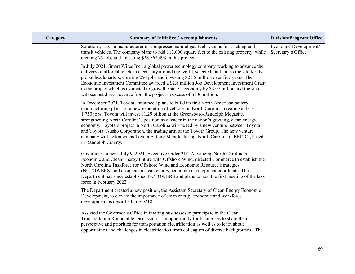| Category | <b>Summary of Initiative / Accomplishments</b>                                                                                                                                                                                                                                                                                                                                                                                                                                                                                                                                                                                                                      | <b>Division/Program Office</b>              |
|----------|---------------------------------------------------------------------------------------------------------------------------------------------------------------------------------------------------------------------------------------------------------------------------------------------------------------------------------------------------------------------------------------------------------------------------------------------------------------------------------------------------------------------------------------------------------------------------------------------------------------------------------------------------------------------|---------------------------------------------|
|          | Solutions, LLC, a manufacturer of compressed natural gas fuel systems for trucking and<br>transit vehicles. The company plans to add 113,000 square feet to the existing property, while<br>creating 75 jobs and investing \$28,562,493 in this project.                                                                                                                                                                                                                                                                                                                                                                                                            | Economic Development/<br>Secretary's Office |
|          | In July 2021, Smart Wires Inc., a global power technology company working to advance the<br>delivery of affordable, clean electricity around the world, selected Durham as the site for its<br>global headquarters, creating 250 jobs and investing \$21.5 million over five years. The<br>Economic Investment Committee awarded a \$2.8 million Job Development Investment Grant<br>to the project which is estimated to grow the state's economy by \$3.07 billion and the state<br>will see net direct revenue from the project in excess of \$106 million.                                                                                                      |                                             |
|          | In December 2021, Toyota announced plans to build its first North American battery<br>manufacturing plant for a new generation of vehicles in North Carolina, creating at least<br>1,750 jobs. Toyota will invest \$1.29 billion at the Greensboro-Randolph Megasite,<br>strengthening North Carolina's position as a leader in the nation's growing, clean energy<br>economy. Toyota's project in North Carolina will be led by a new venture between Toyota<br>and Toyota Tsusho Corporation, the trading arm of the Toyota Group. The new venture<br>company will be known as Toyota Battery Manufacturing, North Carolina (TBMNC), based<br>in Randolph County. |                                             |
|          | Governor Cooper's July 9, 2021, Executive Order 218, Advancing North Carolina's<br>Economic and Clean Energy Future with Offshore Wind, directed Commerce to establish the<br>North Carolina Taskforce for Offshore Wind and Economic Resource Strategies<br>(NCTOWERS) and designate a clean energy economic development coordinate. The<br>Department has since established NCTOWERS and plans to host the first meeting of the task<br>force in February 2022.                                                                                                                                                                                                   |                                             |
|          | The Department created a new position, the Assistant Secretary of Clean Energy Economic<br>Development, to elevate the importance of clean energy economic and workforce<br>development as described in EO218.                                                                                                                                                                                                                                                                                                                                                                                                                                                      |                                             |
|          | Assisted the Governor's Office in inviting businesses to participate in the Clean<br>Transportation Roundtable Discussion -- an opportunity for businesses to share their<br>perspective and priorities for transportation electrification as well as to learn about<br>opportunities and challenges in electrification from colleagues of diverse backgrounds. The                                                                                                                                                                                                                                                                                                 |                                             |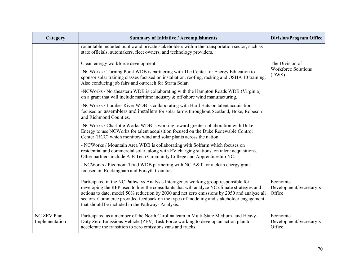| Category                      | <b>Summary of Initiative / Accomplishments</b>                                                                                                                                                                                                                                                                                                                                                                                   | <b>Division/Program Office</b>                |
|-------------------------------|----------------------------------------------------------------------------------------------------------------------------------------------------------------------------------------------------------------------------------------------------------------------------------------------------------------------------------------------------------------------------------------------------------------------------------|-----------------------------------------------|
|                               | roundtable included public and private stakeholders within the transportation sector, such as<br>state officials, automakers, fleet owners, and technology providers.                                                                                                                                                                                                                                                            |                                               |
|                               | Clean energy workforce development:                                                                                                                                                                                                                                                                                                                                                                                              | The Division of                               |
|                               | -NCWorks / Turning Point WDB is partnering with The Center for Energy Education to<br>sponsor solar training classes focused on installation, roofing, racking and OSHA 10 training.<br>Also conducing job fairs and outreach for Strata Solar.                                                                                                                                                                                  | <b>Workforce Solutions</b><br>(DWS)           |
|                               | -NCWorks / Northeastern WDB is collaborating with the Hampton Roads WDB (Virginia)<br>on a grant that will include maritime industry $\&$ off-shore wind manufacturing.                                                                                                                                                                                                                                                          |                                               |
|                               | -NCWorks / Lumber River WDB is collaborating with Hard Hats on talent acquisition<br>focused on assemblers and installers for solar farms throughout Scotland, Hoke, Robeson<br>and Richmond Counties.                                                                                                                                                                                                                           |                                               |
|                               | -NCWorks / Charlotte Works WDB is working toward greater collaboration with Duke<br>Energy to use NCWorks for talent acquisition focused on the Duke Renewable Control<br>Center (RCC) which monitors wind and solar plants across the nation.                                                                                                                                                                                   |                                               |
|                               | - NCWorks / Mountain Area WDB is collaborating with Solfarm which focuses on<br>residential and commercial solar, along with EV charging stations, on talent acquisitions.<br>Other partners include A-B Tech Cimmunity College and Apprenticeship NC.                                                                                                                                                                           |                                               |
|                               | - NCWorks / Piedmont-Triad WDB partnering with NC A&T for a clean energy grant<br>focused on Rockingham and Forsyth Counties.                                                                                                                                                                                                                                                                                                    |                                               |
|                               | Participated in the NC Pathways Analysis Interagency working group responsible for<br>developing the RFP used to hire the consultants that will analyze NC climate strategies and<br>actions to date, model 50% reduction by 2030 and net zero emissions by 2050 and analyze all<br>sectors. Commerce provided feedback on the types of modeling and stakeholder engagement<br>that should be included in the Pathways Analysis. | Economic<br>Development/Secretary's<br>Office |
| NC ZEV Plan<br>Implementation | Participated as a member of the North Carolina team in Multi-State Medium- and Heavy-<br>Duty Zero Emissions Vehicle (ZEV) Task Force working to develop an action plan to<br>accelerate the transition to zero emissions vans and trucks.                                                                                                                                                                                       | Economic<br>Development/Secretary's<br>Office |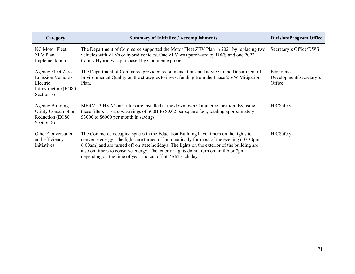| Category                                                                                  | <b>Summary of Initiative / Accomplishments</b>                                                                                                                                                                                                                                                                                                                                                                                          | <b>Division/Program Office</b>                |
|-------------------------------------------------------------------------------------------|-----------------------------------------------------------------------------------------------------------------------------------------------------------------------------------------------------------------------------------------------------------------------------------------------------------------------------------------------------------------------------------------------------------------------------------------|-----------------------------------------------|
| NC Motor Fleet<br><b>ZEV</b> Plan<br>Implementation                                       | The Department of Commerce supported the Motor Fleet ZEV Plan in 2021 by replacing two<br>vehicles with ZEVs or hybrid vehicles. One ZEV was purchased by DWS and one 2022<br>Camry Hybrid was purchased by Commerce proper.                                                                                                                                                                                                            | Secretary's Office/DWS                        |
| Agency Fleet Zero<br>Emission Vehicle /<br>Electric<br>Infrastructure (EO80<br>Section 7) | The Department of Commerce provided recommendations and advice to the Department of<br>Environmental Quality on the strategies to invest funding from the Phase 2 VW Mitigation<br>Plan.                                                                                                                                                                                                                                                | Economic<br>Development/Secretary's<br>Office |
| <b>Agency Building</b><br><b>Utility Consumption</b><br>Reduction (EO80)<br>Section 8)    | MERV 13 HVAC air filters are installed at the downtown Commerce location. By using<br>these filters it is a cost savings of \$0.01 to \$0.02 per square foot, totaling approximately<br>\$3000 to \$6000 per month in savings.                                                                                                                                                                                                          | HR/Safety                                     |
| <b>Other Conversation</b><br>and Efficiency<br>Initiatives                                | The Commerce occupied spaces in the Education Building have timers on the lights to<br>converse energy. The lights are turned off automatically for most of the evening (10:30pm-<br>6:00am) and are turned off on state holidays. The lights on the exterior of the building are<br>also on timers to conserve energy. The exterior lights do not turn on until 6 or 7pm<br>depending on the time of year and cut off at 7AM each day. | HR/Safety                                     |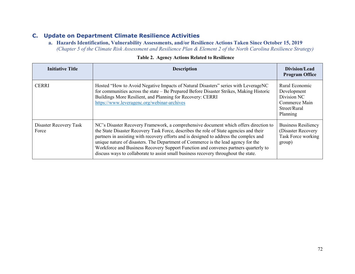**a. Hazards Identification, Vulnerability Assessments, and/or Resilience Actions Taken Since October 15, 2019**  *(Chapter 5 of the Climate Risk Assessment and Resilience Plan & Element 2 of the North Carolina Resilience Strategy)*

| <b>Initiative Title</b>         | <b>Description</b>                                                                                                                                                                                                                                                                                                                                                                                                                                                                                                                          | Division/Lead<br><b>Program Office</b>                                                    |
|---------------------------------|---------------------------------------------------------------------------------------------------------------------------------------------------------------------------------------------------------------------------------------------------------------------------------------------------------------------------------------------------------------------------------------------------------------------------------------------------------------------------------------------------------------------------------------------|-------------------------------------------------------------------------------------------|
| <b>CERRI</b>                    | Hosted "How to Avoid Negative Impacts of Natural Disasters" series with LeverageNC<br>for communities across the state – Be Prepared Before Disaster Strikes, Making Historic<br>Buildings More Resilient, and Planning for Recovery: CERRI<br>https://www.leveragenc.org/webinar-archives                                                                                                                                                                                                                                                  | Rural Economic<br>Development<br>Division NC<br>Commerce Main<br>Street/Rural<br>Planning |
| Disaster Recovery Task<br>Force | NC's Disaster Recovery Framework, a comprehensive document which offers direction to<br>the State Disaster Recovery Task Force, describes the role of State agencies and their<br>partners in assisting with recovery efforts and is designed to address the complex and<br>unique nature of disasters. The Department of Commerce is the lead agency for the<br>Workforce and Business Recovery Support Function and convenes partners quarterly to<br>discuss ways to collaborate to assist small business recovery throughout the state. | <b>Business Resiliency</b><br>(Disaster Recovery)<br>Task Force working<br>group)         |

#### **Table 2. Agency Actions Related to Resilience**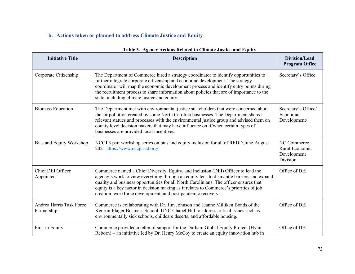# **b. Actions taken or planned to address Climate Justice and Equity**

| <b>Initiative Title</b>                 | <b>Description</b>                                                                                                                                                                                                                                                                                                                                                                                                                 | Division/Lead<br><b>Program Office</b>                   |
|-----------------------------------------|------------------------------------------------------------------------------------------------------------------------------------------------------------------------------------------------------------------------------------------------------------------------------------------------------------------------------------------------------------------------------------------------------------------------------------|----------------------------------------------------------|
| Corporate Citizenship                   | The Department of Commerce hired a strategy coordinator to identify opportunities to<br>further integrate corporate citizenship and economic development. The strategy<br>coordinator will map the economic development process and identify entry points during<br>the recruitment process to share information about policies that are of importance to the<br>state, including climate justice and equity.                      | Secretary's Office                                       |
| <b>Biomass Education</b>                | The Department met with environmental justice stakeholders that were concerned about<br>the air pollution created by some North Carolina businesses. The Department shared<br>relevant statues and processes with the environmental justice group and advised them on<br>county level decision makers that may have influence on if/when certain types of<br>businesses are provided local incentives.                             | Secretary's Office/<br>Economic<br>Development/          |
| Bias and Equity Workshop                | NCCJ 3 part workshop series on bias and equity inclusion for all of REDD June-August<br>2021 https://www.nccjtriad.org/                                                                                                                                                                                                                                                                                                            | NC Commerce<br>Rural Economic<br>Development<br>Division |
| Chief DEI Officer<br>Appointed          | Commerce named a Chief Diversity, Equity, and Inclusion (DEI) Officer to lead the<br>agency's work to view everything through an equity lens to dismantle barriers and expand<br>quality and business opportunities for all North Carolinians. The officer ensures that<br>equity is a key factor in decision making as it relates to Commerce's priorities of job<br>creation, workforce development, and post pandemic recovery. | Office of DEI                                            |
| Andrea Harris Task Force<br>Partnership | Commerce is collaborating with Dr. Jim Johnson and Jeanne Milliken Bonds of the<br>Kenean-Flager Business School, UNC Chapel Hill to address critical issues such as<br>environmentally sick schools, childcare deserts, and affordable housing.                                                                                                                                                                                   | Office of DEI                                            |
| First in Equity                         | Commerce provided a letter of support for the Durham Global Equity Project (Hytai<br>Reborn) – an initiative led by Dr. Henry McCoy to create an equity innovation hub in                                                                                                                                                                                                                                                          | Office of DEI                                            |

### **Table 3. Agency Actions Related to Climate Justice and Equity**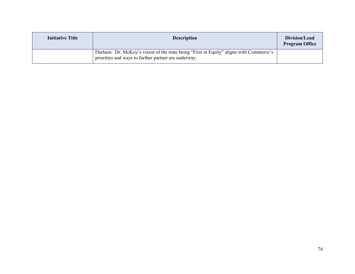| <b>Initiative Title</b> | <b>Description</b>                                                                                                                             | Division/Lead<br><b>Program Office</b> |
|-------------------------|------------------------------------------------------------------------------------------------------------------------------------------------|----------------------------------------|
|                         | Durham. Dr. McKoy's vision of the state being "First in Equity" aligns with Commerce's<br>priorities and ways to further partner are underway. |                                        |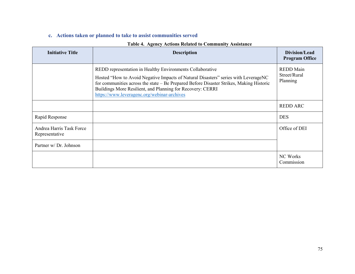### **c. Actions taken or planned to take to assist communities served**

| <b>Initiative Title</b>                    | <b>Description</b>                                                                                                                                                                                                                                                                                                                                      | Division/Lead<br><b>Program Office</b>       |
|--------------------------------------------|---------------------------------------------------------------------------------------------------------------------------------------------------------------------------------------------------------------------------------------------------------------------------------------------------------------------------------------------------------|----------------------------------------------|
|                                            | REDD representation in Healthy Environments Collaborative<br>Hosted "How to Avoid Negative Impacts of Natural Disasters" series with LeverageNC<br>for communities across the state – Be Prepared Before Disaster Strikes, Making Historic<br>Buildings More Resilient, and Planning for Recovery: CERRI<br>https://www.leveragenc.org/webinar-archives | <b>REDD</b> Main<br>Street/Rural<br>Planning |
|                                            |                                                                                                                                                                                                                                                                                                                                                         | <b>REDD ARC</b>                              |
| Rapid Response                             |                                                                                                                                                                                                                                                                                                                                                         | <b>DES</b>                                   |
| Andrea Harris Task Force<br>Representative |                                                                                                                                                                                                                                                                                                                                                         | Office of DEI                                |
| Partner w/ Dr. Johnson                     |                                                                                                                                                                                                                                                                                                                                                         |                                              |
|                                            |                                                                                                                                                                                                                                                                                                                                                         | NC Works<br>Commission                       |

#### **Table 4. Agency Actions Related to Community Assistance**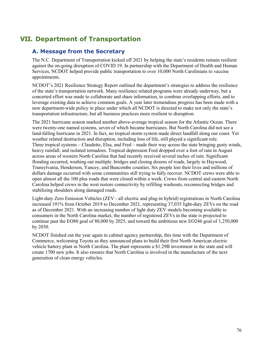# **VII. Department of Transportation**

## **A. Message from the Secretary**

The N.C. Department of Transportation kicked off 2021 by helping the state's residents remain resilient against the on-going disruption of COVID 19. In partnership with the Department of Health and Human Services, NCDOT helped provide public transportation to over 10,000 North Carolinians to vaccine appointments.

NCDOT's 2021 Resilience Strategy Report outlined the department's strategies to address the resilience of the state's transportation network. Many resilience related programs were already underway, but a concerted effort was made to collaborate and share information, to combine overlapping efforts, and to leverage existing data to achieve common goals. A year later tremendous progress has been made with a new department-wide policy in place under which all NCDOT is directed to make not only the state's transportation infrastructure, but all business practices more resilient to disruption.

The 2021 hurricane season marked another above-average tropical season for the Atlantic Ocean. There were twenty-one named systems, seven of which became hurricanes. But North Carolina did not see a land-falling hurricane in 2021. In fact, no tropical storm system made direct landfall along our coast. Yet weather related destruction and disruption, including loss of life, still played a significant role. Three tropical systems – Claudette, Elsa, and Fred – made their way across the state bringing gusty winds, heavy rainfall, and isolated tornadoes. Tropical depression Fred dropped over a foot of rain in August across areas of western North Carolina that had recently received several inches of rain. Significant flooding occurred, washing out multiple bridges and closing dozens of roads, largely in Haywood, Transylvania, Henderson, Yancey, and Buncombe counties. Six people lost their lives and millions of dollars damage occurred with some communities still trying to fully recover. NCDOT crews were able to open almost all the 100 plus roads that were closed within a week. Crews from central and eastern North Carolina helped crews in the west restore connectivity by refilling washouts, reconnecting bridges and stabilizing shoulders along damaged roads.

Light-duty Zero Emission Vehicles (ZEV - all electric and plug-in hybrid) registrations in North Carolina increased 191% from October 2019 to December 2021, representing 37,035 light-duty ZEVs on the road as of December 2021. With an increasing number of light duty ZEV models becoming available to consumers in the North Carolina market, the number of registered ZEVs in the state is projected to continue past the EO80 goal of 80,000 by 2025, and toward the ambitious new EO246 goal of 1,250,000 by 2030.

NCDOT finished out the year again in cabinet agency partnership, this time with the Department of Commerce, welcoming Toyota as they announced plans to build their first North American electric vehicle battery plant in North Carolina. The plant represents a \$1.29B investment in the state and will create 1700 new jobs. It also ensures that North Carolina is involved in the manufacture of the next generation of clean energy vehicles.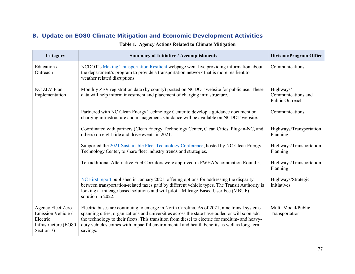# **B. Update on EO80 Climate Mitigation and Economic Development Activities**

| Category                                                                                  | <b>Summary of Initiative / Accomplishments</b>                                                                                                                                                                                                                                                                                                                                                         | <b>Division/Program Office</b>                     |
|-------------------------------------------------------------------------------------------|--------------------------------------------------------------------------------------------------------------------------------------------------------------------------------------------------------------------------------------------------------------------------------------------------------------------------------------------------------------------------------------------------------|----------------------------------------------------|
| Education /<br>Outreach                                                                   | NCDOT's Making Transportation Resilient webpage went live providing information about<br>the department's program to provide a transportation network that is more resilient to<br>weather related disruptions.                                                                                                                                                                                        | Communications                                     |
| NC ZEV Plan<br>Implementation                                                             | Monthly ZEV registration data (by county) posted on NCDOT website for public use. These<br>data will help inform investment and placement of charging infrastructure.                                                                                                                                                                                                                                  | Highways/<br>Communications and<br>Public Outreach |
|                                                                                           | Partnered with NC Clean Energy Technology Center to develop a guidance document on<br>charging infrastructure and management. Guidance will be available on NCDOT website.                                                                                                                                                                                                                             | Communications                                     |
|                                                                                           | Coordinated with partners (Clean Energy Technology Center, Clean Cities, Plug-in-NC, and<br>others) on eight ride and drive events in 2021.                                                                                                                                                                                                                                                            | Highways/Transportation<br>Planning                |
|                                                                                           | Supported the 2021 Sustainable Fleet Technology Conference, hosted by NC Clean Energy<br>Technology Center, to share fleet industry trends and strategies.                                                                                                                                                                                                                                             | Highways/Transportation<br>Planning                |
|                                                                                           | Ten additional Alternative Fuel Corridors were approved in FWHA's nomination Round 5.                                                                                                                                                                                                                                                                                                                  | Highways/Transportation<br>Planning                |
|                                                                                           | NC First report published in January 2021, offering options for addressing the disparity<br>between transportation-related taxes paid by different vehicle types. The Transit Authority is<br>looking at mileage-based solutions and will pilot a Mileage-Based User Fee (MBUF)<br>solution in 2022.                                                                                                   | Highways/Strategic<br>Initiatives                  |
| Agency Fleet Zero<br>Emission Vehicle /<br>Electric<br>Infrastructure (EO80<br>Section 7) | Electric buses are continuing to emerge in North Carolina. As of 2021, nine transit systems<br>spanning cities, organizations and universities across the state have added or will soon add<br>the technology to their fleets. This transition from diesel to electric for medium- and heavy-<br>duty vehicles comes with impactful environmental and health benefits as well as long-term<br>savings. | Multi-Modal/Public<br>Transportation               |

### **Table 1. Agency Actions Related to Climate Mitigation**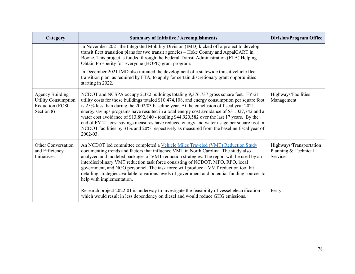| Category                                                                              | <b>Summary of Initiative / Accomplishments</b>                                                                                                                                                                                                                                                                                                                                                                                                                                                                                                                                                                                                                                                  | <b>Division/Program Office</b>                              |
|---------------------------------------------------------------------------------------|-------------------------------------------------------------------------------------------------------------------------------------------------------------------------------------------------------------------------------------------------------------------------------------------------------------------------------------------------------------------------------------------------------------------------------------------------------------------------------------------------------------------------------------------------------------------------------------------------------------------------------------------------------------------------------------------------|-------------------------------------------------------------|
|                                                                                       | In November 2021 the Integrated Mobility Division (IMD) kicked off a project to develop<br>transit fleet transition plans for two transit agencies - Hoke County and AppalCART in<br>Boone. This project is funded through the Federal Transit Administration (FTA) Helping<br>Obtain Prosperity for Everyone (HOPE) grant program.                                                                                                                                                                                                                                                                                                                                                             |                                                             |
|                                                                                       | In December 2021 IMD also initiated the development of a statewide transit vehicle fleet<br>transition plan, as required by FTA, to apply for certain discretionary grant opportunities<br>starting in 2022.                                                                                                                                                                                                                                                                                                                                                                                                                                                                                    |                                                             |
| <b>Agency Building</b><br><b>Utility Consumption</b><br>Reduction (EO80<br>Section 8) | NCDOT and NCSPA occupy 2,382 buildings totaling 9,376,737 gross square feet. FY-21<br>utility costs for those buildings totaled \$10,474,108, and energy consumption per square foot<br>is $25\%$ less than during the $2002/03$ baseline year. At the conclusion of fiscal year $2021$ ,<br>energy savings programs have resulted in a total energy cost avoidance of \$31,027,742 and a<br>water cost avoidance of \$13,892,840 - totaling \$44,920,582 over the last 17 years. By the<br>end of FY 21, cost savings measures have reduced energy and water usage per square foot in<br>NCDOT facilities by 31% and 20% respectively as measured from the baseline fiscal year of<br>2002-03. | Highways/Facilities<br>Management                           |
| <b>Other Conversation</b><br>and Efficiency<br>Initiatives                            | An NCDOT led committee completed a Vehicle Miles Traveled (VMT) Reduction Study<br>documenting trends and factors that influence VMT in North Carolina. The study also<br>analyzed and modeled packages of VMT reduction strategies. The report will be used by an<br>interdisciplinary VMT reduction task force consisting of NCDOT, MPO, RPO, local<br>government, and NGO personnel. The task force will produce a VMT reduction tool kit<br>detailing strategies available to various levels of government and potential funding sources to<br>help with implementation.                                                                                                                    | Highways/Transportation<br>Planning & Technical<br>Services |
|                                                                                       | Research project 2022-01 is underway to investigate the feasibility of vessel electrification<br>which would result in less dependency on diesel and would reduce GHG emissions.                                                                                                                                                                                                                                                                                                                                                                                                                                                                                                                | Ferry                                                       |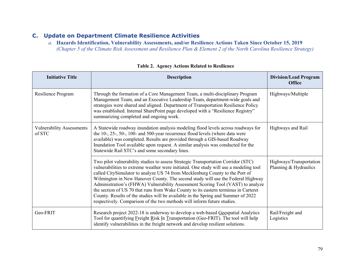## **C. Update on Department Climate Resilience Activities**

*a.* **Hazards Identification, Vulnerability Assessments, and/or Resilience Actions Taken Since October 15, 2019**  *(Chapter 5 of the Climate Risk Assessment and Resilience Plan & Element 2 of the North Carolina Resilience Strategy)*

| <b>Initiative Title</b>                    | <b>Description</b>                                                                                                                                                                                                                                                                                                                                                                                                                                                                                                                                                                                                                                                                      | <b>Division/Lead Program</b><br><b>Office</b>    |
|--------------------------------------------|-----------------------------------------------------------------------------------------------------------------------------------------------------------------------------------------------------------------------------------------------------------------------------------------------------------------------------------------------------------------------------------------------------------------------------------------------------------------------------------------------------------------------------------------------------------------------------------------------------------------------------------------------------------------------------------------|--------------------------------------------------|
| Resilience Program                         | Through the formation of a Core Management Team, a multi-disciplinary Program<br>Management Team, and an Executive Leadership Team, department-wide goals and<br>strategies were shared and aligned. Department of Transportation Resilience Policy<br>was established. Internal SharePoint page developed with a "Resilience Registry"<br>summarizing completed and ongoing work.                                                                                                                                                                                                                                                                                                      | Highways/Multiple                                |
| <b>Vulnerability Assessments</b><br>of STC | A Statewide roadway inundation analysis modeling flood levels across roadways for<br>the 10-, 25-, 50-, 100- and 500-year recurrence flood levels (where data were<br>available) was completed. Results are provided through a GIS-based Roadway<br>Inundation Tool available upon request. A similar analysis was conducted for the<br>Statewide Rail STC's and some secondary lines.                                                                                                                                                                                                                                                                                                  | Highways and Rail                                |
|                                            | Two pilot vulnerability studies to assess Strategic Transportation Corridor (STC)<br>vulnerabilities to extreme weather were initiated. One study will use a modeling tool<br>called CitySimulator to analyze US 74 from Mecklenburg County to the Port of<br>Wilmington in New Hanover County. The second study will use the Federal Highway<br>Administration's (FHWA) Vulnerability Assessment Scoring Tool (VAST) to analyze<br>the section of US 70 that runs from Wake County to its eastern terminus in Carteret<br>County. Results of the studies will be available in the Spring and Summer of 2022<br>respectively. Comparison of the two methods will inform future studies. | Highways/Transportation<br>Planning & Hydraulics |
| Geo-FRIT                                   | Research project 2022-18 is underway to develop a web-based Geospatial Analytics<br>Tool for quantifying Freight Risk In Transportation (Geo-FRIT). The tool will help<br>identify vulnerabilities in the freight network and develop resilient solutions.                                                                                                                                                                                                                                                                                                                                                                                                                              | Rail/Freight and<br>Logistics                    |

#### **Table 2. Agency Actions Related to Resilience**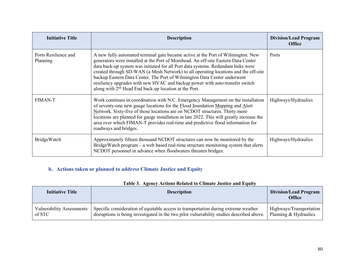| <b>Initiative Title</b>          | <b>Description</b>                                                                                                                                                                                                                                                                                                                                                                                                                                                                                                                                                                  | <b>Division/Lead Program</b><br><b>Office</b> |
|----------------------------------|-------------------------------------------------------------------------------------------------------------------------------------------------------------------------------------------------------------------------------------------------------------------------------------------------------------------------------------------------------------------------------------------------------------------------------------------------------------------------------------------------------------------------------------------------------------------------------------|-----------------------------------------------|
| Ports Resilience and<br>Planning | A new fully automated terminal gate became active at the Port of Wilmington. New<br>generators were installed at the Port of Morehead. An off-site Eastern Data Center<br>data back-up system was initiated for all Port data systems. Redundant links were<br>created through SD-WAN (a Mesh Network) to all operating locations and the off-site<br>backup Eastern Data Center. The Port of Wilmington Data Center underwent<br>resiliency upgrades with new HVAC and backup power with auto-transfer switch<br>along with 2 <sup>nd</sup> Head End back-up location at the Port. | Ports                                         |
| <b>FIMAN-T</b>                   | Work continues in coordination with N.C. Emergency Management on the installation<br>of seventy-one new gauge locations for the Flood Inundation Mapping and Alert<br>Network. Sixty-five of those locations are on NCDOT structures. Thirty more<br>locations are planned for gauge installation in late 2022. This will greatly increase the<br>area over which FIMAN-T provides real-time and predictive flood information for<br>roadways and bridges.                                                                                                                          | Highways/Hydraulics                           |
| BridgeWatch                      | Approximately fifteen thousand NCDOT structures can now be monitored by the<br>BridgeWatch program – a web based real-time structure monitoring system that alerts<br>NCDOT personnel in advance when floodwaters threaten bridges.                                                                                                                                                                                                                                                                                                                                                 | Highways/Hydraulics                           |

# **b. Actions taken or planned to address Climate Justice and Equity**

### **Table 3. Agency Actions Related to Climate Justice and Equity**

| <b>Initiative Title</b>          | <b>Description</b>                                                                        | <b>Division/Lead Program</b><br><b>Office</b> |
|----------------------------------|-------------------------------------------------------------------------------------------|-----------------------------------------------|
| <b>Vulnerability Assessments</b> | Specific consideration of equitable access to transportation during extreme weather       | Highways/Transportation                       |
| of STC                           | disruptions is being investigated in the two pilot vulnerability studies described above. | Planning & Hydraulics                         |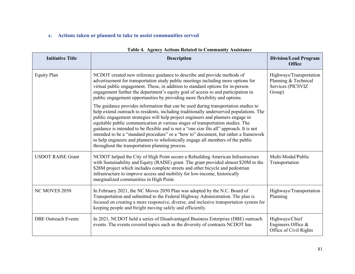# **c. Actions taken or planned to take to assist communities served**

| <b>Initiative Title</b>    | <b>Description</b>                                                                                                                                                                                                                                                                                                                                                                                                                                                                                                                                                                                                                                                              | <b>Division/Lead Program</b><br><b>Office</b>                                  |
|----------------------------|---------------------------------------------------------------------------------------------------------------------------------------------------------------------------------------------------------------------------------------------------------------------------------------------------------------------------------------------------------------------------------------------------------------------------------------------------------------------------------------------------------------------------------------------------------------------------------------------------------------------------------------------------------------------------------|--------------------------------------------------------------------------------|
| <b>Equity Plan</b>         | NCDOT created new reference guidance to describe and provide methods of<br>advertisement for transportation study public meetings including more options for<br>virtual public engagement. These, in addition to standard options for in-person<br>engagement further the department's equity goal of access to and participation in<br>public engagement opportunities by providing more flexibility and options.                                                                                                                                                                                                                                                              | Highways/Transportation<br>Planning & Technical<br>Services (PICSVIZ<br>Group) |
|                            | The guidance provides information that can be used during transportation studies to<br>help extend outreach to residents, including traditionally underserved populations. The<br>public engagement strategies will help project engineers and planners engage in<br>equitable public communication at various stages of transportation studies. The<br>guidance is intended to be flexible and is not a "one size fits all" approach. It is not<br>intended to be a "standard procedure" or a "how to" document, but rather a framework<br>to help engineers and planners to wholistically engage all members of the public<br>throughout the transportation planning process. |                                                                                |
| <b>USDOT RAISE Grant</b>   | NCDOT helped the City of High Point secure a Rebuilding American Infrastructure<br>with Sustainability and Equity (RAISE) grant. The grant provided almost \$20M to the<br>\$28M project which includes complete streets and other bicycle and pedestrian<br>infrastructure to improve access and mobility for low-income, historically<br>marginalized communities in High Point.                                                                                                                                                                                                                                                                                              | Multi-Modal/Public<br>Transportation                                           |
| NC MOVES 2050              | In February 2021, the NC Moves 2050 Plan was adopted by the N.C. Board of<br>Transportation and submitted to the Federal Highway Administration. The plan is<br>focused on creating a more responsive, diverse, and inclusive transportation system for<br>keeping people and freight moving safely and efficiently.                                                                                                                                                                                                                                                                                                                                                            | Highways/Transportation<br>Planning                                            |
| <b>DBE Outreach Events</b> | In 2021, NCDOT held a series of Disadvantaged Business Enterprise (DBE) outreach<br>events. The events covered topics such as the diversity of contracts NCDOT has                                                                                                                                                                                                                                                                                                                                                                                                                                                                                                              | Highways/Chief<br>Engineers Office &<br>Office of Civil Rights                 |

#### **Table 4. Agency Actions Related to Community Assistance**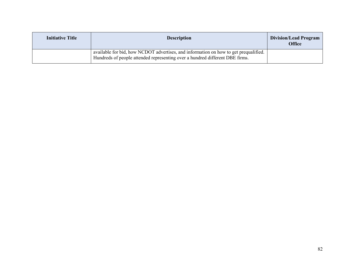| <b>Initiative Title</b> | <b>Description</b>                                                                                                                                                   | Division/Lead Program<br><b>Office</b> |
|-------------------------|----------------------------------------------------------------------------------------------------------------------------------------------------------------------|----------------------------------------|
|                         | available for bid, how NCDOT advertises, and information on how to get prequalified.<br>Hundreds of people attended representing over a hundred different DBE firms. |                                        |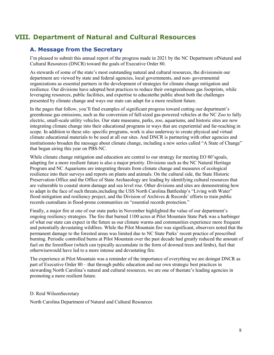# **VIII. Department of Natural and Cultural Resources**

## **A. Message from the Secretary**

I'm pleased to submit this annual report of the progress made in 2021 by the NC Department ofNatural and Cultural Resources (DNCR) toward the goals of Executive Order 80.

As stewards of some of the state's most outstanding natural and cultural resources, the divisionsin our department are viewed by state and federal agencies, local governments, and non- governmental organizations as essential partners in the development of strategies for climate change mitigation and resilience. Our divisions have adopted best practices to reduce their owngreenhouse gas footprints, while leveraging resources, public facilities, and expertise to educatethe public about both the challenges presented by climate change and ways our state can adapt for a more resilient future.

In the pages that follow, you'll find examples of significant progress toward cutting our department's greenhouse gas emissions, such as the conversion of full-sized gas-powered vehicles at the NC Zoo to fully electric, small-scale utility vehicles. Our state museums, parks, zoo, aquariums, and historic sites are now integrating climate change into their educational programs in ways that are experiential and far-reaching in scope. In addition to these site- specific programs, work is also underway to create physical and virtual climate educational materials to be used at all our sites. And DNCR is partnering with other agencies and institutionsto broaden the message about climate change, including a new series called "A State of Change" that began airing this year on PBS-NC.

While climate change mitigation and education are central to our strategy for meeting EO 80'sgoals, adapting for a more resilient future is also a major priority. Divisions such as the NC Natural Heritage Program and NC Aquariums are integrating threats from climate change and measures of ecological resilience into their surveys and reports on plants and animals. On the cultural side, the State Historic Preservation Office and the Office of State Archaeology are leading by identifying cultural resources that are vulnerable to coastal storm damage and sea level rise. Other divisions and sites are demonstrating how to adapt in the face of such threats,including the USS North Carolina Battleship's "Living with Water" flood mitigation and resiliency project, and the Division of Archives & Records' efforts to train public records custodians in flood-prone communities on "essential records protection."

Finally, a major fire at one of our state parks in November highlighted the value of our department's ongoing resiliency strategies. The fire that burned 1100 acres at Pilot Mountain State Park was a harbinger of what our state can expect in the future as our climate warms and communities experience more frequent and potentially devastating wildfires. While the Pilot Mountain fire was significant, observers noted that the permanent damage to the forested areas was limited due to NC State Parks' recent practice of prescribed burning. Periodic controlled burns at Pilot Mountain over the past decade had greatly reduced the amount of fuel on the forestfloor (which can typically accumulate in the form of downed trees and limbs), fuel that otherwisewould have led to a more intense and devastating fire.

The experience at Pilot Mountain was a reminder of the importance of everything we are doingat DNCR as part of Executive Order 80 – that through public education and our own strategic best practices in stewarding North Carolina's natural and cultural resources, we are one of thestate's leading agencies in promoting a more resilient future.

#### D. Reid WilsonSecretary

North Carolina Department of Natural and Cultural Resources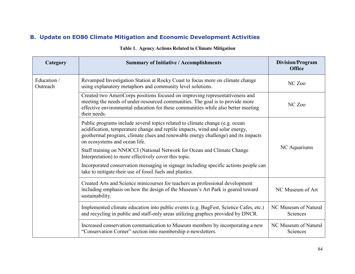# **B. Update on EO80 Climate Mitigation and Economic Development Activities**

| Category                | <b>Summary of Initiative / Accomplishments</b>                                                                                                                                                                                                                                      | <b>Division/Program</b><br><b>Office</b> |
|-------------------------|-------------------------------------------------------------------------------------------------------------------------------------------------------------------------------------------------------------------------------------------------------------------------------------|------------------------------------------|
| Education /<br>Outreach | Revamped Investigation Station at Rocky Coast to focus more on climate change<br>using explanatory metaphors and community level solutions.                                                                                                                                         | NC Zoo                                   |
|                         | Created two AmeriCorps positions focused on improving representativeness and<br>meeting the needs of under-resourced communities. The goal is to provide more<br>effective environmental education for these communities while also better meeting<br>their needs.                  | NC Zoo                                   |
|                         | Public programs include several topics related to climate change (e.g. ocean<br>acidification, temperature change and reptile impacts, wind and solar energy,<br>geothermal program, climate clues and renewable energy challenge) and its impacts<br>on ecosystems and ocean life. |                                          |
|                         | Staff training on NNOCCI (National Network for Ocean and Climate Change<br>Interpretation) to more effectively cover this topic.                                                                                                                                                    | NC Aquariums                             |
|                         | Incorporated conservation messaging in signage including specific actions people can<br>take to mitigate their use of fossil fuels and plastics.                                                                                                                                    |                                          |
|                         | Created Arts and Science minicourses for teachers as professional development<br>including emphasis on how the design of the Museum's Art Park is geared toward<br>sustainability.                                                                                                  | NC Museum of Art                         |
|                         | Implemented climate education into public events (e.g. BugFest, Science Cafes, etc.)<br>and recycling in public and staff-only areas utilizing graphics provided by DNCR.                                                                                                           | NC Museum of Natural<br>Sciences         |
|                         | Increased conservation communication to Museum members by incorporating a new<br>"Conservation Corner" section into membership e-newsletters.                                                                                                                                       | NC Museum of Natural<br>Sciences         |

## **Table 1. Agency Actions Related to Climate Mitigation**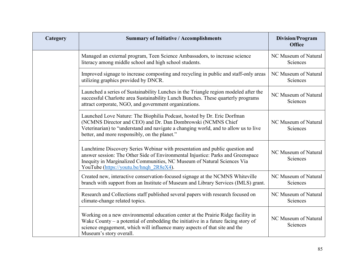| Category | <b>Summary of Initiative / Accomplishments</b>                                                                                                                                                                                                                                        | <b>Division/Program</b><br><b>Office</b> |
|----------|---------------------------------------------------------------------------------------------------------------------------------------------------------------------------------------------------------------------------------------------------------------------------------------|------------------------------------------|
|          | Managed an external program, Teen Science Ambassadors, to increase science<br>literacy among middle school and high school students.                                                                                                                                                  | NC Museum of Natural<br>Sciences         |
|          | Improved signage to increase composting and recycling in public and staff-only areas<br>utilizing graphics provided by DNCR.                                                                                                                                                          | NC Museum of Natural<br>Sciences         |
|          | Launched a series of Sustainability Lunches in the Triangle region modeled after the<br>successful Charlotte area Sustainability Lunch Bunches. These quarterly programs<br>attract corporate, NGO, and government organizations.                                                     | NC Museum of Natural<br>Sciences         |
|          | Launched Love Nature: The Biophilia Podcast, hosted by Dr. Eric Dorfman<br>(NCMNS Director and CEO) and Dr. Dan Dombrowski (NCMNS Chief<br>Veterinarian) to "understand and navigate a changing world, and to allow us to live<br>better, and more responsibly, on the planet."       | NC Museum of Natural<br>Sciences         |
|          | Lunchtime Discovery Series Webinar with presentation and public question and<br>answer session: The Other Side of Environmental Injustice: Parks and Greenspace<br>Inequity in Marginalized Communities, NC Museum of Natural Sciences Via<br>YouTube (https://youtu.be/hnqh 2R8eX4). | NC Museum of Natural<br>Sciences         |
|          | Created new, interactive conservation-focused signage at the NCMNS Whiteville<br>branch with support from an Institute of Museum and Library Services (IMLS) grant.                                                                                                                   | NC Museum of Natural<br>Sciences         |
|          | Research and Collections staff published several papers with research focused on<br>climate-change related topics.                                                                                                                                                                    | NC Museum of Natural<br>Sciences         |
|          | Working on a new environmental education center at the Prairie Ridge facility in<br>Wake County – a potential of embedding the initiative in a future facing story of<br>science engagement, which will influence many aspects of that site and the<br>Museum's story overall.        | NC Museum of Natural<br>Sciences         |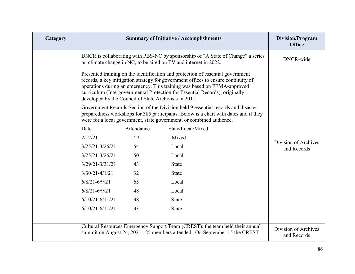| Category |                                                       |            | <b>Summary of Initiative / Accomplishments</b>                                                                                                                                                                                                                                                                                  | <b>Division/Program</b><br><b>Office</b> |
|----------|-------------------------------------------------------|------------|---------------------------------------------------------------------------------------------------------------------------------------------------------------------------------------------------------------------------------------------------------------------------------------------------------------------------------|------------------------------------------|
|          |                                                       |            | DNCR is collaborating with PBS-NC by sponsorship of "A State of Change" a series<br>on climate change in NC, to be aired on TV and internet in 2022.                                                                                                                                                                            | DNCR-wide                                |
|          | developed by the Council of State Archivists in 2011. |            | Presented training on the identification and protection of essential government<br>records, a key mitigation strategy for government offices to ensure continuity of<br>operations during an emergency. This training was based on FEMA-approved<br>curriculum (Intergovernmental Protection for Essential Records), originally |                                          |
|          |                                                       |            | Government Records Section of the Division held 9 essential records and disaster<br>preparedness workshops for 385 participants. Below is a chart with dates and if they<br>were for a local government, state government, or combined audience.                                                                                |                                          |
|          | Date                                                  | Attendance | State/Local/Mixed                                                                                                                                                                                                                                                                                                               |                                          |
|          | 2/12/21                                               | 22         | Mixed                                                                                                                                                                                                                                                                                                                           |                                          |
|          | $3/25/21 - 3/26/21$                                   | 54         | Local                                                                                                                                                                                                                                                                                                                           | Division of Archives<br>and Records      |
|          | $3/25/21 - 3/26/21$                                   | 50         | Local                                                                                                                                                                                                                                                                                                                           |                                          |
|          | $3/29/21 - 3/31/21$                                   | 43         | <b>State</b>                                                                                                                                                                                                                                                                                                                    |                                          |
|          | $3/30/21 - 4/1/21$                                    | 32         | <b>State</b>                                                                                                                                                                                                                                                                                                                    |                                          |
|          | $6/8/21 - 6/9/21$                                     | 65         | Local                                                                                                                                                                                                                                                                                                                           |                                          |
|          | $6/8/21 - 6/9/21$                                     | 48         | Local                                                                                                                                                                                                                                                                                                                           |                                          |
|          | $6/10/21 - 6/11/21$                                   | 38         | <b>State</b>                                                                                                                                                                                                                                                                                                                    |                                          |
|          | $6/10/21 - 6/11/21$                                   | 33         | <b>State</b>                                                                                                                                                                                                                                                                                                                    |                                          |
|          |                                                       |            |                                                                                                                                                                                                                                                                                                                                 |                                          |
|          |                                                       |            | Cultural Resources Emergency Support Team (CREST): the team held their annual<br>summit on August 24, 2021. 25 members attended. On September 15 the CREST                                                                                                                                                                      | Division of Archives<br>and Records      |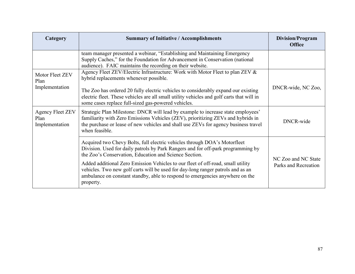| Category                                          | <b>Summary of Initiative / Accomplishments</b>                                                                                                                                                                                                                                | <b>Division/Program</b><br><b>Office</b>    |
|---------------------------------------------------|-------------------------------------------------------------------------------------------------------------------------------------------------------------------------------------------------------------------------------------------------------------------------------|---------------------------------------------|
|                                                   | team manager presented a webinar, "Establishing and Maintaining Emergency<br>Supply Caches," for the Foundation for Advancement in Conservation (national<br>audience). FAIC maintains the recording on their website.                                                        |                                             |
| Motor Fleet ZEV<br>Plan<br>Implementation         | Agency Fleet ZEV/Electric Infrastructure: Work with Motor Fleet to plan ZEV &<br>hybrid replacements whenever possible.                                                                                                                                                       |                                             |
|                                                   | The Zoo has ordered 20 fully electric vehicles to considerably expand our existing<br>electric fleet. These vehicles are all small utility vehicles and golf carts that will in<br>some cases replace full-sized gas-powered vehicles.                                        | DNCR-wide, NC Zoo,                          |
| <b>Agency Fleet ZEV</b><br>Plan<br>Implementation | Strategic Plan Milestone: DNCR will lead by example to increase state employees'<br>familiarity with Zero Emissions Vehicles (ZEV), prioritizing ZEVs and hybrids in<br>the purchase or lease of new vehicles and shall use ZEVs for agency business travel<br>when feasible. | DNCR-wide                                   |
|                                                   | Acquired two Chevy Bolts, full electric vehicles through DOA's Motorfleet<br>Division. Used for daily patrols by Park Rangers and for off-park programming by<br>the Zoo's Conservation, Education and Science Section.                                                       |                                             |
|                                                   | Added additional Zero Emission Vehicles to our fleet of off-road, small utility<br>vehicles. Two new golf carts will be used for day-long ranger patrols and as an<br>ambulance on constant standby, able to respond to emergencies anywhere on the<br>property.              | NC Zoo and NC State<br>Parks and Recreation |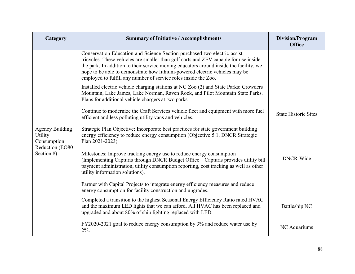| Category                                                                          | <b>Summary of Initiative / Accomplishments</b>                                                                                                                                                                                                                                                                                                                                                               | <b>Division/Program</b><br><b>Office</b> |
|-----------------------------------------------------------------------------------|--------------------------------------------------------------------------------------------------------------------------------------------------------------------------------------------------------------------------------------------------------------------------------------------------------------------------------------------------------------------------------------------------------------|------------------------------------------|
|                                                                                   | Conservation Education and Science Section purchased two electric-assist<br>tricycles. These vehicles are smaller than golf carts and ZEV capable for use inside<br>the park. In addition to their service moving educators around inside the facility, we<br>hope to be able to demonstrate how lithium-powered electric vehicles may be<br>employed to fulfill any number of service roles inside the Zoo. |                                          |
|                                                                                   | Installed electric vehicle charging stations at NC Zoo (2) and State Parks: Crowders<br>Mountain, Lake James, Lake Norman, Raven Rock, and Pilot Mountain State Parks.<br>Plans for additional vehicle chargers at two parks.                                                                                                                                                                                |                                          |
|                                                                                   | Continue to modernize the Craft Services vehicle fleet and equipment with more fuel<br>efficient and less polluting utility vans and vehicles.                                                                                                                                                                                                                                                               | <b>State Historic Sites</b>              |
| <b>Agency Building</b><br>Utility<br>Consumption<br>Reduction (EO80<br>Section 8) | Strategic Plan Objective: Incorporate best practices for state government building<br>energy efficiency to reduce energy consumption (Objective 5.1, DNCR Strategic<br>Plan 2021-2023)                                                                                                                                                                                                                       |                                          |
|                                                                                   | Milestones: Improve tracking energy use to reduce energy consumption<br>(Implementing Capturis through DNCR Budget Office – Capturis provides utility bill<br>payment administration, utility consumption reporting, cost tracking as well as other<br>utility information solutions).                                                                                                                       | DNCR-Wide                                |
|                                                                                   | Partner with Capital Projects to integrate energy efficiency measures and reduce<br>energy consumption for facility construction and upgrades.                                                                                                                                                                                                                                                               |                                          |
|                                                                                   | Completed a transition to the highest Seasonal Energy Efficiency Ratio rated HVAC<br>and the maximum LED lights that we can afford. All HVAC has been replaced and<br>upgraded and about 80% of ship lighting replaced with LED.                                                                                                                                                                             | Battleship NC                            |
|                                                                                   | FY2020-2021 goal to reduce energy consumption by 3% and reduce water use by<br>$2\%$ .                                                                                                                                                                                                                                                                                                                       | NC Aquariums                             |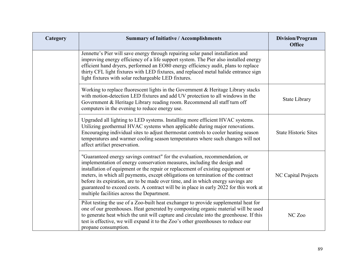| Category | <b>Summary of Initiative / Accomplishments</b>                                                                                                                                                                                                                                                                                                                                                                                                                                                                                                             | <b>Division/Program</b><br><b>Office</b> |
|----------|------------------------------------------------------------------------------------------------------------------------------------------------------------------------------------------------------------------------------------------------------------------------------------------------------------------------------------------------------------------------------------------------------------------------------------------------------------------------------------------------------------------------------------------------------------|------------------------------------------|
|          | Jennette's Pier will save energy through repairing solar panel installation and<br>improving energy efficiency of a life support system. The Pier also installed energy<br>efficient hand dryers, performed an EO80 energy efficiency audit, plans to replace<br>thirty CFL light fixtures with LED fixtures, and replaced metal halide entrance sign<br>light fixtures with solar rechargeable LED fixtures.                                                                                                                                              |                                          |
|          | Working to replace fluorescent lights in the Government & Heritage Library stacks<br>with motion-detection LED fixtures and add UV protection to all windows in the<br>Government & Heritage Library reading room. Recommend all staff turn off<br>computers in the evening to reduce energy use.                                                                                                                                                                                                                                                          | <b>State Library</b>                     |
|          | Upgraded all lighting to LED systems. Installing more efficient HVAC systems.<br>Utilizing geothermal HVAC systems when applicable during major renovations.<br>Encouraging individual sites to adjust thermostat controls to cooler heating season<br>temperatures and warmer cooling season temperatures where such changes will not<br>affect artifact preservation.                                                                                                                                                                                    | <b>State Historic Sites</b>              |
|          | "Guaranteed energy savings contract" for the evaluation, recommendation, or<br>implementation of energy conservation measures, including the design and<br>installation of equipment or the repair or replacement of existing equipment or<br>meters, in which all payments, except obligations on termination of the contract<br>before its expiration, are to be made over time, and in which energy savings are<br>guaranteed to exceed costs. A contract will be in place in early 2022 for this work at<br>multiple facilities across the Department. | NC Capital Projects                      |
|          | Pilot testing the use of a Zoo-built heat exchanger to provide supplemental heat for<br>one of our greenhouses. Heat generated by composting organic material will be used<br>to generate heat which the unit will capture and circulate into the greenhouse. If this<br>test is effective, we will expand it to the Zoo's other greenhouses to reduce our<br>propane consumption.                                                                                                                                                                         | NC Zoo                                   |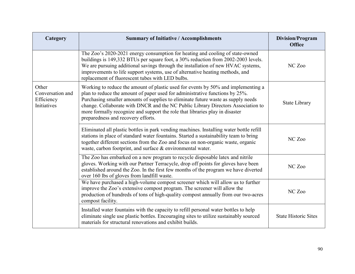| Category                                                      | <b>Summary of Initiative / Accomplishments</b>                                                                                                                                                                                                                                                                                                                                                                                                                  | <b>Division/Program</b><br><b>Office</b> |
|---------------------------------------------------------------|-----------------------------------------------------------------------------------------------------------------------------------------------------------------------------------------------------------------------------------------------------------------------------------------------------------------------------------------------------------------------------------------------------------------------------------------------------------------|------------------------------------------|
|                                                               | The Zoo's 2020-2021 energy consumption for heating and cooling of state-owned<br>buildings is 149,332 BTUs per square foot, a 30% reduction from 2002-2003 levels.<br>We are pursuing additional savings through the installation of new HVAC systems,<br>improvements to life support systems, use of alternative heating methods, and<br>replacement of fluorescent tubes with LED bulbs.                                                                     | NC Zoo                                   |
| Other<br>Conversation and<br>Efficiency<br><b>Initiatives</b> | Working to reduce the amount of plastic used for events by 50% and implementing a<br>plan to reduce the amount of paper used for administrative functions by 25%.<br>Purchasing smaller amounts of supplies to eliminate future waste as supply needs<br>change. Collaborate with DNCR and the NC Public Library Directors Association to<br>more formally recognize and support the role that libraries play in disaster<br>preparedness and recovery efforts. | <b>State Library</b>                     |
|                                                               | Eliminated all plastic bottles in park vending machines. Installing water bottle refill<br>stations in place of standard water fountains. Started a sustainability team to bring<br>together different sections from the Zoo and focus on non-organic waste, organic<br>waste, carbon footprint, and surface & environmental water.                                                                                                                             | NC Zoo                                   |
|                                                               | The Zoo has embarked on a new program to recycle disposable latex and nitrile<br>gloves. Working with our Partner Terracycle, drop off points for gloves have been<br>established around the Zoo. In the first few months of the program we have diverted<br>over 160 lbs of gloves from landfill waste.                                                                                                                                                        | NC Zoo                                   |
|                                                               | We have purchased a high-volume compost screener which will allow us to further<br>improve the Zoo's extensive compost program. The screener will allow the<br>production of hundreds of tons of high-quality compost annually from our two-acres<br>compost facility.                                                                                                                                                                                          | NC Zoo                                   |
|                                                               | Installed water fountains with the capacity to refill personal water bottles to help<br>eliminate single use plastic bottles. Encouraging sites to utilize sustainably sourced<br>materials for structural renovations and exhibit builds.                                                                                                                                                                                                                      | <b>State Historic Sites</b>              |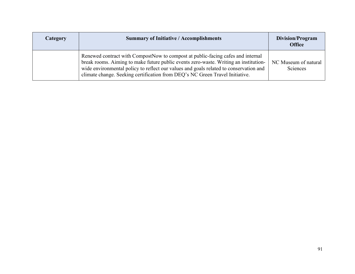| Category | <b>Summary of Initiative / Accomplishments</b>                                                                                                                                                                                                                                                                                                   | Division/Program<br><b>Office</b> |
|----------|--------------------------------------------------------------------------------------------------------------------------------------------------------------------------------------------------------------------------------------------------------------------------------------------------------------------------------------------------|-----------------------------------|
|          | Renewed contract with CompostNow to compost at public-facing cafes and internal<br>break rooms. Aiming to make future public events zero-waste. Writing an institution-<br>wide environmental policy to reflect our values and goals related to conservation and<br>climate change. Seeking certification from DEQ's NC Green Travel Initiative. | NC Museum of natural<br>Sciences  |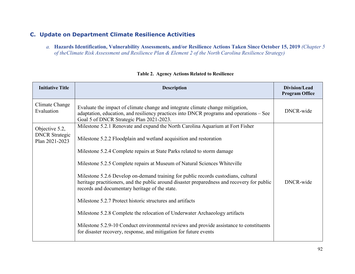# **C. Update on Department Climate Resilience Activities**

*a.* **Hazards Identification, Vulnerability Assessments, and/or Resilience Actions Taken Since October 15, 2019** *(Chapter 5 of theClimate Risk Assessment and Resilience Plan & Element 2 of the North Carolina Resilience Strategy)*

| <b>Initiative Title</b>                                   | <b>Description</b>                                                                                                                                                                                                                                                                                               | Division/Lead<br><b>Program Office</b> |
|-----------------------------------------------------------|------------------------------------------------------------------------------------------------------------------------------------------------------------------------------------------------------------------------------------------------------------------------------------------------------------------|----------------------------------------|
| Climate Change<br>Evaluation                              | Evaluate the impact of climate change and integrate climate change mitigation,<br>adaptation, education, and resiliency practices into DNCR programs and operations – See<br>Goal 5 of DNCR Strategic Plan 2021-2023.                                                                                            | DNCR-wide                              |
| Objective 5.2,<br><b>DNCR</b> Strategic<br>Plan 2021-2023 | Milestone 5.2.1 Renovate and expand the North Carolina Aquarium at Fort Fisher<br>Milestone 5.2.2 Floodplain and wetland acquisition and restoration                                                                                                                                                             |                                        |
|                                                           | Milestone 5.2.4 Complete repairs at State Parks related to storm damage                                                                                                                                                                                                                                          |                                        |
|                                                           | Milestone 5.2.5 Complete repairs at Museum of Natural Sciences Whiteville<br>Milestone 5.2.6 Develop on-demand training for public records custodians, cultural<br>heritage practitioners, and the public around disaster preparedness and recovery for public<br>records and documentary heritage of the state. | DNCR-wide                              |
|                                                           | Milestone 5.2.7 Protect historic structures and artifacts                                                                                                                                                                                                                                                        |                                        |
|                                                           | Milestone 5.2.8 Complete the relocation of Underwater Archaeology artifacts                                                                                                                                                                                                                                      |                                        |
|                                                           | Milestone 5.2.9-10 Conduct environmental reviews and provide assistance to constituents<br>for disaster recovery, response, and mitigation for future events                                                                                                                                                     |                                        |

#### **Table 2. Agency Actions Related to Resilience**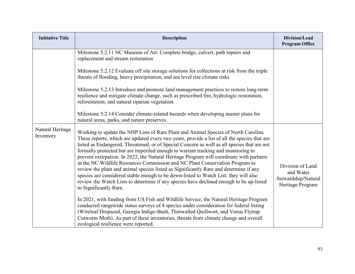| <b>Initiative Title</b>       | <b>Description</b>                                                                                                                                                                                                                                                                                                                                                                                                                                                                                                                                                                                                                                                                                                                                                                                                                                        | Division/Lead<br><b>Program Office</b>                                   |
|-------------------------------|-----------------------------------------------------------------------------------------------------------------------------------------------------------------------------------------------------------------------------------------------------------------------------------------------------------------------------------------------------------------------------------------------------------------------------------------------------------------------------------------------------------------------------------------------------------------------------------------------------------------------------------------------------------------------------------------------------------------------------------------------------------------------------------------------------------------------------------------------------------|--------------------------------------------------------------------------|
|                               | Milestone 5.2.11 NC Museum of Art: Complete bridge, culvert, path repairs and<br>replacement and stream restoration                                                                                                                                                                                                                                                                                                                                                                                                                                                                                                                                                                                                                                                                                                                                       |                                                                          |
|                               | Milestone 5.2.12 Evaluate off site storage solutions for collections at risk from the triple<br>threats of flooding, heavy precipitation, and sea level rise climate risks                                                                                                                                                                                                                                                                                                                                                                                                                                                                                                                                                                                                                                                                                |                                                                          |
|                               | Milestone 5.2.13 Introduce and promote land management practices to restore long-term<br>resilience and mitigate climate change, such as prescribed fire, hydrologic restoration,<br>reforestation, and natural riparian vegetation.                                                                                                                                                                                                                                                                                                                                                                                                                                                                                                                                                                                                                      |                                                                          |
|                               | Milestone 5.2.14 Consider climate-related hazards when developing master plans for<br>natural areas, parks, and nature preserves.                                                                                                                                                                                                                                                                                                                                                                                                                                                                                                                                                                                                                                                                                                                         |                                                                          |
| Natural Heritage<br>Inventory | Working to update the NHP Lists of Rare Plant and Animal Species of North Carolina.<br>These reports, which are updated every two years, provide a list of all the species that are<br>listed as Endangered, Threatened, or of Special Concern as well as all species that are not<br>formally protected but are imperiled enough to warrant tracking and monitoring to<br>prevent extirpation. In 2022, the Natural Heritage Program will coordinate with partners<br>in the NC Wildlife Resources Commission and NC Plant Conservation Program to<br>review the plant and animal species listed as Significantly Rare and determine if any<br>species are considered stable enough to be down-listed to Watch List; they will also<br>review the Watch Lists to determine if any species have declined enough to be up-listed<br>to Significantly Rare. | Division of Land<br>and Water<br>Stewardship/Natural<br>Heritage Program |
|                               | In 2021, with funding from US Fish and Wildlife Service, the Natural Heritage Program<br>conducted rangewide status surveys of 4 species under consideration for federal listing<br>(Wireleaf Dropseed, Georgia Indigo-Bush, Thinwalled Quillwort, and Venus Flytrap<br>Cutworm Moth). As part of these inventories, threats from climate change and overall<br>ecological resilience were reported.                                                                                                                                                                                                                                                                                                                                                                                                                                                      |                                                                          |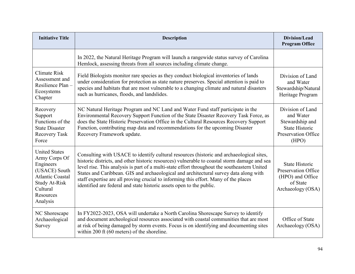| <b>Initiative Title</b>                                                                                                                                     | <b>Description</b>                                                                                                                                                                                                                                                                                                                                                                                                                                                                                                                                | <b>Division/Lead</b><br><b>Program Office</b>                                                             |
|-------------------------------------------------------------------------------------------------------------------------------------------------------------|---------------------------------------------------------------------------------------------------------------------------------------------------------------------------------------------------------------------------------------------------------------------------------------------------------------------------------------------------------------------------------------------------------------------------------------------------------------------------------------------------------------------------------------------------|-----------------------------------------------------------------------------------------------------------|
|                                                                                                                                                             | In 2022, the Natural Heritage Program will launch a rangewide status survey of Carolina<br>Hemlock, assessing threats from all sources including climate change.                                                                                                                                                                                                                                                                                                                                                                                  |                                                                                                           |
| Climate Risk<br>Assessment and<br>Resilience Plan-<br>Ecosystems<br>Chapter                                                                                 | Field Biologists monitor rare species as they conduct biological inventories of lands<br>under consideration for protection as state nature preserves. Special attention is paid to<br>species and habitats that are most vulnerable to a changing climate and natural disasters<br>such as hurricanes, floods, and landslides.                                                                                                                                                                                                                   | Division of Land<br>and Water<br>Stewardship/Natural<br>Heritage Program                                  |
| Recovery<br>Support<br>Functions of the<br><b>State Disaster</b><br>Recovery Task<br>Force                                                                  | NC Natural Heritage Program and NC Land and Water Fund staff participate in the<br>Environmental Recovery Support Function of the State Disaster Recovery Task Force, as<br>does the State Historic Preservation Office in the Cultural Resources Recovery Support<br>Function, contributing map data and recommendations for the upcoming Disaster<br>Recovery Framework update.                                                                                                                                                                 | Division of Land<br>and Water<br>Stewardship and<br><b>State Historic</b><br>Preservation Office<br>(HPO) |
| <b>United States</b><br>Army Corps Of<br>Engineers<br>(USACE) South<br><b>Atlantic Coastal</b><br><b>Study At-Risk</b><br>Cultural<br>Resources<br>Analysis | Consulting with USACE to identify cultural resources (historic and archaeological sites,<br>historic districts, and other historic resources) vulnerable to coastal storm damage and sea<br>level rise. This analysis is part of a multi-state effort throughout the southeastern United<br>States and Caribbean. GIS and archaeological and architectural survey data along with<br>staff expertise are all proving crucial to informing this effort. Many of the places<br>identified are federal and state historic assets open to the public. | <b>State Historic</b><br>Preservation Office<br>(HPO) and Office<br>of State<br>Archaeology (OSA)         |
| NC Shorescape<br>Archaeological<br>Survey                                                                                                                   | In FY2022-2023, OSA will undertake a North Carolina Shorescape Survey to identify<br>and document archeological resources associated with coastal communities that are most<br>at risk of being damaged by storm events. Focus is on identifying and documenting sites<br>within 200 ft (60 meters) of the shoreline.                                                                                                                                                                                                                             | Office of State<br>Archaeology (OSA)                                                                      |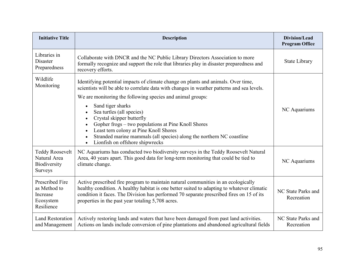| <b>Initiative Title</b>                                                | <b>Description</b>                                                                                                                                                                                                                                                                                                               | <b>Division/Lead</b><br><b>Program Office</b> |
|------------------------------------------------------------------------|----------------------------------------------------------------------------------------------------------------------------------------------------------------------------------------------------------------------------------------------------------------------------------------------------------------------------------|-----------------------------------------------|
| Libraries in<br><b>Disaster</b><br>Preparedness                        | Collaborate with DNCR and the NC Public Library Directors Association to more<br>formally recognize and support the role that libraries play in disaster preparedness and<br>recovery efforts.                                                                                                                                   | <b>State Library</b>                          |
| Wildlife<br>Monitoring                                                 | Identifying potential impacts of climate change on plants and animals. Over time,<br>scientists will be able to correlate data with changes in weather patterns and sea levels.                                                                                                                                                  |                                               |
|                                                                        | We are monitoring the following species and animal groups:<br>Sand tiger sharks                                                                                                                                                                                                                                                  |                                               |
|                                                                        | Sea turtles (all species)<br>Crystal skipper butterfly<br>Gopher frogs - two populations at Pine Knoll Shores<br>Least tern colony at Pine Knoll Shores<br>Stranded marine mammals (all species) along the northern NC coastline<br>Lionfish on offshore shipwrecks                                                              | NC Aquariums                                  |
| <b>Teddy Roosevelt</b><br>Natural Area<br>Biodiversity<br>Surveys      | NC Aquariums has conducted two biodiversity surveys in the Teddy Roosevelt Natural<br>Area, 40 years apart. This good data for long-term monitoring that could be tied to<br>climate change.                                                                                                                                     | NC Aquariums                                  |
| Prescribed Fire<br>as Method to<br>Increase<br>Ecosystem<br>Resilience | Active prescribed fire program to maintain natural communities in an ecologically<br>healthy condition. A healthy habitat is one better suited to adapting to whatever climatic<br>condition it faces. The Division has performed 70 separate prescribed fires on 15 of its<br>properties in the past year totaling 5,708 acres. | NC State Parks and<br>Recreation              |
| Land Restoration<br>and Management                                     | Actively restoring lands and waters that have been damaged from past land activities.<br>Actions on lands include conversion of pine plantations and abandoned agricultural fields                                                                                                                                               | NC State Parks and<br>Recreation              |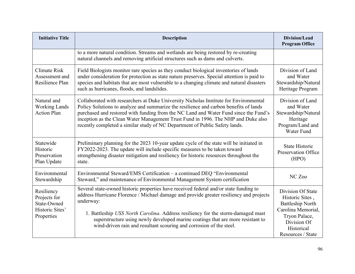| <b>Initiative Title</b>                                                    | <b>Description</b>                                                                                                                                                                                                                                                                                                                                                                                                                         | <b>Division/Lead</b><br><b>Program Office</b>                                                                                                            |
|----------------------------------------------------------------------------|--------------------------------------------------------------------------------------------------------------------------------------------------------------------------------------------------------------------------------------------------------------------------------------------------------------------------------------------------------------------------------------------------------------------------------------------|----------------------------------------------------------------------------------------------------------------------------------------------------------|
|                                                                            | to a more natural condition. Streams and wetlands are being restored by re-creating<br>natural channels and removing artificial structures such as dams and culverts.                                                                                                                                                                                                                                                                      |                                                                                                                                                          |
| <b>Climate Risk</b><br>Assessment and<br>Resilience Plan                   | Field Biologists monitor rare species as they conduct biological inventories of lands<br>under consideration for protection as state nature preserves. Special attention is paid to<br>species and habitats that are most vulnerable to a changing climate and natural disasters<br>such as hurricanes, floods, and landslides.                                                                                                            | Division of Land<br>and Water<br>Stewardship/Natural<br>Heritage Program                                                                                 |
| Natural and<br><b>Working Lands</b><br><b>Action Plan</b>                  | Collaborated with researchers at Duke University Nicholas Institute for Environmental<br>Policy Solutions to analyze and summarize the resilience and carbon benefits of lands<br>purchased and restored with funding from the NC Land and Water Fund since the Fund's<br>inception as the Clean Water Management Trust Fund in 1996. The NHP and Duke also<br>recently completed a similar study of NC Department of Public Safety lands. | Division of Land<br>and Water<br>Stewardship/Natural<br>Heritage<br>Program/Land and<br>Water Fund                                                       |
| Statewide<br>Historic<br>Preservation<br>Plan Update                       | Preliminary planning for the 2023 10-year update cycle of the state will be initiated in<br>FY2022-2023. The update will include specific measures to be taken toward<br>strengthening disaster mitigation and resiliency for historic resources throughout the<br>state.                                                                                                                                                                  | <b>State Historic</b><br>Preservation Office<br>(HPO)                                                                                                    |
| Environmental<br>Stewardship                                               | Environmental Steward/EMS Certification - a continued DEQ "Environmental<br>Steward," and maintenance of Environmental Management System certification                                                                                                                                                                                                                                                                                     | NC Zoo                                                                                                                                                   |
| Resiliency<br>Projects for<br>State-Owned<br>Historic Sites'<br>Properties | Several state-owned historic properties have received federal and/or state funding to<br>address Hurricane Florence / Michael damage and provide greater resiliency and projects<br>underway:<br>1. Battleship USS North Carolina. Address resiliency for the storm-damaged mast<br>superstructure using newly developed marine coatings that are more resistant to<br>wind-driven rain and resultant scouring and corrosion of the steel. | Division Of State<br>Historic Sites,<br><b>Battleship North</b><br>Carolina Memorial,<br>Tryon Palace,<br>Division Of<br>Historical<br>Resources / State |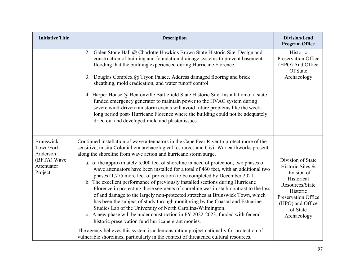| <b>Initiative Title</b>                                                           | <b>Description</b>                                                                                                                                                                                                                                                                                                                                                                                                                                                                                                                                                                                                                                                                                                                                                                                                                                                                                                                                                                                                                                                                                                                                                                                                                                         | Division/Lead<br><b>Program Office</b>                                                                                                                                  |
|-----------------------------------------------------------------------------------|------------------------------------------------------------------------------------------------------------------------------------------------------------------------------------------------------------------------------------------------------------------------------------------------------------------------------------------------------------------------------------------------------------------------------------------------------------------------------------------------------------------------------------------------------------------------------------------------------------------------------------------------------------------------------------------------------------------------------------------------------------------------------------------------------------------------------------------------------------------------------------------------------------------------------------------------------------------------------------------------------------------------------------------------------------------------------------------------------------------------------------------------------------------------------------------------------------------------------------------------------------|-------------------------------------------------------------------------------------------------------------------------------------------------------------------------|
|                                                                                   | 2. Galen Stone Hall @ Charlotte Hawkins Brown State Historic Site. Design and<br>construction of building and foundation drainage systems to prevent basement<br>flooding that the building experienced during Hurricane Florence.<br>Douglas Complex @ Tryon Palace. Address damaged flooring and brick<br>3.<br>sheathing, mold eradication, and water runoff control.<br>4. Harper House @ Bentonville Battlefield State Historic Site. Installation of a state<br>funded emergency generator to maintain power to the HVAC system during<br>severe wind-driven rainstorm events will avoid future problems like the week-<br>long period post-Hurricane Florence where the building could not be adequately<br>dried out and developed mold and plaster issues.                                                                                                                                                                                                                                                                                                                                                                                                                                                                                        | Historic<br>Preservation Office<br>(HPO) And Office<br>Of State<br>Archaeology                                                                                          |
| <b>Brunswick</b><br>Town/Fort<br>Anderson<br>(BFTA) Wave<br>Attenuator<br>Project | Continued installation of wave attenuators in the Cape Fear River to protect more of the<br>sensitive, in situ Colonial-era archaeological resources and Civil War earthworks present<br>along the shoreline from wave action and hurricane storm surge.<br>a. of the approximately 5,000 feet of shoreline in need of protection, two phases of<br>wave attenuators have been installed for a total of 460 feet, with an additional two<br>phases (1,775 more feet of protection) to be completed by December 2021.<br>b. The excellent performance of previously installed sections during Hurricane<br>Florence in protecting those segments of shoreline was in stark contrast to the loss<br>of and damage to the largely non-protected stretches at Brunswick Town, which<br>has been the subject of study through monitoring by the Coastal and Estuarine<br>Studies Lab of the University of North Carolina-Wilmington.<br>c. A new phase will be under construction in FY 2022-2023, funded with federal<br>historic preservation fund hurricane grant monies.<br>The agency believes this system is a demonstration project nationally for protection of<br>vulnerable shorelines, particularly in the context of threatened cultural resources. | Division of State<br>Historic Sites &<br>Division of<br>Historical<br>Resources/State<br>Historic<br>Preservation Office<br>(HPO) and Office<br>of State<br>Archaeology |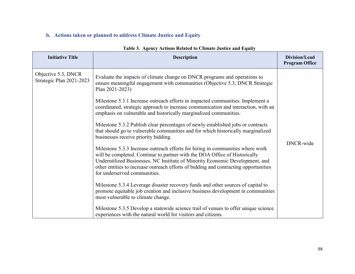# **b. Actions taken or planned to address Climate Justice and Equity**

| <b>Initiative Title</b>                         | <b>Description</b>                                                                                                                                                                                                                                                                                                                                                   | Division/Lead<br><b>Program Office</b> |
|-------------------------------------------------|----------------------------------------------------------------------------------------------------------------------------------------------------------------------------------------------------------------------------------------------------------------------------------------------------------------------------------------------------------------------|----------------------------------------|
| Objective 5.3, DNCR<br>Strategic Plan 2021-2023 | Evaluate the impacts of climate change on DNCR programs and operations to<br>ensure meaningful engagement with communities (Objective 5.3, DNCR Strategic<br>Plan 2021-2023)<br>Milestone 5.3.1 Increase outreach efforts in impacted communities. Implement a                                                                                                       |                                        |
|                                                 | coordinated, strategic approach to increase communication and interaction, with an<br>emphasis on vulnerable and historically marginalized communities.                                                                                                                                                                                                              |                                        |
|                                                 | Milestone 5.3.2 Publish clear percentages of newly established jobs or contracts<br>that should go to vulnerable communities and for which historically marginalized<br>businesses receive priority bidding.                                                                                                                                                         | DNCR-wide                              |
|                                                 | Milestone 5.3.3 Increase outreach efforts for hiring in communities where work<br>will be completed. Continue to partner with the DOA Office of Historically<br>Underutilized Businesses, NC Institute of Minority Economic Development, and<br>other entities to increase outreach efforts of bidding and contracting opportunities<br>for underserved communities. |                                        |
|                                                 | Milestone 5.3.4 Leverage disaster recovery funds and other sources of capital to<br>promote equitable job creation and inclusive business development in communities<br>most vulnerable to climate change.                                                                                                                                                           |                                        |
|                                                 | Milestone 5.3.5 Develop a statewide science trail of venues to offer unique science<br>experiences with the natural world for visitors and citizens.                                                                                                                                                                                                                 |                                        |

## **Table 3. Agency Actions Related to Climate Justice and Equity**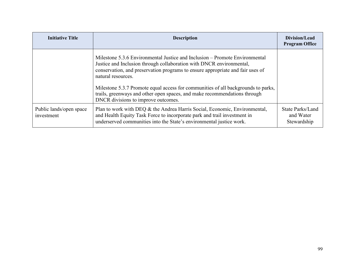| <b>Initiative Title</b>               | <b>Description</b>                                                                                                                                                                                                                                                                                                                                                                                                            | Division/Lead<br><b>Program Office</b>       |
|---------------------------------------|-------------------------------------------------------------------------------------------------------------------------------------------------------------------------------------------------------------------------------------------------------------------------------------------------------------------------------------------------------------------------------------------------------------------------------|----------------------------------------------|
|                                       | Milestone 5.3.6 Environmental Justice and Inclusion – Promote Environmental<br>Justice and Inclusion through collaboration with DNCR environmental,<br>conservation, and preservation programs to ensure appropriate and fair uses of<br>natural resources.<br>Milestone 5.3.7 Promote equal access for communities of all backgrounds to parks,<br>trails, greenways and other open spaces, and make recommendations through |                                              |
|                                       | DNCR divisions to improve outcomes.                                                                                                                                                                                                                                                                                                                                                                                           |                                              |
| Public lands/open space<br>investment | Plan to work with DEQ & the Andrea Harris Social, Economic, Environmental,<br>and Health Equity Task Force to incorporate park and trail investment in<br>underserved communities into the State's environmental justice work.                                                                                                                                                                                                | State Parks/Land<br>and Water<br>Stewardship |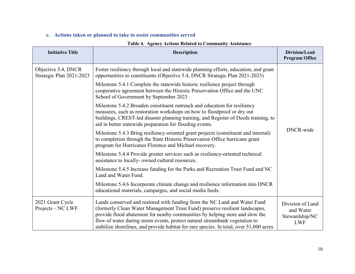## **c. Actions taken or planned to take to assist communities served**

| Table 4. Agency Actions Related to Community Assistance |                                                                                                                                                                      |                                        |
|---------------------------------------------------------|----------------------------------------------------------------------------------------------------------------------------------------------------------------------|----------------------------------------|
| <b>Initiative Title</b>                                 | <b>Description</b>                                                                                                                                                   | Division/Lead<br><b>Program Office</b> |
| Objective 5.4, DNCR<br>Strategic Plan 2021-2023         | Foster resiliency through local and statewide planning efforts, education, and grant<br>opportunities to constituents (Objective 5.4, DNCR Strategic Plan 2021-2023) |                                        |
|                                                         | Milestone 5.4.1 Complete the statewide historic resilience project through<br>cooperative agreement between the Historic Preservation Office and the UNC             |                                        |

### **Table 4. Agency Actions Related to Community Assistance**

| Strategic Plan 2021-2023              | opportunities to constituents (Objective 5.4, DNCR Strategic Plan 2021-2023)                                                                                                                                                                                                                                                                                                                                       |                                                               |
|---------------------------------------|--------------------------------------------------------------------------------------------------------------------------------------------------------------------------------------------------------------------------------------------------------------------------------------------------------------------------------------------------------------------------------------------------------------------|---------------------------------------------------------------|
|                                       | Milestone 5.4.1 Complete the statewide historic resilience project through<br>cooperative agreement between the Historic Preservation Office and the UNC<br>School of Government by September 2023                                                                                                                                                                                                                 |                                                               |
|                                       | Milestone 5.4.2 Broaden constituent outreach and education for resiliency<br>measures, such as restoration workshops on how to floodproof or dry out<br>buildings, CREST-led disaster planning training, and Register of Deeds training, to<br>aid in better statewide preparation for flooding events.                                                                                                            |                                                               |
|                                       | Milestone 5.4.3 Bring resiliency-oriented grant projects (constituent and internal)<br>to completion through the State Historic Preservation Office hurricane grant<br>program for Hurricanes Florence and Michael recovery.                                                                                                                                                                                       | DNCR-wide                                                     |
|                                       | Milestone 5.4.4 Provide greater services such as resiliency-oriented technical<br>assistance to locally- owned cultural resources.                                                                                                                                                                                                                                                                                 |                                                               |
|                                       | Milestone 5.4.5 Increase funding for the Parks and Recreation Trust Fund and NC<br>Land and Water Fund.                                                                                                                                                                                                                                                                                                            |                                                               |
|                                       | Milestone 5.4.6 Incorporate climate change and resilience information into DNCR<br>educational materials, campaigns, and social media feeds.                                                                                                                                                                                                                                                                       |                                                               |
| 2021 Grant Cycle<br>Projects – NC LWF | Lands conserved and restored with funding from the NC Land and Water Fund<br>(formerly Clean Water Management Trust Fund) preserve resilient landscapes,<br>provide flood abatement for nearby communities by helping store and slow the<br>flow of water during storm events, protect natural streambank vegetation to<br>stabilize shorelines, and provide habitat for rare species. In total, over 51,000 acres | Division of Land<br>and Water<br>Stewardship/NC<br><b>LWF</b> |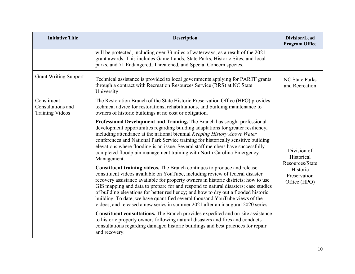| <b>Initiative Title</b>                                    | <b>Description</b>                                                                                                                                                                                                                                                                                                                                                                                                                                                                                                                                                                               | Division/Lead<br><b>Program Office</b>       |
|------------------------------------------------------------|--------------------------------------------------------------------------------------------------------------------------------------------------------------------------------------------------------------------------------------------------------------------------------------------------------------------------------------------------------------------------------------------------------------------------------------------------------------------------------------------------------------------------------------------------------------------------------------------------|----------------------------------------------|
|                                                            | will be protected, including over 33 miles of waterways, as a result of the 2021<br>grant awards. This includes Game Lands, State Parks, Historic Sites, and local<br>parks, and 71 Endangered, Threatened, and Special Concern species.                                                                                                                                                                                                                                                                                                                                                         |                                              |
| <b>Grant Writing Support</b>                               | Technical assistance is provided to local governments applying for PARTF grants<br>through a contract with Recreation Resources Service (RRS) at NC State<br>University                                                                                                                                                                                                                                                                                                                                                                                                                          | <b>NC State Parks</b><br>and Recreation      |
| Constituent<br>Consultations and<br><b>Training Videos</b> | The Restoration Branch of the State Historic Preservation Office (HPO) provides<br>technical advice for restorations, rehabilitations, and building maintenance to<br>owners of historic buildings at no cost or obligation.                                                                                                                                                                                                                                                                                                                                                                     |                                              |
|                                                            | Professional Development and Training. The Branch has sought professional<br>development opportunities regarding building adaptations for greater resiliency,<br>including attendance at the national biennial Keeping History Above Water<br>conferences and National Park Service training for historically sensitive building<br>elevations where flooding is an issue. Several staff members have successfully<br>completed floodplain management training with North Carolina Emergency<br>Management.                                                                                      | Division of<br>Historical<br>Resources/State |
|                                                            | Constituent training videos. The Branch continues to produce and release<br>constituent videos available on YouTube, including review of federal disaster<br>recovery assistance available for property owners in historic districts; how to use<br>GIS mapping and data to prepare for and respond to natural disasters; case studies<br>of building elevations for better resiliency; and how to dry out a flooded historic<br>building. To date, we have quantified several thousand YouTube views of the<br>videos, and released a new series in summer 2021 after an inaugural 2020 series. | Historic<br>Preservation<br>Office (HPO)     |
|                                                            | Constituent consultations. The Branch provides expedited and on-site assistance<br>to historic property owners following natural disasters and fires and conducts<br>consultations regarding damaged historic buildings and best practices for repair<br>and recovery.                                                                                                                                                                                                                                                                                                                           |                                              |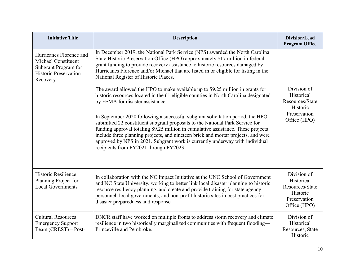| <b>Initiative Title</b>                                                                                            | <b>Description</b>                                                                                                                                                                                                                                                                                                                                                                                                                                                                                                                                                                                                                                                                                                                                                                                                                                                                                                                                                                                                                                                  | <b>Division/Lead</b><br><b>Program Office</b>                                            |
|--------------------------------------------------------------------------------------------------------------------|---------------------------------------------------------------------------------------------------------------------------------------------------------------------------------------------------------------------------------------------------------------------------------------------------------------------------------------------------------------------------------------------------------------------------------------------------------------------------------------------------------------------------------------------------------------------------------------------------------------------------------------------------------------------------------------------------------------------------------------------------------------------------------------------------------------------------------------------------------------------------------------------------------------------------------------------------------------------------------------------------------------------------------------------------------------------|------------------------------------------------------------------------------------------|
| Hurricanes Florence and<br>Michael Constituent<br>Subgrant Program for<br><b>Historic Preservation</b><br>Recovery | In December 2019, the National Park Service (NPS) awarded the North Carolina<br>State Historic Preservation Office (HPO) approximately \$17 million in federal<br>grant funding to provide recovery assistance to historic resources damaged by<br>Hurricanes Florence and/or Michael that are listed in or eligible for listing in the<br>National Register of Historic Places.<br>The award allowed the HPO to make available up to \$9.25 million in grants for<br>historic resources located in the 61 eligible counties in North Carolina designated<br>by FEMA for disaster assistance.<br>In September 2020 following a successful subgrant solicitation period, the HPO<br>submitted 22 constituent subgrant proposals to the National Park Service for<br>funding approval totaling \$9.25 million in cumulative assistance. These projects<br>include three planning projects, and nineteen brick and mortar projects, and were<br>approved by NPS in 2021. Subgrant work is currently underway with individual<br>recipients from FY2021 through FY2023. | Division of<br>Historical<br>Resources/State<br>Historic<br>Preservation<br>Office (HPO) |
| Historic Resilience<br>Planning Project for<br><b>Local Governments</b>                                            | In collaboration with the NC Impact Initiative at the UNC School of Government<br>and NC State University, working to better link local disaster planning to historic<br>resource resiliency planning, and create and provide training for state agency<br>personnel, local governments, and non-profit historic sites in best practices for<br>disaster preparedness and response.                                                                                                                                                                                                                                                                                                                                                                                                                                                                                                                                                                                                                                                                                 | Division of<br>Historical<br>Resources/State<br>Historic<br>Preservation<br>Office (HPO) |
| <b>Cultural Resources</b><br><b>Emergency Support</b><br>Team (CREST) - Post-                                      | DNCR staff have worked on multiple fronts to address storm recovery and climate<br>resilience in two historically marginalized communities with frequent flooding—<br>Princeville and Pembroke.                                                                                                                                                                                                                                                                                                                                                                                                                                                                                                                                                                                                                                                                                                                                                                                                                                                                     | Division of<br>Historical<br>Resources, State<br>Historic                                |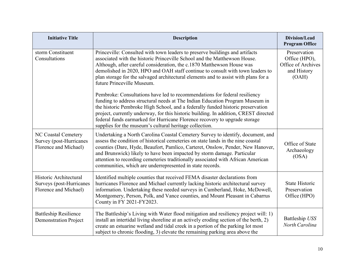| <b>Initiative Title</b>                                                     | <b>Description</b>                                                                                                                                                                                                                                                                                                                                                                                                                                                                 | Division/Lead<br><b>Program Office</b>                                      |
|-----------------------------------------------------------------------------|------------------------------------------------------------------------------------------------------------------------------------------------------------------------------------------------------------------------------------------------------------------------------------------------------------------------------------------------------------------------------------------------------------------------------------------------------------------------------------|-----------------------------------------------------------------------------|
| storm Constituent<br>Consultations                                          | Princeville: Consulted with town leaders to preserve buildings and artifacts<br>associated with the historic Princeville School and the Matthewson House.<br>Although, after careful consideration, the c.1870 Matthewson House was<br>demolished in 2020, HPO and OAH staff continue to consult with town leaders to<br>plan storage for the salvaged architectural elements and to assist with plans for a<br>future Princeville Museum.                                         | Preservation<br>Office (HPO),<br>Office of Archives<br>and History<br>(OAH) |
|                                                                             | Pembroke: Consultations have led to recommendations for federal resiliency<br>funding to address structural needs at The Indian Education Program Museum in<br>the historic Pembroke High School, and a federally funded historic preservation<br>project, currently underway, for this historic building. In addition, CREST directed<br>federal funds earmarked for Hurricane Florence recovery to upgrade storage<br>supplies for the museum's cultural heritage collection.    |                                                                             |
| NC Coastal Cemetery<br>Survey (post-Hurricanes<br>Florence and Michael)     | Undertaking a North Carolina Coastal Cemetery Survey to identify, document, and<br>assess the condition of historical cemeteries on state lands in the nine coastal<br>counties (Dare, Hyde, Beaufort, Pamlico, Carteret, Onslow, Pender, New Hanover,<br>and Brunswick) likely to have been impacted by storm damage. Particular<br>attention to recording cemeteries traditionally associated with African American<br>communities, which are underrepresented in state records. | Office of State<br>Archaeology<br>(OSA)                                     |
| Historic Architectural<br>Surveys (post-Hurricanes<br>Florence and Michael) | Identified multiple counties that received FEMA disaster declarations from<br>hurricanes Florence and Michael currently lacking historic architectural survey<br>information. Undertaking these needed surveys in Cumberland, Hoke, McDowell,<br>Montgomery, Person, Polk, and Vance counties, and Mount Pleasant in Cabarrus<br>County in FY 2021-FY2023.                                                                                                                         | <b>State Historic</b><br>Preservation<br>Office (HPO)                       |
| <b>Battleship Resilience</b><br><b>Demonstration Project</b>                | The Battleship's Living with Water flood mitigation and resiliency project will: 1)<br>install an intertidal living shoreline at an actively eroding section of the berth, 2)<br>create an estuarine wetland and tidal creek in a portion of the parking lot most<br>subject to chronic flooding, 3) elevate the remaining parking area above the                                                                                                                                  | Battleship USS<br>North Carolina                                            |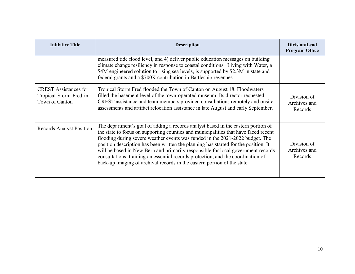| <b>Initiative Title</b>                                                  | <b>Description</b>                                                                                                                                                                                                                                                                                                                                                                                                                                                                                                                                                                                   | <b>Division/Lead</b><br><b>Program Office</b> |
|--------------------------------------------------------------------------|------------------------------------------------------------------------------------------------------------------------------------------------------------------------------------------------------------------------------------------------------------------------------------------------------------------------------------------------------------------------------------------------------------------------------------------------------------------------------------------------------------------------------------------------------------------------------------------------------|-----------------------------------------------|
|                                                                          | measured tide flood level, and 4) deliver public education messages on building<br>climate change resiliency in response to coastal conditions. Living with Water, a<br>\$4M engineered solution to rising sea levels, is supported by \$2.3M in state and<br>federal grants and a \$700K contribution in Battleship revenues.                                                                                                                                                                                                                                                                       |                                               |
| <b>CREST</b> Assistances for<br>Tropical Storm Fred in<br>Town of Canton | Tropical Storm Fred flooded the Town of Canton on August 18. Floodwaters<br>filled the basement level of the town-operated museum. Its director requested<br>CREST assistance and team members provided consultations remotely and onsite<br>assessments and artifact relocation assistance in late August and early September.                                                                                                                                                                                                                                                                      | Division of<br>Archives and<br>Records        |
| <b>Records Analyst Position</b>                                          | The department's goal of adding a records analyst based in the eastern portion of<br>the state to focus on supporting counties and municipalities that have faced recent<br>flooding during severe weather events was funded in the 2021-2022 budget. The<br>position description has been written the planning has started for the position. It<br>will be based in New Bern and primarily responsible for local government records<br>consultations, training on essential records protection, and the coordination of<br>back-up imaging of archival records in the eastern portion of the state. | Division of<br>Archives and<br>Records        |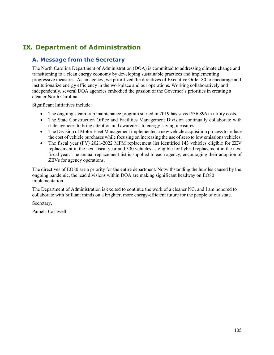# **IX. Department of Administration**

# **A. Message from the Secretary**

The North Carolina Department of Administration (DOA) is committed to addressing climate change and transitioning to a clean energy economy by developing sustainable practices and implementing progressive measures. As an agency, we prioritized the directives of Executive Order 80 to encourage and institutionalize energy efficiency in the workplace and our operations. Working collaboratively and independently, several DOA agencies embodied the passion of the Governor's priorities in creating a cleaner North Carolina.

Significant Initiatives include:

- The ongoing steam trap maintenance program started in 2019 has saved \$36,896 in utility costs.
- The State Construction Office and Facilities Management Division continually collaborate with state agencies to bring attention and awareness to energy-saving measures.
- The Division of Motor Fleet Management implemented a new vehicle acquisition process to reduce the cost of vehicle purchases while focusing on increasing the use of zero to low emissions vehicles.
- The fiscal year (FY) 2021-2022 MFM replacement list identified 143 vehicles eligible for ZEV replacement in the next fiscal year and 330 vehicles as eligible for hybrid replacement in the next fiscal year. The annual replacement list is supplied to each agency, encouraging their adoption of ZEVs for agency operations.

The directives of EO80 are a priority for the entire department. Notwithstanding the hurdles caused by the ongoing pandemic, the lead divisions within DOA are making significant headway on EO80 implementation.

The Department of Administration is excited to continue the work of a cleaner NC, and I am honored to collaborate with brilliant minds on a brighter, more energy-efficient future for the people of our state.

Secretary,

Pamela Cashwell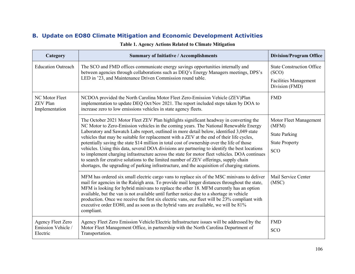# **B. Update on EO80 Climate Mitigation and Economic Development Activities**

| Category                                                   | <b>Summary of Initiative / Accomplishments</b>                                                                                                                                                                                                                                                                                                                                                                                                                                                                                                                                                                                                                                                                                                                                                                                                                        | <b>Division/Program Office</b>                                                                 |
|------------------------------------------------------------|-----------------------------------------------------------------------------------------------------------------------------------------------------------------------------------------------------------------------------------------------------------------------------------------------------------------------------------------------------------------------------------------------------------------------------------------------------------------------------------------------------------------------------------------------------------------------------------------------------------------------------------------------------------------------------------------------------------------------------------------------------------------------------------------------------------------------------------------------------------------------|------------------------------------------------------------------------------------------------|
| <b>Education Outreach</b>                                  | The SCO and FMD offices communicate energy savings opportunities internally and<br>between agencies through collaborations such as DEQ's Energy Managers meetings, DPS's<br>LED in '23, and Maintenance Driven Commission round table.                                                                                                                                                                                                                                                                                                                                                                                                                                                                                                                                                                                                                                | <b>State Construction Office</b><br>(SCO)<br><b>Facilities Management</b><br>Division (FMD)    |
| NC Motor Fleet<br><b>ZEV Plan</b><br>Implementation        | NCDOA provided the North Carolina Motor Fleet Zero-Emission Vehicle (ZEV)Plan<br>implementation to update DEQ Oct/Nov 2021. The report included steps taken by DOA to<br>increase zero to low emissions vehicles in state agency fleets.                                                                                                                                                                                                                                                                                                                                                                                                                                                                                                                                                                                                                              | <b>FMD</b>                                                                                     |
|                                                            | The October 2021 Motor Fleet ZEV Plan highlights significant headway in converting the<br>NC Motor to Zero-Emission vehicles in the coming years. The National Renewable Energy<br>Laboratory and Sawatch Labs report, outlined in more detail below, identified 3,049 state<br>vehicles that may be suitable for replacement with a ZEV at the end of their life cycles,<br>potentially saving the state \$14 million in total cost of ownership over the life of those<br>vehicles. Using this data, several DOA divisions are partnering to identify the best locations<br>to implement charging infrastructure across the state for motor fleet vehicles. DOA continues<br>to search for creative solutions to the limited number of ZEV offerings, supply chain<br>shortages, the upgrading of parking infrastructure, and the acquisition of charging stations. | Motor Fleet Management<br>(MFM)<br><b>State Parking</b><br><b>State Property</b><br><b>SCO</b> |
|                                                            | MFM has ordered six small electric cargo vans to replace six of the MSC minivans to deliver<br>mail for agencies in the Raleigh area. To provide mail longer distances throughout the state,<br>MFM is looking for hybrid minivans to replace the other 18. MFM currently has an option<br>available, but the van is not available until further notice due to a shortage in vehicle<br>production. Once we receive the first six electric vans, our fleet will be 23% compliant with<br>executive order EO80, and as soon as the hybrid vans are available, we will be 81%<br>compliant.                                                                                                                                                                                                                                                                             | Mail Service Center<br>(MSC)                                                                   |
| <b>Agency Fleet Zero</b><br>Emission Vehicle /<br>Electric | Agency Fleet Zero Emission Vehicle/Electric Infrastructure issues will be addressed by the<br>Motor Fleet Management Office, in partnership with the North Carolina Department of<br>Transportation.                                                                                                                                                                                                                                                                                                                                                                                                                                                                                                                                                                                                                                                                  | <b>FMD</b><br>SCO                                                                              |

### **Table 1. Agency Actions Related to Climate Mitigation**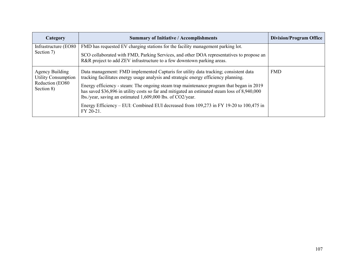| Category                                      | <b>Summary of Initiative / Accomplishments</b>                                                                                                                                                                                                          | <b>Division/Program Office</b> |
|-----------------------------------------------|---------------------------------------------------------------------------------------------------------------------------------------------------------------------------------------------------------------------------------------------------------|--------------------------------|
| Infrastructure (EO80                          | FMD has requested EV charging stations for the facility management parking lot.                                                                                                                                                                         |                                |
| Section 7)                                    | SCO collaborated with FMD, Parking Services, and other DOA representatives to propose an<br>R&R project to add ZEV infrastructure to a few downtown parking areas.                                                                                      |                                |
| Agency Building<br><b>Utility Consumption</b> | Data management: FMD implemented Capturis for utility data tracking; consistent data<br>tracking facilitates energy usage analysis and strategic energy efficiency planning.                                                                            | <b>FMD</b>                     |
| Reduction (EO80<br>Section 8)                 | Energy efficiency - steam: The ongoing steam trap maintenance program that began in 2019<br>has saved \$36,896 in utility costs so far and mitigated an estimated steam loss of 8,940,000<br>lbs./year, saving an estimated 1,609,000 lbs. of CO2/year. |                                |
|                                               | Energy Efficiency – EUI: Combined EUI decreased from 109,273 in FY 19-20 to 100,475 in<br>FY 20-21.                                                                                                                                                     |                                |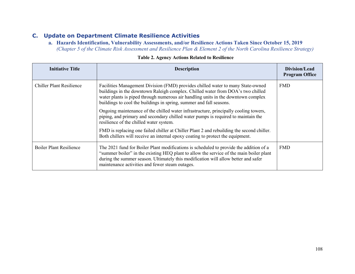# **C. Update on Department Climate Resilience Activities**

**a. Hazards Identification, Vulnerability Assessments, and/or Resilience Actions Taken Since October 15, 2019**  *(Chapter 5 of the Climate Risk Assessment and Resilience Plan & Element 2 of the North Carolina Resilience Strategy)*

| Initiative Title               | <b>Description</b>                                                                                                                                                                                                                                                                                                             | Division/Lead<br><b>Program Office</b> |
|--------------------------------|--------------------------------------------------------------------------------------------------------------------------------------------------------------------------------------------------------------------------------------------------------------------------------------------------------------------------------|----------------------------------------|
| Chiller Plant Resilience       | Facilities Management Division (FMD) provides chilled water to many State-owned<br>buildings in the downtown Raleigh complex. Chilled water from DOA's two chilled<br>water plants is piped through numerous air handling units in the downtown complex<br>buildings to cool the buildings in spring, summer and fall seasons. | <b>FMD</b>                             |
|                                | Ongoing maintenance of the chilled water infrastructure, principally cooling towers,<br>piping, and primary and secondary chilled water pumps is required to maintain the<br>resilience of the chilled water system.                                                                                                           |                                        |
|                                | FMD is replacing one failed chiller at Chiller Plant 2 and rebuilding the second chiller.<br>Both chillers will receive an internal epoxy coating to protect the equipment.                                                                                                                                                    |                                        |
| <b>Boiler Plant Resilience</b> | The 2021 fund for Boiler Plant modifications is scheduled to provide the addition of a<br>"summer boiler" in the existing HEQ plant to allow the service of the main boiler plant<br>during the summer season. Ultimately this modification will allow better and safer<br>maintenance activities and fewer steam outages.     | <b>FMD</b>                             |

#### **Table 2. Agency Actions Related to Resilience**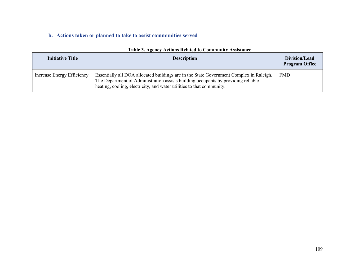### **b. Actions taken or planned to take to assist communities served**

| <b>Initiative Title</b>    | <b>Description</b>                                                                                                                                                                                                                                    | Division/Lead<br><b>Program Office</b> |
|----------------------------|-------------------------------------------------------------------------------------------------------------------------------------------------------------------------------------------------------------------------------------------------------|----------------------------------------|
| Increase Energy Efficiency | Essentially all DOA allocated buildings are in the State Government Complex in Raleigh.<br>The Department of Administration assists building occupants by providing reliable<br>heating, cooling, electricity, and water utilities to that community. | <b>FMD</b>                             |

#### **Table 3. Agency Actions Related to Community Assistance**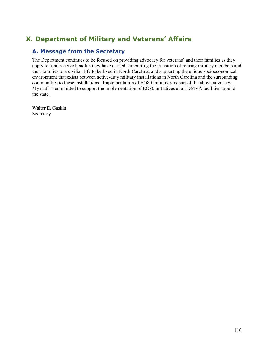# **X. Department of Military and Veterans' Affairs**

### **A. Message from the Secretary**

The Department continues to be focused on providing advocacy for veterans' and their families as they apply for and receive benefits they have earned, supporting the transition of retiring military members and their families to a civilian life to be lived in North Carolina, and supporting the unique socioeconomical environment that exists between active-duty military installations in North Carolina and the surrounding communities to these installations. Implementation of EO80 initiatives is part of the above advocacy. My staff is committed to support the implementation of EO80 initiatives at all DMVA facilities around the state.

Walter E. Gaskin Secretary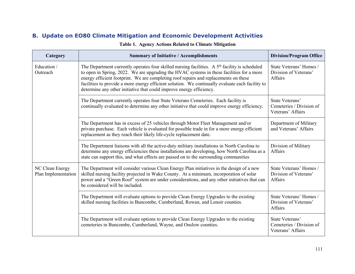### **B. Update on EO80 Climate Mitigation and Economic Development Activities**

| Category                               | <b>Summary of Initiative / Accomplishments</b>                                                                                                                                                                                                                                                                                                                                                                                                                              | <b>Division/Program Office</b>                                     |
|----------------------------------------|-----------------------------------------------------------------------------------------------------------------------------------------------------------------------------------------------------------------------------------------------------------------------------------------------------------------------------------------------------------------------------------------------------------------------------------------------------------------------------|--------------------------------------------------------------------|
| Education /<br>Outreach                | The Department currently operates four skilled nursing facilities. A 5 <sup>th</sup> facility is scheduled<br>to open in Spring, 2022. We are upgrading the HVAC systems in these facilities for a more<br>energy efficient footprint. We are completing roof repairs and replacements on these<br>facilities to provide a more energy efficient solution. We continually evaluate each facility to<br>determine any other initiative that could improve energy efficiency. | State Veterans' Homes /<br>Division of Veterans'<br>Affairs        |
|                                        | The Department currently operates four State Veterans Cemeteries. Each facility is<br>continually evaluated to determine any other initiative that could improve energy efficiency.                                                                                                                                                                                                                                                                                         | State Veterans'<br>Cemeteries / Division of<br>Veterans' Affairs   |
|                                        | The Department has in excess of 25 vehicles through Motor Fleet Management and/or<br>private purchase. Each vehicle is evaluated for possible trade in for a more energy efficient<br>replacement as they reach their likely life-cycle replacement date.                                                                                                                                                                                                                   | Department of Military<br>and Veterans' Affairs                    |
|                                        | The Department liaisons with all the active-duty military installations in North Carolina to<br>determine any energy efficiencies these installations are developing, how North Carolina as a<br>state can support this, and what effects are passed on to the surrounding communities                                                                                                                                                                                      | Division of Military<br><b>Affairs</b>                             |
| NC Clean Energy<br>Plan Implementation | The Department will consider various Clean Energy Plan initiatives in the design of a new<br>skilled nursing facility projected in Wake County. At a minimum, incorporation of solar<br>power and a "Green Roof" system are under considerations, and any other initiatives that can<br>be considered will be included.                                                                                                                                                     | State Veterans' Homes /<br>Division of Veterans'<br><b>Affairs</b> |
|                                        | The Department will evaluate options to provide Clean Energy Upgrades to the existing<br>skilled nursing facilities in Buncombe, Cumberland, Rowan, and Lenoir counties.                                                                                                                                                                                                                                                                                                    | State Veterans' Homes /<br>Division of Veterans'<br>Affairs        |
|                                        | The Department will evaluate options to provide Clean Energy Upgrades to the existing<br>cemeteries in Buncombe, Cumberland, Wayne, and Onslow counties.                                                                                                                                                                                                                                                                                                                    | State Veterans'<br>Cemeteries / Division of<br>Veterans' Affairs   |

#### **Table 1. Agency Actions Related to Climate Mitigation**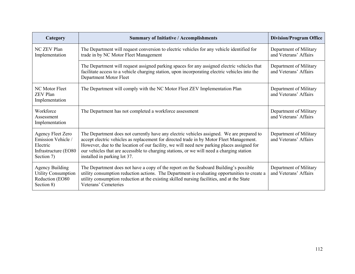| Category                                                                                         | <b>Summary of Initiative / Accomplishments</b>                                                                                                                                                                                                                                                                                                                                                                   | <b>Division/Program Office</b>                  |
|--------------------------------------------------------------------------------------------------|------------------------------------------------------------------------------------------------------------------------------------------------------------------------------------------------------------------------------------------------------------------------------------------------------------------------------------------------------------------------------------------------------------------|-------------------------------------------------|
| <b>NC ZEV Plan</b><br>Implementation                                                             | The Department will request conversion to electric vehicles for any vehicle identified for<br>trade in by NC Motor Fleet Management                                                                                                                                                                                                                                                                              | Department of Military<br>and Veterans' Affairs |
|                                                                                                  | The Department will request assigned parking spaces for any assigned electric vehicles that<br>facilitate access to a vehicle charging station, upon incorporating electric vehicles into the<br>Department Motor Fleet                                                                                                                                                                                          | Department of Military<br>and Veterans' Affairs |
| NC Motor Fleet<br><b>ZEV</b> Plan<br>Implementation                                              | The Department will comply with the NC Motor Fleet ZEV Implementation Plan                                                                                                                                                                                                                                                                                                                                       | Department of Military<br>and Veterans' Affairs |
| Workforce<br>Assessment<br>Implementation                                                        | The Department has not completed a workforce assessment                                                                                                                                                                                                                                                                                                                                                          | Department of Military<br>and Veterans' Affairs |
| <b>Agency Fleet Zero</b><br>Emission Vehicle /<br>Electric<br>Infrastructure (EO80<br>Section 7) | The Department does not currently have any electric vehicles assigned. We are prepared to<br>accept electric vehicles as replacement for directed trade in by Motor Fleet Management.<br>However, due to the location of our facility, we will need new parking places assigned for<br>our vehicles that are accessible to charging stations, or we will need a charging station<br>installed in parking lot 37. | Department of Military<br>and Veterans' Affairs |
| <b>Agency Building</b><br><b>Utility Consumption</b><br>Reduction (EO80<br>Section 8)            | The Department does not have a copy of the report on the Seaboard Building's possible<br>utility consumption reduction actions. The Department is evaluating opportunities to create a<br>utility consumption reduction at the existing skilled nursing facilities, and at the State<br>Veterans' Cemeteries                                                                                                     | Department of Military<br>and Veterans' Affairs |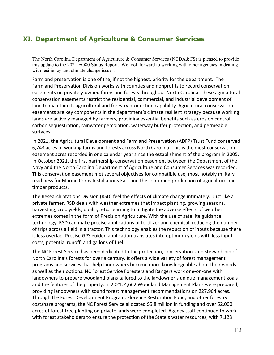## **XI. Department of Agriculture & Consumer Services**

The North Carolina Department of Agriculture & Consumer Services (NCDA&CS) is pleased to provide this update to the 2021 EO80 Status Report. We look forward to working with other agencies in dealing with resiliency and climate change issues.

Farmland preservation is one of the, if not the highest, priority for the department. The Farmland Preservation Division works with counties and nonprofits to record conservation easements on privately-owned farms and forests throughout North Carolina. These agricultural conservation easements restrict the residential, commercial, and industrial development of land to maintain its agricultural and forestry production capability. Agricultural conservation easements are key components in the department's climate resilient strategy because working lands are actively managed by farmers, providing essential benefits such as erosion control, carbon sequestration, rainwater percolation, waterway buffer protection, and permeable surfaces.

In 2021, the Agricultural Development and Farmland Preservation (ADFP) Trust Fund conserved 6,743 acres of working farms and forests across North Carolina. This is the most conservation easement acres recorded in one calendar year since the establishment of the program in 2005. In October 2021, the first partnership conservation easement between the Department of the Navy and the North Carolina Department of Agriculture and Consumer Services was recorded. This conservation easement met several objectives for compatible use, most notably military readiness for Marine Corps Installations East and the continued production of agriculture and timber products.

The Research Stations Division (RSD) feel the effects of climate change intimately. Just like a private farmer, RSD deals with weather extremes that impact planting, growing seasons, harvesting, crop yields, quality, etc. Learning to mitigate the adverse effects of weather extremes comes in the form of Precision Agriculture. With the use of satellite guidance technology, RSD can make precise applications of fertilizer and chemical, reducing the number of trips across a field in a tractor. This technology enables the reduction of inputs because there is less overlap. Precise GPS guided application translates into optimum yields with less input costs, potential runoff, and gallons of fuel.

The NC Forest Service has been dedicated to the protection, conservation, and stewardship of North Carolina's forests for over a century. It offers a wide variety of forest management programs and services that help landowners become more knowledgeable about their woods as well as their options. NC Forest Service Foresters and Rangers work one-on-one with landowners to prepare woodland plans tailored to the landowner's unique management goals and the features of the property. In 2021, 4,662 Woodland Management Plans were prepared, providing landowners with sound forest management recommendations on 227,964 acres. Through the Forest Development Program, Florence Restoration Fund, and other forestry costshare programs, the NC Forest Service allocated \$5.8 million in funding and over 62,000 acres of forest tree planting on private lands were completed. Agency staff continued to work with forest stakeholders to ensure the protection of the State's water resources, with 7,128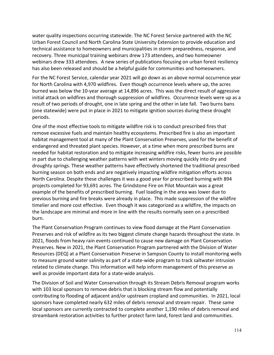water quality inspections occurring statewide. The NC Forest Service partnered with the NC Urban Forest Council and North Carolina State University Extension to provide education and technical assistance to homeowners and municipalities in storm preparedness, response, and recovery. Three municipal training webinars drew 173 attendees, and two homeowner webinars drew 333 attendees. A new series of publications focusing on urban forest resiliency has also been released and should be a helpful guide for communities and homeowners.

For the NC Forest Service, calendar year 2021 will go down as an above normal occurrence year for North Carolina with 4,970 wildfires. Even though occurrence levels where up, the acres burned was below the 10-year average at 14,896 acres. This was the direct result of aggressive initial attack on wildfires and thorough suppression of wildfires. Occurrence levels were up as a result of two periods of drought, one in late spring and the other in late fall. Two burns bans (one statewide) were put in place in 2021 to mitigate ignition sources during these drought periods.

One of the most effective tools to mitigate wildfire risk is to conduct prescribed fires that remove excessive fuels and maintain healthy ecosystems. Prescribed fire is also an important habitat management tool at many of the Plant Conservation Preserves, used for the benefit of endangered and threated plant species. However, at a time when more prescribed burns are needed for habitat restoration and to mitigate increasing wildfire risks, fewer burns are possible in part due to challenging weather patterns with wet winters moving quickly into dry and droughty springs. These weather patterns have effectively shortened the traditional prescribed burning season on both ends and are negatively impacting wildfire mitigation efforts across North Carolina. Despite these challenges it was a good year for prescribed burning with 894 projects completed for 93,691 acres. The Grindstone Fire on Pilot Mountain was a great example of the benefits of prescribed burning. Fuel loading in the area was lower due to previous burning and fire breaks were already in place. This made suppression of the wildfire timelier and more cost effective. Even though it was categorized as a wildfire, the impacts on the landscape are minimal and more in line with the results normally seen on a prescribed burn.

The Plant Conservation Program continues to view flood damage at the Plant Conservation Preserves and risk of wildfire as its two biggest climate change hazards throughout the state. In 2021, floods from heavy rain events continued to cause new damage on Plant Conservation Preserves. New in 2021, the Plant Conservation Program partnered with the Division of Water Resources (DEQ) at a Plant Conservation Preserve in Sampson County to install monitoring wells to measure ground water salinity as part of a state-wide program to track saltwater intrusion related to climate change. This information will help inform management of this preserve as well as provide important data for a state-wide analysis.

The Division of Soil and Water Conservation through its Stream Debris Removal program works with 103 local sponsors to remove debris that is blocking stream flow and potentially contributing to flooding of adjacent and/or upstream cropland and communities. In 2021, local sponsors have completed nearly 632 miles of debris removal and stream repair. These same local sponsors are currently contracted to complete another 1,190 miles of debris removal and streambank restoration activities to further protect farm land, forest land and communities.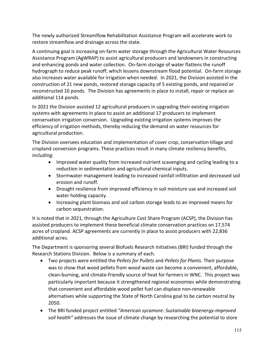The newly authorized Streamflow Rehabilitation Assistance Program will accelerate work to restore streamflow and drainage across the state.

A continuing goal is increasing on-farm water storage through the Agricultural Water Resources Assistance Program (AgWRAP) to assist agricultural producers and landowners in constructing and enhancing ponds and water collection. On-farm storage of water flattens the runoff hydrograph to reduce peak runoff, which lessens downstream flood potential. On-farm storage also increases water available for irrigation when needed. In 2021, the Division assisted in the construction of 21 new ponds, restored storage capacity of 5 existing ponds, and repaired or reconstructed 10 ponds. The Division has agreements in place to install, repair or replace an additional 114 ponds.

In 2021 the Division assisted 12 agricultural producers in upgrading their existing irrigation systems with agreements in place to assist an additional 17 producers to implement conservation irrigation conversion. Upgrading existing irrigation systems improves the efficiency of irrigation methods, thereby reducing the demand on water resources for agricultural production.

The Division oversees education and implementation of cover crop, conservation tillage and cropland conversion programs. These practices result in many climate resiliency benefits, including:

- Improved water quality from increased nutrient scavenging and cycling leading to a reduction in sedimentation and agricultural chemical inputs.
- Stormwater management leading to increased rainfall infiltration and decreased soil erosion and runoff.
- Drought resilience from improved efficiency in soil moisture use and increased soil water holding capacity.
- Increasing plant biomass and soil carbon storage leads to an improved means for carbon sequestration.

It is noted that in 2021, through the Agriculture Cost Share Program (ACSP), the Division has assisted producers to implement these beneficial climate conservation practices on 17,574 acres of cropland. ACSP agreements are currently in place to assist producers with 22,836 additional acres.

The Department is sponsoring several Biofuels Research Initiatives (BRI) funded through the Research Stations Division. Below is a summary of each.

- Two projects were entitled the *Pellets for Pullets* and *Pellets for Plants*. Their purpose was to show that wood pellets from wood waste can become a convenient, affordable, clean-burning, and climate-friendly source of heat for farmers in WNC. This project was particularly important because it strengthened regional economies while demonstrating that convenient and affordable wood pellet fuel can displace non-renewable alternatives while supporting the State of North Carolina goal to be carbon neutral by 2050.
- The BRI funded project entitled *"American sycamore: Sustainable bioenergy-improved soil health"* addresses the issue of climate change by researching the potential to store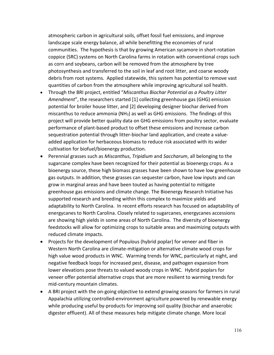atmospheric carbon in agricultural soils, offset fossil fuel emissions, and improve landscape scale energy balance, all while benefitting the economies of rural communities. The hypothesis is that by growing American sycamore in short-rotation coppice (SRC) systems on North Carolina farms in rotation with conventional crops such as corn and soybeans, carbon will be removed from the atmosphere by tree photosynthesis and transferred to the soil in leaf and root litter, and coarse woody debris from root systems. Applied statewide, this system has potential to remove vast quantities of carbon from the atmosphere while improving agricultural soil health.

- Through the BRI project, entitled "*Miscanthus Biochar Potential as a Poultry Litter Amendment*", the researchers started [1] collecting greenhouse gas (GHG) emission potential for broiler house litter, and [2] developing designer biochar derived from miscanthus to reduce ammonia (NH3) as well as GHG emissions. The findings of this project will provide better quality data on GHG emissions from poultry sector, evaluate performance of plant-based product to offset these emissions and increase carbon sequestration potential through litter-biochar land application, and create a valueadded application for herbaceous biomass to reduce risk associated with its wider cultivation for biofuel/bioenergy production.
- Perennial grasses such as *Miscanthus*, *Tripidium* and *Saccharum*, all belonging to the sugarcane complex have been recognized for their potential as bioenergy crops. As a bioenergy source, these high biomass grasses have been shown to have low greenhouse gas outputs. In addition, these grasses can sequester carbon, have low inputs and can grow in marginal areas and have been touted as having potential to mitigate greenhouse gas emissions and climate change. The Bioenergy Research Initiative has supported research and breeding within this complex to maximize yields and adaptability to North Carolina. In recent efforts research has focused on adaptability of energycanes to North Carolina. Closely related to sugarcanes, energycanes accessions are showing high yields in some areas of North Carolina. The diversity of bioenergy feedstocks will allow for optimizing crops to suitable areas and maximizing outputs with reduced climate impacts.
- Projects for the development of Populous (hybrid poplar) for veneer and fiber in Western North Carolina are climate-mitigation or alternative climate wood crops for high value wood products in WNC. Warming trends for WNC, particularly at night, and negative feedback loops for increased pest, disease, and pathogen expansion from lower elevations pose threats to valued woody crops in WNC. Hybrid poplars for veneer offer potential alternative crops that are more resilient to warming trends for mid-century mountain climates.
- A BRI project with the on-going objective to extend growing seasons for farmers in rural Appalachia utilizing controlled-environment agriculture powered by renewable energy while producing useful by-products for improving soil quality (biochar and anaerobic digester effluent). All of these measures help mitigate climate change. More local